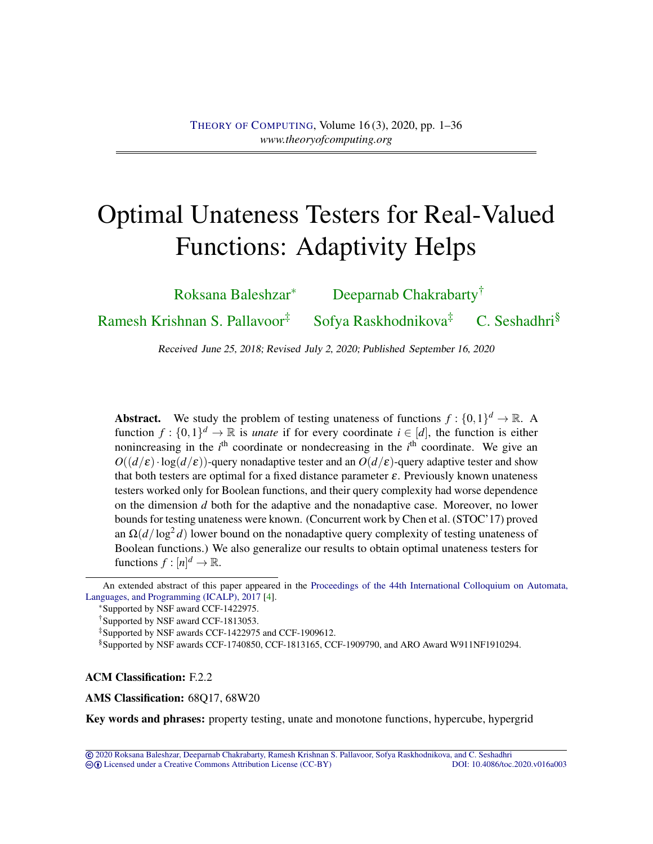# <span id="page-0-0"></span>Optimal Unateness Testers for Real-Valued Functions: Adaptivity Helps

[Roksana Baleshzar](#page-33-0)<sup>∗</sup> [Deeparnab Chakrabarty](#page-33-1)†

[Ramesh Krishnan S. Pallavoor](#page-33-2)<sup>‡</sup> [Sofya Raskhodnikova](#page-33-3)<sup>‡</sup> [C. Seshadhri](#page-34-0)<sup>§</sup>

Received June 25, 2018; Revised July 2, 2020; Published September 16, 2020

Abstract. We study the problem of testing unateness of functions  $f: \{0,1\}^d \to \mathbb{R}$ . A function  $f: \{0,1\}^d \to \mathbb{R}$  is *unate* if for every coordinate  $i \in [d]$ , the function is either nonincreasing in the *i*<sup>th</sup> coordinate or nondecreasing in the *i*<sup>th</sup> coordinate. We give an  $O((d/\varepsilon) \cdot \log(d/\varepsilon))$ -query nonadaptive tester and an  $O(d/\varepsilon)$ -query adaptive tester and show that both testers are optimal for a fixed distance parameter  $\varepsilon$ . Previously known unateness testers worked only for Boolean functions, and their query complexity had worse dependence on the dimension *d* both for the adaptive and the nonadaptive case. Moreover, no lower bounds for testing unateness were known. (Concurrent work by Chen et al. (STOC'17) proved an  $\Omega(d/\log^2 d)$  lower bound on the nonadaptive query complexity of testing unateness of Boolean functions.) We also generalize our results to obtain optimal unateness testers for functions  $f: [n]^d \to \mathbb{R}$ .

An extended abstract of this paper appeared in the [Proceedings of the 44th International Colloquium on Automata,](https://doi.org/10.4230/LIPIcs.ICALP.2017.5) [Languages, and Programming \(ICALP\), 2017](https://doi.org/10.4230/LIPIcs.ICALP.2017.5) [\[4\]](#page-28-0).

<sup>∗</sup>Supported by NSF award CCF-1422975.

†Supported by NSF award CCF-1813053.

‡Supported by NSF awards CCF-1422975 and CCF-1909612.

§Supported by NSF awards CCF-1740850, CCF-1813165, CCF-1909790, and ARO Award W911NF1910294.

ACM Classification: F.2.2

AMS Classification: 68Q17, 68W20

Key words and phrases: property testing, unate and monotone functions, hypercube, hypergrid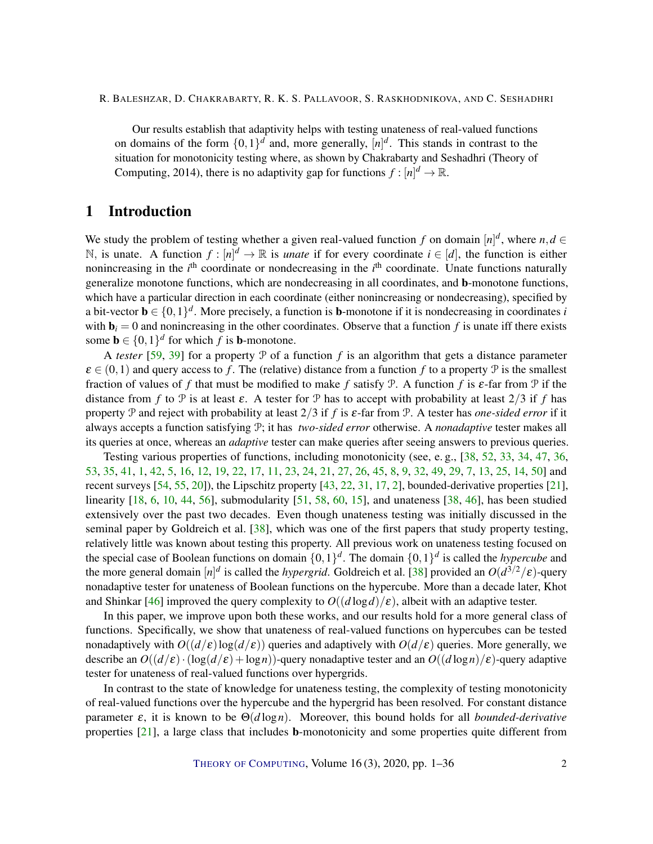<span id="page-1-0"></span>Our results establish that adaptivity helps with testing unateness of real-valued functions on domains of the form  $\{0,1\}^d$  and, more generally,  $[n]^d$ . This stands in contrast to the situation for monotonicity testing where, as shown by Chakrabarty and Seshadhri (Theory of Computing, 2014), there is no adaptivity gap for functions  $f : [n]^d \to \mathbb{R}$ .

# 1 Introduction

We study the problem of testing whether a given real-valued function f on domain  $[n]^d$ , where  $n, d \in$ N, is unate. A function  $f: [n]^d \to \mathbb{R}$  is *unate* if for every coordinate  $i \in [d]$ , the function is either nonincreasing in the *i*<sup>th</sup> coordinate or nondecreasing in the *i*<sup>th</sup> coordinate. Unate functions naturally generalize monotone functions, which are nondecreasing in all coordinates, and b-monotone functions, which have a particular direction in each coordinate (either nonincreasing or nondecreasing), specified by a bit-vector  $\mathbf{b} \in \{0,1\}^d$ . More precisely, a function is **b**-monotone if it is nondecreasing in coordinates *i* with  $\mathbf{b}_i = 0$  and nonincreasing in the other coordinates. Observe that a function f is unate iff there exists some  $\mathbf{b} \in \{0,1\}^d$  for which *f* is **b**-monotone.

A *tester* [\[59,](#page-32-0) [39\]](#page-31-0) for a property P of a function f is an algorithm that gets a distance parameter  $\varepsilon \in (0,1)$  and query access to f. The (relative) distance from a function f to a property P is the smallest fraction of values of *f* that must be modified to make *f* satisfy P. A function *f* is ε-far from P if the distance from *f* to P is at least  $\varepsilon$ . A tester for P has to accept with probability at least  $2/3$  if *f* has property P and reject with probability at least 2/3 if *f* is ε-far from P. A tester has *one-sided error* if it always accepts a function satisfying P; it has *two-sided error* otherwise. A *nonadaptive* tester makes all its queries at once, whereas an *adaptive* tester can make queries after seeing answers to previous queries.

Testing various properties of functions, including monotonicity (see, e. g., [\[38,](#page-31-1) [52,](#page-32-1) [33,](#page-30-0) [34,](#page-30-1) [47,](#page-31-2) [36,](#page-31-3) [53,](#page-32-2) [35,](#page-31-4) [41,](#page-31-5) [1,](#page-27-0) [42,](#page-31-6) [5,](#page-28-1) [16,](#page-29-0) [12,](#page-28-2) [19,](#page-29-1) [22,](#page-29-2) [17,](#page-29-3) [11,](#page-28-3) [23,](#page-29-4) [24,](#page-30-2) [21,](#page-29-5) [27,](#page-30-3) [26,](#page-30-4) [45,](#page-31-7) [8,](#page-28-4) [9,](#page-28-5) [32,](#page-30-5) [49,](#page-32-3) [29,](#page-30-6) [7,](#page-28-6) [13,](#page-29-6) [25,](#page-30-7) [14,](#page-29-7) [50\]](#page-32-4) and recent surveys [\[54,](#page-32-5) [55,](#page-32-6) [20\]](#page-29-8)), the Lipschitz property [\[43,](#page-31-8) [22,](#page-29-2) [31,](#page-30-8) [17,](#page-29-3) [2\]](#page-28-7), bounded-derivative properties [\[21\]](#page-29-5), linearity [\[18,](#page-29-9) [6,](#page-28-8) [10,](#page-28-9) [44,](#page-31-9) [56\]](#page-32-7), submodularity [\[51,](#page-32-8) [58,](#page-32-9) [60,](#page-33-4) [15\]](#page-29-10), and unateness [\[38,](#page-31-1) [46\]](#page-31-10), has been studied extensively over the past two decades. Even though unateness testing was initially discussed in the seminal paper by Goldreich et al. [\[38\]](#page-31-1), which was one of the first papers that study property testing, relatively little was known about testing this property. All previous work on unateness testing focused on the special case of Boolean functions on domain  $\{0,1\}^d$ . The domain  $\{0,1\}^d$  is called the *hypercube* and the more general domain  $[n]^d$  is called the *hypergrid*. Goldreich et al. [\[38\]](#page-31-1) provided an  $O(d^{3/2}/\epsilon)$ -query nonadaptive tester for unateness of Boolean functions on the hypercube. More than a decade later, Khot and Shinkar [\[46\]](#page-31-10) improved the query complexity to  $O((d \log d)/\epsilon)$ , albeit with an adaptive tester.

In this paper, we improve upon both these works, and our results hold for a more general class of functions. Specifically, we show that unateness of real-valued functions on hypercubes can be tested nonadaptively with  $O((d/\varepsilon) \log(d/\varepsilon))$  queries and adaptively with  $O(d/\varepsilon)$  queries. More generally, we describe an  $O((d/\varepsilon) \cdot (\log(d/\varepsilon) + \log n))$ -query nonadaptive tester and an  $O((d \log n)/\varepsilon)$ -query adaptive tester for unateness of real-valued functions over hypergrids.

In contrast to the state of knowledge for unateness testing, the complexity of testing monotonicity of real-valued functions over the hypercube and the hypergrid has been resolved. For constant distance parameter ε, it is known to be Θ(*d* log*n*). Moreover, this bound holds for all *bounded-derivative* properties [\[21\]](#page-29-5), a large class that includes b-monotonicity and some properties quite different from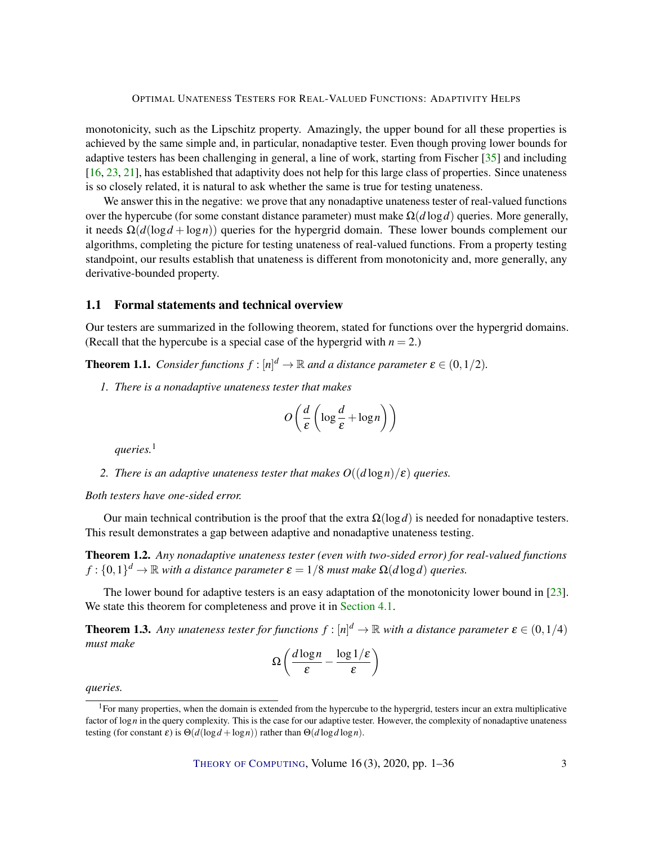<span id="page-2-3"></span>monotonicity, such as the Lipschitz property. Amazingly, the upper bound for all these properties is achieved by the same simple and, in particular, nonadaptive tester. Even though proving lower bounds for adaptive testers has been challenging in general, a line of work, starting from Fischer [\[35\]](#page-31-4) and including [\[16,](#page-29-0) [23,](#page-29-4) [21\]](#page-29-5), has established that adaptivity does not help for this large class of properties. Since unateness is so closely related, it is natural to ask whether the same is true for testing unateness.

We answer this in the negative: we prove that any nonadaptive unateness tester of real-valued functions over the hypercube (for some constant distance parameter) must make  $\Omega(d \log d)$  queries. More generally, it needs  $\Omega(d(\log d + \log n))$  queries for the hypergrid domain. These lower bounds complement our algorithms, completing the picture for testing unateness of real-valued functions. From a property testing standpoint, our results establish that unateness is different from monotonicity and, more generally, any derivative-bounded property.

## 1.1 Formal statements and technical overview

Our testers are summarized in the following theorem, stated for functions over the hypergrid domains. (Recall that the hypercube is a special case of the hypergrid with  $n = 2$ .)

<span id="page-2-2"></span>**Theorem 1.1.** *Consider functions*  $f : [n]^d \to \mathbb{R}$  *and a distance parameter*  $\boldsymbol{\varepsilon} \in (0, 1/2)$ *.* 

*1. There is a nonadaptive unateness tester that makes*

$$
O\left(\frac{d}{\varepsilon}\left(\log\frac{d}{\varepsilon}+\log n\right)\right)
$$

*queries.*<sup>1</sup>

*2. There is an adaptive unateness tester that makes*  $O((d \log n)/\varepsilon)$  *queries.* 

*Both testers have one-sided error.*

Our main technical contribution is the proof that the extra  $\Omega(\log d)$  is needed for nonadaptive testers. This result demonstrates a gap between adaptive and nonadaptive unateness testing.

<span id="page-2-0"></span>Theorem 1.2. *Any nonadaptive unateness tester (even with two-sided error) for real-valued functions*  $f: \{0,1\}^d \to \mathbb{R}$  *with a distance parameter*  $\boldsymbol{\varepsilon} = 1/8$  *must make*  $\Omega(d \log d)$  *queries.* 

The lower bound for adaptive testers is an easy adaptation of the monotonicity lower bound in [\[23\]](#page-29-4). We state this theorem for completeness and prove it in [Section](#page-25-0) [4.1.](#page-25-0)

<span id="page-2-1"></span>**Theorem 1.3.** Any unateness tester for functions  $f : [n]^d \to \mathbb{R}$  with a distance parameter  $\epsilon \in (0, 1/4)$ *must make*

$$
\Omega\left(\frac{d\log n}{\varepsilon} - \frac{\log 1/\varepsilon}{\varepsilon}\right)
$$

*queries.*

 ${}^{1}$ For many properties, when the domain is extended from the hypercube to the hypergrid, testers incur an extra multiplicative factor of log *n* in the query complexity. This is the case for our adaptive tester. However, the complexity of nonadaptive unateness testing (for constant  $\varepsilon$ ) is  $\Theta(d(\log d + \log n))$  rather than  $\Theta(d \log d \log n)$ .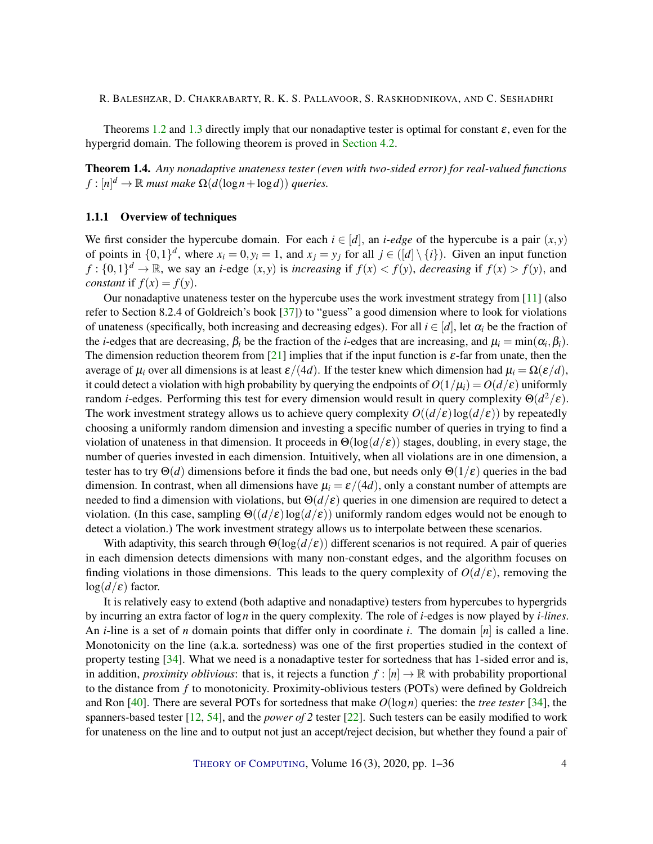<span id="page-3-2"></span>Theorems [1.2](#page-2-0) and [1.3](#page-2-1) directly imply that our nonadaptive tester is optimal for constant  $\varepsilon$ , even for the hypergrid domain. The following theorem is proved in [Section](#page-26-0) [4.2.](#page-26-0)

<span id="page-3-1"></span>Theorem 1.4. *Any nonadaptive unateness tester (even with two-sided error) for real-valued functions*  $f : [n]^d \to \mathbb{R}$  *must make*  $\Omega(d(\log n + \log d))$  *queries.* 

## <span id="page-3-0"></span>1.1.1 Overview of techniques

We first consider the hypercube domain. For each  $i \in [d]$ , an *i-edge* of the hypercube is a pair  $(x, y)$ of points in  $\{0,1\}^d$ , where  $x_i = 0, y_i = 1$ , and  $x_j = y_j$  for all  $j \in (\lfloor d \rfloor \setminus \{i\})$ . Given an input function  $f: \{0,1\}^d \to \mathbb{R}$ , we say an *i*-edge  $(x, y)$  is *increasing* if  $f(x) < f(y)$ , *decreasing* if  $f(x) > f(y)$ , and *constant* if  $f(x) = f(y)$ .

Our nonadaptive unateness tester on the hypercube uses the work investment strategy from [\[11\]](#page-28-3) (also refer to Section 8.2.4 of Goldreich's book [\[37\]](#page-31-11)) to "guess" a good dimension where to look for violations of unateness (specifically, both increasing and decreasing edges). For all  $i \in [d]$ , let  $\alpha_i$  be the fraction of the *i*-edges that are decreasing,  $\beta_i$  be the fraction of the *i*-edges that are increasing, and  $\mu_i = \min(\alpha_i, \beta_i)$ . The dimension reduction theorem from [\[21\]](#page-29-5) implies that if the input function is  $\varepsilon$ -far from unate, then the average of  $\mu_i$  over all dimensions is at least  $\varepsilon/(4d)$ . If the tester knew which dimension had  $\mu_i = \Omega(\varepsilon/d)$ , it could detect a violation with high probability by querying the endpoints of  $O(1/\mu_i) = O(d/\epsilon)$  uniformly random *i*-edges. Performing this test for every dimension would result in query complexity Θ(*d* <sup>2</sup>/ε). The work investment strategy allows us to achieve query complexity  $O((d/\epsilon) \log(d/\epsilon))$  by repeatedly choosing a uniformly random dimension and investing a specific number of queries in trying to find a violation of unateness in that dimension. It proceeds in  $\Theta(\log(d/\epsilon))$  stages, doubling, in every stage, the number of queries invested in each dimension. Intuitively, when all violations are in one dimension, a tester has to try  $\Theta(d)$  dimensions before it finds the bad one, but needs only  $\Theta(1/\varepsilon)$  queries in the bad dimension. In contrast, when all dimensions have  $\mu_i = \varepsilon/(4d)$ , only a constant number of attempts are needed to find a dimension with violations, but Θ(*d*/ε) queries in one dimension are required to detect a violation. (In this case, sampling  $\Theta((d/\varepsilon)\log(d/\varepsilon))$  uniformly random edges would not be enough to detect a violation.) The work investment strategy allows us to interpolate between these scenarios.

With adaptivity, this search through  $\Theta(\log(d/\epsilon))$  different scenarios is not required. A pair of queries in each dimension detects dimensions with many non-constant edges, and the algorithm focuses on finding violations in those dimensions. This leads to the query complexity of  $O(d/\epsilon)$ , removing the  $log(d/\epsilon)$  factor.

It is relatively easy to extend (both adaptive and nonadaptive) testers from hypercubes to hypergrids by incurring an extra factor of log*n* in the query complexity. The role of *i*-edges is now played by *i-lines*. An *i*-line is a set of *n* domain points that differ only in coordinate *i*. The domain [*n*] is called a line. Monotonicity on the line (a.k.a. sortedness) was one of the first properties studied in the context of property testing [\[34\]](#page-30-1). What we need is a nonadaptive tester for sortedness that has 1-sided error and is, in addition, *proximity oblivious*: that is, it rejects a function  $f : [n] \to \mathbb{R}$  with probability proportional to the distance from *f* to monotonicity. Proximity-oblivious testers (POTs) were defined by Goldreich and Ron [\[40\]](#page-31-12). There are several POTs for sortedness that make *O*(log*n*) queries: the *tree tester* [\[34\]](#page-30-1), the spanners-based tester [\[12,](#page-28-2) [54\]](#page-32-5), and the *power of 2* tester [\[22\]](#page-29-2). Such testers can be easily modified to work for unateness on the line and to output not just an accept/reject decision, but whether they found a pair of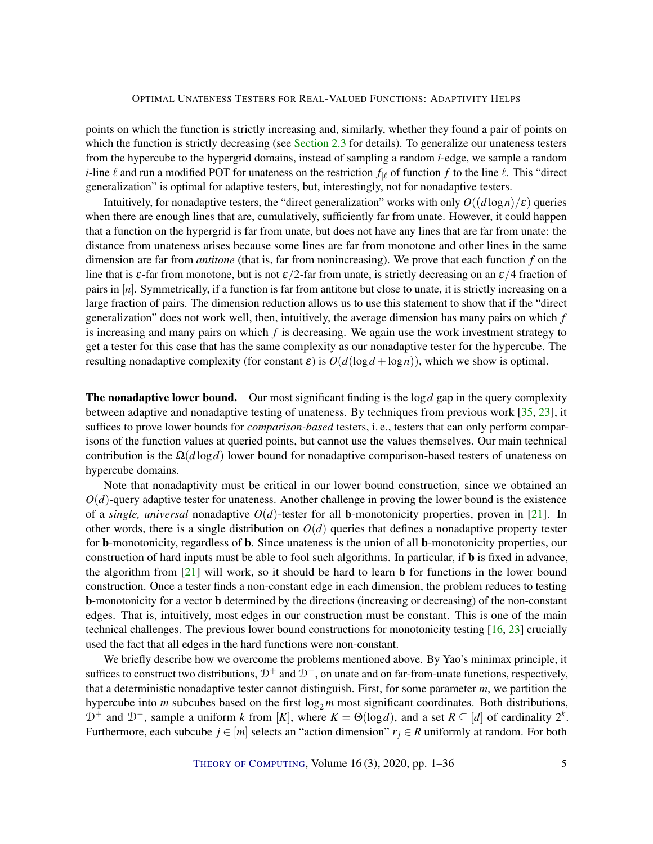<span id="page-4-0"></span>points on which the function is strictly increasing and, similarly, whether they found a pair of points on which the function is strictly decreasing (see [Section](#page-7-0) [2.3](#page-7-0) for details). To generalize our unateness testers from the hypercube to the hypergrid domains, instead of sampling a random *i*-edge, we sample a random *i*-line  $\ell$  and run a modified POT for unateness on the restriction  $f_{\ell}$  of function  $f$  to the line  $\ell$ . This "direct generalization" is optimal for adaptive testers, but, interestingly, not for nonadaptive testers.

Intuitively, for nonadaptive testers, the "direct generalization" works with only  $O((d \log n)/\epsilon)$  queries when there are enough lines that are, cumulatively, sufficiently far from unate. However, it could happen that a function on the hypergrid is far from unate, but does not have any lines that are far from unate: the distance from unateness arises because some lines are far from monotone and other lines in the same dimension are far from *antitone* (that is, far from nonincreasing). We prove that each function *f* on the line that is  $\varepsilon$ -far from monotone, but is not  $\varepsilon/2$ -far from unate, is strictly decreasing on an  $\varepsilon/4$  fraction of pairs in [*n*]. Symmetrically, if a function is far from antitone but close to unate, it is strictly increasing on a large fraction of pairs. The dimension reduction allows us to use this statement to show that if the "direct generalization" does not work well, then, intuitively, the average dimension has many pairs on which *f* is increasing and many pairs on which *f* is decreasing. We again use the work investment strategy to get a tester for this case that has the same complexity as our nonadaptive tester for the hypercube. The resulting nonadaptive complexity (for constant  $\varepsilon$ ) is  $O(d(\log d + \log n))$ , which we show is optimal.

The nonadaptive lower bound. Our most significant finding is the log*d* gap in the query complexity between adaptive and nonadaptive testing of unateness. By techniques from previous work [\[35,](#page-31-4) [23\]](#page-29-4), it suffices to prove lower bounds for *comparison-based* testers, i. e., testers that can only perform comparisons of the function values at queried points, but cannot use the values themselves. Our main technical contribution is the  $\Omega(d \log d)$  lower bound for nonadaptive comparison-based testers of unateness on hypercube domains.

Note that nonadaptivity must be critical in our lower bound construction, since we obtained an  $O(d)$ -query adaptive tester for unateness. Another challenge in proving the lower bound is the existence of a *single, universal* nonadaptive  $O(d)$ -tester for all **b**-monotonicity properties, proven in [\[21\]](#page-29-5). In other words, there is a single distribution on  $O(d)$  queries that defines a nonadaptive property tester for b-monotonicity, regardless of b. Since unateness is the union of all b-monotonicity properties, our construction of hard inputs must be able to fool such algorithms. In particular, if b is fixed in advance, the algorithm from [\[21\]](#page-29-5) will work, so it should be hard to learn b for functions in the lower bound construction. Once a tester finds a non-constant edge in each dimension, the problem reduces to testing b-monotonicity for a vector b determined by the directions (increasing or decreasing) of the non-constant edges. That is, intuitively, most edges in our construction must be constant. This is one of the main technical challenges. The previous lower bound constructions for monotonicity testing [\[16,](#page-29-0) [23\]](#page-29-4) crucially used the fact that all edges in the hard functions were non-constant.

We briefly describe how we overcome the problems mentioned above. By Yao's minimax principle, it suffices to construct two distributions,  $D^+$  and  $D^-$ , on unate and on far-from-unate functions, respectively, that a deterministic nonadaptive tester cannot distinguish. First, for some parameter *m*, we partition the hypercube into  $m$  subcubes based on the first  $\log_2 m$  most significant coordinates. Both distributions,  $\mathcal{D}^+$  and  $\mathcal{D}^-$ , sample a uniform *k* from [K], where  $K = \Theta(\log d)$ , and a set  $R \subseteq [d]$  of cardinality  $2^k$ . Furthermore, each subcube  $j \in [m]$  selects an "action dimension"  $r_j \in R$  uniformly at random. For both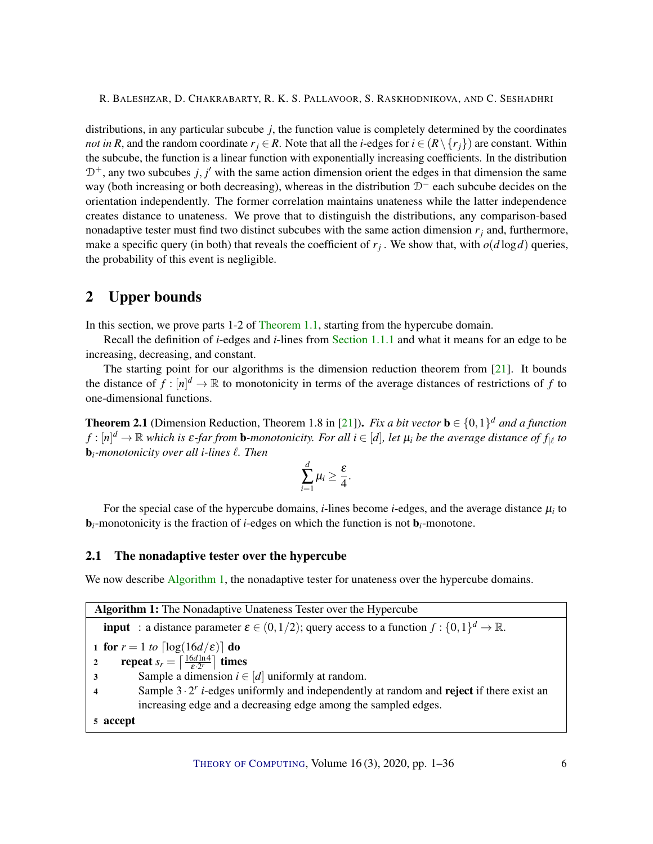<span id="page-5-4"></span>distributions, in any particular subcube *j*, the function value is completely determined by the coordinates *not in R*, and the random coordinate  $r_i \in R$ . Note that all the *i*-edges for  $i \in (R \setminus \{r_i\})$  are constant. Within the subcube, the function is a linear function with exponentially increasing coefficients. In the distribution  $D^+$ , any two subcubes  $j, j'$  with the same action dimension orient the edges in that dimension the same way (both increasing or both decreasing), whereas in the distribution  $D^-$  each subcube decides on the orientation independently. The former correlation maintains unateness while the latter independence creates distance to unateness. We prove that to distinguish the distributions, any comparison-based nonadaptive tester must find two distinct subcubes with the same action dimension  $r<sub>j</sub>$  and, furthermore, make a specific query (in both) that reveals the coefficient of  $r_j$ . We show that, with  $o(d \log d)$  queries, the probability of this event is negligible.

# 2 Upper bounds

In this section, we prove parts 1-2 of [Theorem](#page-2-2) [1.1,](#page-2-2) starting from the hypercube domain.

Recall the definition of *i*-edges and *i*-lines from [Section](#page-3-0) [1.1.1](#page-3-0) and what it means for an edge to be increasing, decreasing, and constant.

The starting point for our algorithms is the dimension reduction theorem from [\[21\]](#page-29-5). It bounds the distance of  $f : [n]^d \to \mathbb{R}$  to monotonicity in terms of the average distances of restrictions of f to one-dimensional functions.

<span id="page-5-1"></span>**Theorem 2.1** (Dimension Reduction, Theorem 1.8 in [\[21\]](#page-29-5)). *Fix a bit vector*  $\mathbf{b} \in \{0,1\}^d$  *and a function*  $f:[n]^d\to\mathbb{R}$  which is  $\varepsilon$ -far from **b**-monotonicity. For all  $i\in[d]$ , let  $\mu_i$  be the average distance of  $f_{|\ell}$  to **b**<sub>*i*</sub>-monotonicity over all *i*-lines  $\ell$ . Then

$$
\sum_{i=1}^d \mu_i \geq \frac{\varepsilon}{4}.
$$

For the special case of the hypercube domains,  $i$ -lines become  $i$ -edges, and the average distance  $\mu_i$  to b*i*-monotonicity is the fraction of *i*-edges on which the function is not b*i*-monotone.

## 2.1 The nonadaptive tester over the hypercube

We now describe [Algorithm](#page-5-0) [1,](#page-5-0) the nonadaptive tester for unateness over the hypercube domains.

<span id="page-5-3"></span><span id="page-5-2"></span><span id="page-5-0"></span>Algorithm 1: The Nonadaptive Unateness Tester over the Hypercube **input** : a distance parameter  $\varepsilon \in (0, 1/2)$ ; query access to a function  $f : \{0, 1\}^d \to \mathbb{R}$ . 1 for  $r = 1$  *to*  $\lceil \log(16d/\varepsilon) \rceil$  do 2 repeat  $s_r = \left\lceil \frac{16d \ln 4}{\varepsilon \cdot 2^r} \right\rceil$  times 3 Sample a dimension  $i \in [d]$  uniformly at random. 4 Sample  $3 \cdot 2^r$  *i*-edges uniformly and independently at random and **reject** if there exist an increasing edge and a decreasing edge among the sampled edges. 5 accept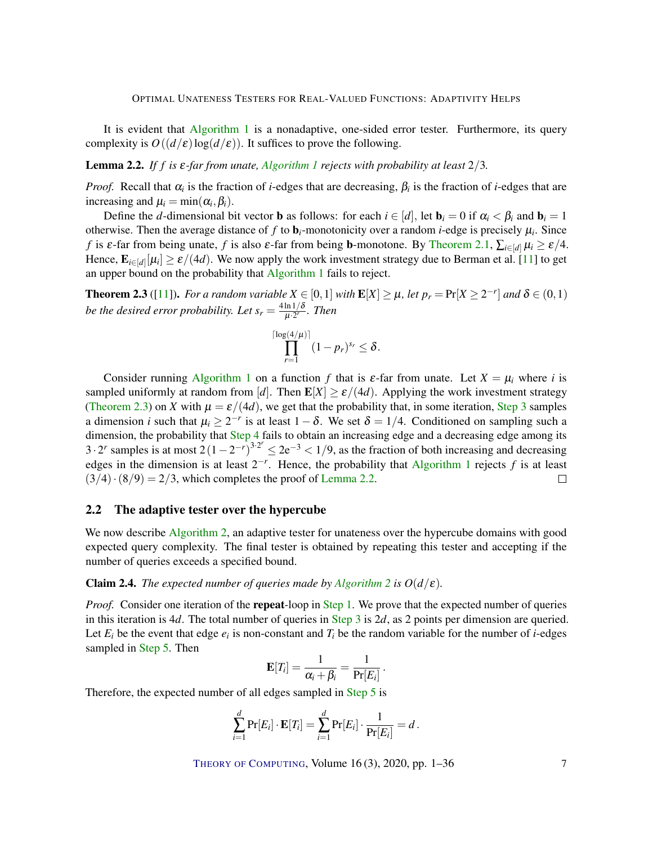<span id="page-6-3"></span>It is evident that [Algorithm](#page-5-0) [1](#page-5-0) is a nonadaptive, one-sided error tester. Furthermore, its query complexity is  $O((d/\varepsilon) \log(d/\varepsilon))$ . It suffices to prove the following.

<span id="page-6-1"></span>Lemma 2.2. *If f is* ε*-far from unate, [Algorithm](#page-5-0) [1](#page-5-0) rejects with probability at least* 2/3*.*

*Proof.* Recall that  $\alpha_i$  is the fraction of *i*-edges that are decreasing,  $\beta_i$  is the fraction of *i*-edges that are increasing and  $\mu_i = \min(\alpha_i, \beta_i)$ .

Define the *d*-dimensional bit vector **b** as follows: for each  $i \in [d]$ , let  $\mathbf{b}_i = 0$  if  $\alpha_i < \beta_i$  and  $\mathbf{b}_i = 1$ otherwise. Then the average distance of  $f$  to  $\mathbf{b}_i$ -monotonicity over a random *i*-edge is precisely  $\mu_i$ . Since *f* is  $\varepsilon$ -far from being unate, *f* is also  $\varepsilon$ -far from being **b**-monotone. By [Theorem](#page-5-1) [2.1,](#page-5-1)  $\sum_{i \in [d]} \mu_i \ge \varepsilon/4$ . Hence,  $\mathbf{E}_{i \in [d]}[\mu_i] \ge \varepsilon/(4d)$ . We now apply the work investment strategy due to Berman et al. [\[11\]](#page-28-3) to get an upper bound on the probability that [Algorithm](#page-5-0) [1](#page-5-0) fails to reject.

<span id="page-6-0"></span>**Theorem 2.3** ([\[11\]](#page-28-3)). For a random variable  $X \in [0,1]$  with  $\mathbf{E}[X] \geq \mu$ , let  $p_r = \Pr[X \geq 2^{-r}]$  and  $\delta \in (0,1)$ *be the desired error probability. Let*  $s_r = \frac{4 \ln 1/\delta}{\mu \cdot 2^r}$  $\frac{\ln 1/\mathfrak{o}}{\mu \cdot 2^r}$ . Then

$$
\prod_{r=1}^{\lceil \log(4/\mu) \rceil} (1 - p_r)^{s_r} \leq \delta.
$$

Consider running [Algorithm](#page-5-0) [1](#page-5-0) on a function *f* that is  $\varepsilon$ -far from unate. Let  $X = \mu_i$  where *i* is sampled uniformly at random from [*d*]. Then  $\mathbf{E}[X] \ge \varepsilon/(4d)$ . Applying the work investment strategy [\(Theorem](#page-6-0) [2.3\)](#page-6-0) on *X* with  $\mu = \varepsilon/(4d)$ , we get that the probability that, in some iteration, [Step](#page-5-2) [3](#page-5-2) samples a dimension *i* such that  $\mu_i \geq 2^{-r}$  is at least  $1 - \delta$ . We set  $\delta = 1/4$ . Conditioned on sampling such a dimension, the probability that [Step](#page-5-3) [4](#page-5-3) fails to obtain an increasing edge and a decreasing edge among its  $3 \cdot 2^r$  samples is at most  $2(1-2^{-r})^{3 \cdot 2^r} \le 2e^{-3} < 1/9$ , as the fraction of both increasing and decreasing edges in the dimension is at least  $2^{-r}$ . Hence, the probability that [Algorithm](#page-5-0) [1](#page-5-0) rejects  $f$  is at least  $(3/4)\cdot(8/9) = 2/3$ , which completes the proof of [Lemma](#page-6-1) [2.2.](#page-6-1)  $\Box$ 

## 2.2 The adaptive tester over the hypercube

We now describe [Algorithm](#page-7-1) [2,](#page-7-1) an adaptive tester for unateness over the hypercube domains with good expected query complexity. The final tester is obtained by repeating this tester and accepting if the number of queries exceeds a specified bound.

## <span id="page-6-2"></span>**Claim [2](#page-7-1).4.** *The expected number of queries made by [Algorithm](#page-7-1) 2 is*  $O(d/\epsilon)$ *.*

*Proof.* Consider one iteration of the **repeat**-loop in [Step](#page-7-2) [1.](#page-7-2) We prove that the expected number of queries in this iteration is 4*d*. The total number of queries in [Step](#page-7-3) [3](#page-7-3) is 2*d*, as 2 points per dimension are queried. Let  $E_i$  be the event that edge  $e_i$  is non-constant and  $T_i$  be the random variable for the number of *i*-edges sampled in [Step](#page-7-4) [5.](#page-7-4) Then

$$
\mathbf{E}[T_i] = \frac{1}{\alpha_i + \beta_i} = \frac{1}{\Pr[E_i]}
$$

.

Therefore, the expected number of all edges sampled in [Step](#page-7-4) [5](#page-7-4) is

$$
\sum_{i=1}^d \Pr[E_i] \cdot \mathbf{E}[T_i] = \sum_{i=1}^d \Pr[E_i] \cdot \frac{1}{\Pr[E_i]} = d.
$$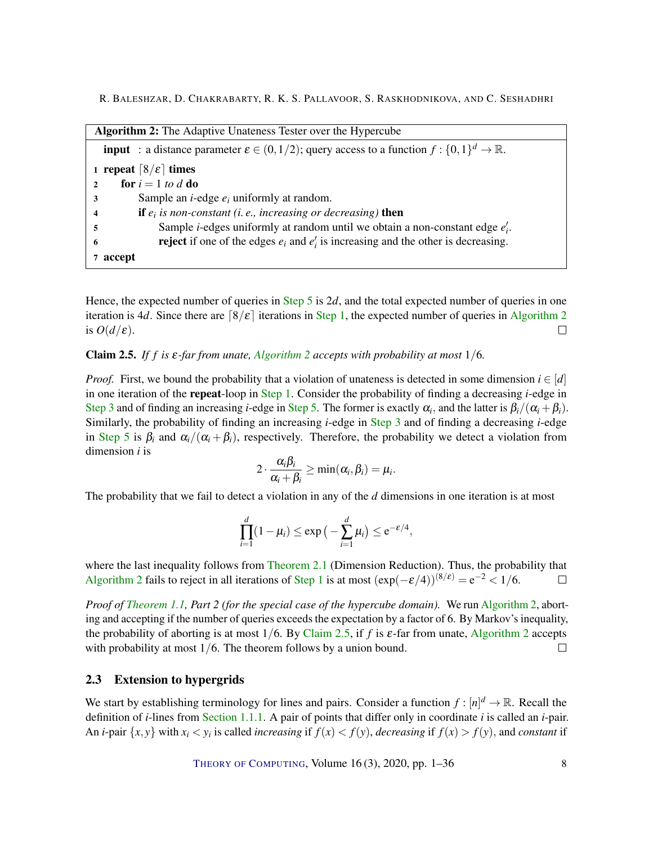<span id="page-7-3"></span><span id="page-7-2"></span><span id="page-7-1"></span>

<span id="page-7-4"></span>Hence, the expected number of queries in [Step](#page-7-4) [5](#page-7-4) is 2*d*, and the total expected number of queries in one iteration is 4*d*. Since there are  $\lceil 8/\varepsilon \rceil$  iterations in [Step](#page-7-2) [1,](#page-7-2) the expected number of queries in [Algorithm](#page-7-1) [2](#page-7-1) is  $O(d/\varepsilon)$ .  $\Box$ 

## <span id="page-7-5"></span>Claim 2.5. *If f is* ε*-far from unate, [Algorithm](#page-7-1) [2](#page-7-1) accepts with probability at most* 1/6*.*

*Proof.* First, we bound the probability that a violation of unateness is detected in some dimension  $i \in [d]$ in one iteration of the repeat-loop in [Step](#page-7-2) [1.](#page-7-2) Consider the probability of finding a decreasing *i*-edge in [Step](#page-7-4) [3](#page-7-3) and of finding an increasing *i*-edge in Step [5.](#page-7-4) The former is exactly  $\alpha_i$ , and the latter is  $\beta_i/(\alpha_i + \beta_i)$ . Similarly, the probability of finding an increasing *i*-edge in [Step](#page-7-3) [3](#page-7-3) and of finding a decreasing *i*-edge in [Step](#page-7-4) [5](#page-7-4) is  $\beta_i$  and  $\alpha_i/(\alpha_i + \beta_i)$ , respectively. Therefore, the probability we detect a violation from dimension *i* is

$$
2\cdot \frac{\alpha_i\beta_i}{\alpha_i+\beta_i}\geq \min(\alpha_i,\beta_i)=\mu_i.
$$

The probability that we fail to detect a violation in any of the *d* dimensions in one iteration is at most

$$
\prod_{i=1}^d (1 - \mu_i) \le \exp\big(-\sum_{i=1}^d \mu_i\big) \le e^{-\varepsilon/4},
$$

where the last inequality follows from [Theorem](#page-5-1) [2.1](#page-5-1) (Dimension Reduction). Thus, the probability that [Algorithm](#page-7-1) [2](#page-7-1) fails to reject in all iterations of [Step](#page-7-2) [1](#page-7-2) is at most  $(\exp(-\varepsilon/4))^{(8/\varepsilon)} = e^{-2} < 1/6$ .  $\Box$ 

*Proof of [Theorem](#page-2-2) [1.1,](#page-2-2) Part 2 (for the special case of the hypercube domain).* We run [Algorithm](#page-7-1) [2,](#page-7-1) aborting and accepting if the number of queries exceeds the expectation by a factor of 6. By Markov's inequality, the probability of aborting is at most 1/6. By [Claim](#page-7-5) [2.5,](#page-7-5) if *f* is ε-far from unate, [Algorithm](#page-7-1) [2](#page-7-1) accepts with probability at most  $1/6$ . The theorem follows by a union bound.  $\Box$ 

## <span id="page-7-0"></span>2.3 Extension to hypergrids

We start by establishing terminology for lines and pairs. Consider a function  $f : [n]^d \to \mathbb{R}$ . Recall the definition of *i*-lines from [Section](#page-3-0) [1.1.1.](#page-3-0) A pair of points that differ only in coordinate *i* is called an *i*-pair. An *i*-pair  $\{x, y\}$  with  $x_i < y_i$  is called *increasing* if  $f(x) < f(y)$ , *decreasing* if  $f(x) > f(y)$ , and *constant* if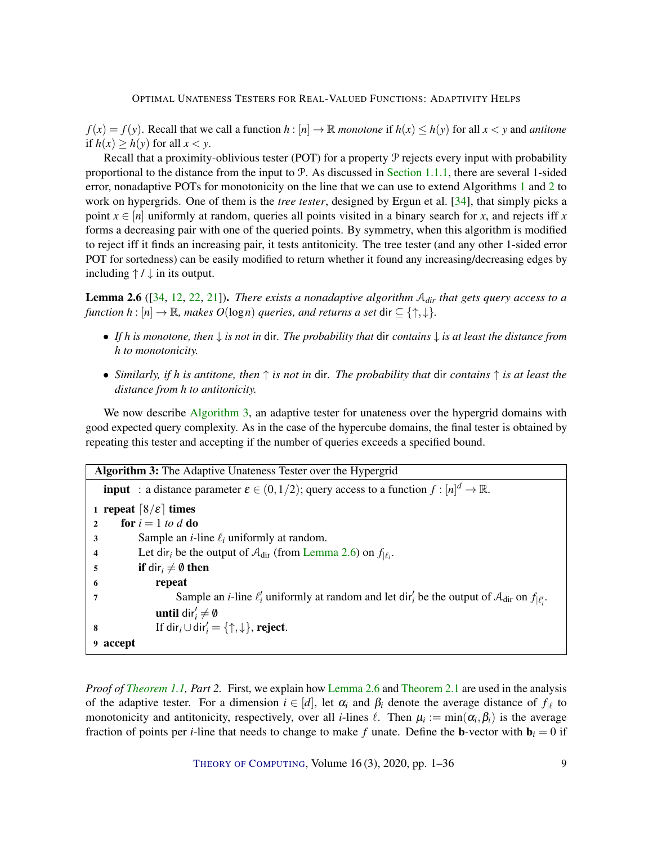<span id="page-8-4"></span> $f(x) = f(y)$ . Recall that we call a function  $h : [n] \to \mathbb{R}$  *monotone* if  $h(x) \leq h(y)$  for all  $x < y$  and *antitone* if  $h(x) \ge h(y)$  for all  $x < y$ .

Recall that a proximity-oblivious tester (POT) for a property  $P$  rejects every input with probability proportional to the distance from the input to  $P$ . As discussed in [Section](#page-3-0) [1.1.1,](#page-3-0) there are several 1-sided error, nonadaptive POTs for monotonicity on the line that we can use to extend Algorithms [1](#page-5-0) and [2](#page-7-1) to work on hypergrids. One of them is the *tree tester*, designed by Ergun et al. [\[34\]](#page-30-1), that simply picks a point  $x \in [n]$  uniformly at random, queries all points visited in a binary search for *x*, and rejects iff *x* forms a decreasing pair with one of the queried points. By symmetry, when this algorithm is modified to reject iff it finds an increasing pair, it tests antitonicity. The tree tester (and any other 1-sided error POT for sortedness) can be easily modified to return whether it found any increasing/decreasing edges by including  $\uparrow$  /  $\downarrow$  in its output.

<span id="page-8-1"></span>Lemma 2.6 ([\[34,](#page-30-1) [12,](#page-28-2) [22,](#page-29-2) [21\]](#page-29-5)). *There exists a nonadaptive algorithm* A*dir that gets query access to a function h* :  $[n] \to \mathbb{R}$ *, makes O*(log*n*) *queries, and returns a set* dir  $\subseteq$  { $\uparrow, \downarrow$ }*.* 

- *If h is monotone, then* ↓ *is not in* dir*. The probability that* dir *contains* ↓ *is at least the distance from h to monotonicity.*
- *Similarly, if h is antitone, then* ↑ *is not in* dir*. The probability that* dir *contains* ↑ *is at least the distance from h to antitonicity.*

We now describe [Algorithm](#page-8-0) [3,](#page-8-0) an adaptive tester for unateness over the hypergrid domains with good expected query complexity. As in the case of the hypercube domains, the final tester is obtained by repeating this tester and accepting if the number of queries exceeds a specified bound.

<span id="page-8-2"></span><span id="page-8-0"></span>Algorithm 3: The Adaptive Unateness Tester over the Hypergrid **input** : a distance parameter  $\varepsilon \in (0, 1/2)$ ; query access to a function  $f : [n]^d \to \mathbb{R}$ . 1 repeat  $\lceil 8/\varepsilon \rceil$  times 2 for  $i = 1$  *to d* do 3 Sample an *i*-line  $\ell_i$  uniformly at random. 4 Let dir<sub>*i*</sub> be the output of  $A_{\text{dir}}$  (from [Lemma](#page-8-1) [2.6\)](#page-8-1) on  $f_{|\ell_i}$ . 5 if dir<sub>i</sub>  $\neq \emptyset$  then 6 repeat  $\sum_{i=1}^{\infty}$  Sample an *i*-line  $\ell'_i$  uniformly at random and let dir<sup>'</sup><sub>i</sub> be the output of  $\mathcal{A}_{\text{dir}}$  on  $f_{|\ell'_i}$ .  $\text{until } \text{dir}'_i \neq \emptyset$ 8 If dir<sub>i</sub> $\cup$  dir'<sub>i</sub> = { $\uparrow, \downarrow$ }, reject. 9 accept

<span id="page-8-3"></span>*Proof of [Theorem](#page-2-2) [1.1,](#page-2-2) Part 2.* First, we explain how [Lemma](#page-8-1) [2.6](#page-8-1) and [Theorem](#page-5-1) [2.1](#page-5-1) are used in the analysis of the adaptive tester. For a dimension  $i \in [d]$ , let  $\alpha_i$  and  $\beta_i$  denote the average distance of  $f_{|\ell}$  to monotonicity and antitonicity, respectively, over all *i*-lines  $\ell$ . Then  $\mu_i := \min(\alpha_i, \beta_i)$  is the average fraction of points per *i*-line that needs to change to make f unate. Define the **b**-vector with  $\mathbf{b}_i = 0$  if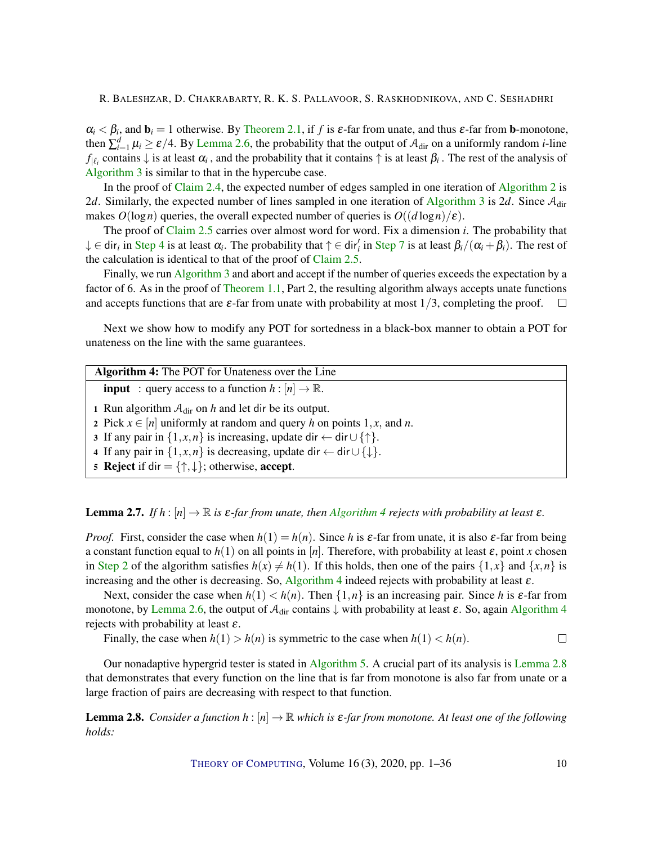$\alpha_i < \beta_i$ , and  $\mathbf{b}_i = 1$  otherwise. By [Theorem](#page-5-1) [2.1,](#page-5-1) if f is  $\varepsilon$ -far from unate, and thus  $\varepsilon$ -far from **b**-monotone, then  $\sum_{i=1}^d \mu_i \ge \varepsilon/4$ . By [Lemma](#page-8-1) [2.6,](#page-8-1) the probability that the output of  $A_{\text{dir}}$  on a uniformly random *i*-line  $f_{|\ell_i}$  contains  $\downarrow$  is at least  $\alpha_i$ , and the probability that it contains  $\uparrow$  is at least  $\beta_i$ . The rest of the analysis of [Algorithm](#page-8-0) [3](#page-8-0) is similar to that in the hypercube case.

In the proof of [Claim](#page-6-2) [2.4,](#page-6-2) the expected number of edges sampled in one iteration of [Algorithm](#page-7-1) [2](#page-7-1) is 2*d*. Similarly, the expected number of lines sampled in one iteration of [Algorithm](#page-8-0) [3](#page-8-0) is 2*d*. Since  $A_{\text{dir}}$ makes  $O(\log n)$  queries, the overall expected number of queries is  $O((d \log n)/\varepsilon)$ .

The proof of [Claim](#page-7-5) [2.5](#page-7-5) carries over almost word for word. Fix a dimension *i*. The probability that  $\downarrow \in$  dir<sub>i</sub> in [Step](#page-8-3) [4](#page-8-2) is at least  $\alpha_i$ . The probability that  $\uparrow \in$  dir'<sub>i</sub> in Step [7](#page-8-3) is at least  $\beta_i/(\alpha_i + \beta_i)$ . The rest of the calculation is identical to that of the proof of [Claim](#page-7-5) [2.5.](#page-7-5)

Finally, we run [Algorithm](#page-8-0) [3](#page-8-0) and abort and accept if the number of queries exceeds the expectation by a factor of 6. As in the proof of [Theorem](#page-2-2) [1.1,](#page-2-2) Part 2, the resulting algorithm always accepts unate functions and accepts functions that are  $\varepsilon$ -far from unate with probability at most  $1/3$ , completing the proof.  $\Box$ 

Next we show how to modify any POT for sortedness in a black-box manner to obtain a POT for unateness on the line with the same guarantees.

| <b>Algorithm 4:</b> The POT for Unateness over the Line |  |
|---------------------------------------------------------|--|
|---------------------------------------------------------|--|

<span id="page-9-0"></span>**input** : query access to a function  $h : [n] \to \mathbb{R}$ .

1 Run algorithm  $A_{\text{dir}}$  on  $h$  and let dir be its output.

<span id="page-9-1"></span>2 Pick  $x \in [n]$  uniformly at random and query *h* on points 1, *x*, and *n*.

3 If any pair in  $\{1, x, n\}$  is increasing, update dir  $\leftarrow$  dir  $\cup$   $\{\uparrow\}$ .

4 If any pair in  $\{1, x, n\}$  is decreasing, update dir  $\leftarrow$  dir  $\cup$   $\{\downarrow\}$ .

5 Reject if dir =  $\{\uparrow,\downarrow\}$ ; otherwise, accept.

#### <span id="page-9-3"></span>**Lemma 2.7.** *If h* :  $[n] \rightarrow \mathbb{R}$  *is*  $\varepsilon$ *-far from unate, then [Algorithm](#page-9-0) [4](#page-9-0) rejects with probability at least*  $\varepsilon$ *.*

*Proof.* First, consider the case when  $h(1) = h(n)$ . Since *h* is  $\varepsilon$ -far from unate, it is also  $\varepsilon$ -far from being a constant function equal to  $h(1)$  on all points in [*n*]. Therefore, with probability at least  $\varepsilon$ , point *x* chosen in [Step](#page-9-1) [2](#page-9-1) of the algorithm satisfies  $h(x) \neq h(1)$ . If this holds, then one of the pairs  $\{1, x\}$  and  $\{x, n\}$  is increasing and the other is decreasing. So, [Algorithm](#page-9-0) [4](#page-9-0) indeed rejects with probability at least  $\varepsilon$ .

Next, consider the case when  $h(1) < h(n)$ . Then  $\{1,n\}$  is an increasing pair. Since *h* is  $\varepsilon$ -far from monotone, by [Lemma](#page-8-1) [2.6,](#page-8-1) the output of  $A_{\text{dir}}$  contains  $\downarrow$  with probability at least  $\varepsilon$ . So, again [Algorithm](#page-9-0) [4](#page-9-0) rejects with probability at least  $\varepsilon$ .

Finally, the case when  $h(1) > h(n)$  is symmetric to the case when  $h(1) < h(n)$ .  $\Box$ 

Our nonadaptive hypergrid tester is stated in [Algorithm](#page-10-0) [5.](#page-10-0) A crucial part of its analysis is [Lemma](#page-9-2) [2.8](#page-9-2) that demonstrates that every function on the line that is far from monotone is also far from unate or a large fraction of pairs are decreasing with respect to that function.

<span id="page-9-2"></span>**Lemma 2.8.** *Consider a function*  $h : [n] \to \mathbb{R}$  *which is*  $\varepsilon$ -far from monotone. At least one of the following *holds:*

THEORY OF C[OMPUTING](http://dx.doi.org/10.4086/toc), Volume 16 (3), 2020, pp. 1–36 10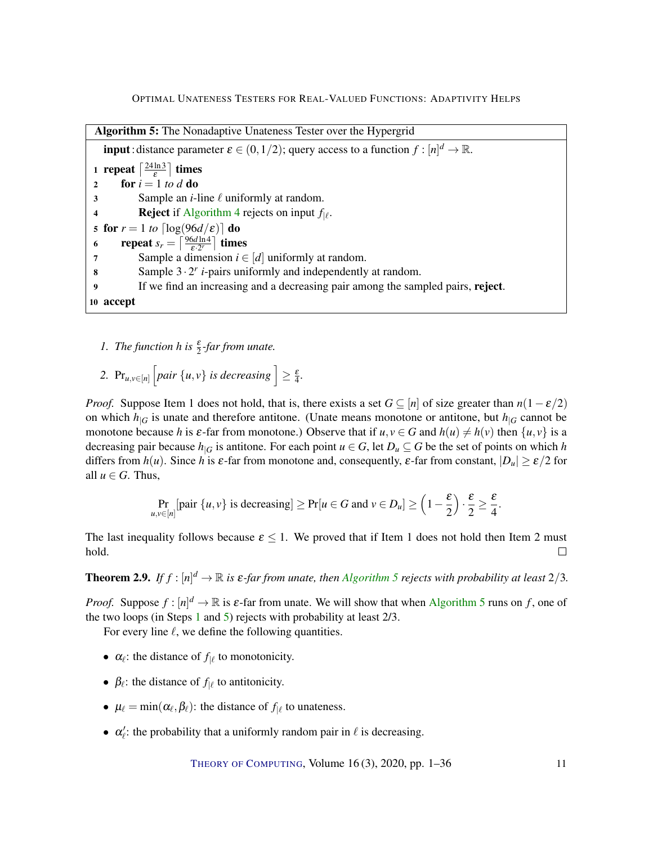<span id="page-10-2"></span><span id="page-10-1"></span><span id="page-10-0"></span>Algorithm 5: The Nonadaptive Unateness Tester over the Hypergrid **input**: distance parameter  $\varepsilon \in (0,1/2)$ ; query access to a function  $f: [n]^d \to \mathbb{R}$ . 1 repeat  $\left\lceil \frac{24 \ln 3}{5} \right\rceil$  $\frac{\ln 3}{\varepsilon}$  times 2 for  $i = 1$  *to d* do 3 Sample an *i*-line  $\ell$  uniformly at random. **[4](#page-9-0) Reject** if [Algorithm](#page-9-0) 4 rejects on input  $f_{|\ell}$ . 5 for  $r = 1$  *to*  $\lceil \log(96d/\varepsilon) \rceil$  do 6 repeat  $s_r = \left\lceil \frac{96d \ln 4}{\varepsilon \cdot 2^r} \right\rceil$  times 7 Sample a dimension  $i \in [d]$  uniformly at random. 8 Sample  $3 \cdot 2^r$  *i*-pairs uniformly and independently at random. 9 If we find an increasing and a decreasing pair among the sampled pairs, reject. 10 accept

- <span id="page-10-3"></span>*1. The function h is*  $\frac{\varepsilon}{2}$ -far from unate.
- 2.  $Pr_{u,v \in [n]}$   $\left[ pair \{u, v\} \text{ is decreasing } \right] \geq \frac{\varepsilon}{4}.$

*Proof.* Suppose Item 1 does not hold, that is, there exists a set  $G \subseteq [n]$  of size greater than  $n(1 - \varepsilon/2)$ on which  $h_{|G}$  is unate and therefore antitone. (Unate means monotone or antitone, but  $h_{|G}$  cannot be monotone because *h* is  $\varepsilon$ -far from monotone.) Observe that if  $u, v \in G$  and  $h(u) \neq h(v)$  then  $\{u, v\}$  is a decreasing pair because  $h_{|G}$  is antitone. For each point  $u \in G$ , let  $D_u \subseteq G$  be the set of points on which *h* differs from  $h(u)$ . Since h is  $\varepsilon$ -far from monotone and, consequently,  $\varepsilon$ -far from constant,  $|D_u| \geq \varepsilon/2$  for all  $u \in G$ . Thus,

$$
\Pr_{u,v \in [n]}[\text{pair } \{u,v\} \text{ is decreasing}] \ge \Pr[u \in G \text{ and } v \in D_u] \ge \left(1 - \frac{\varepsilon}{2}\right) \cdot \frac{\varepsilon}{2} \ge \frac{\varepsilon}{4}
$$

The last inequality follows because  $\epsilon \leq 1$ . We proved that if Item 1 does not hold then Item 2 must hold.  $\Box$ 

**Theorem 2.9.** If  $f : [n]^d \to \mathbb{R}$  is  $\varepsilon$ -far from unate, then [Algorithm](#page-10-0) [5](#page-10-0) rejects with probability at least  $2/3$ .

*Proof.* Suppose  $f : [n]^d \to \mathbb{R}$  is  $\varepsilon$ -far from unate. We will show that when [Algorithm](#page-10-0) [5](#page-10-0) runs on f, one of the two loops (in Steps [1](#page-10-1) and [5\)](#page-10-2) rejects with probability at least 2/3.

For every line  $\ell$ , we define the following quantities.

- $\alpha_{\ell}$ : the distance of  $f_{|\ell}$  to monotonicity.
- $\beta_{\ell}$ : the distance of  $f_{|\ell}$  to antitonicity.
- $\mu_{\ell} = \min(\alpha_{\ell}, \beta_{\ell})$ : the distance of  $f_{|\ell}$  to unateness.
- $\alpha'_{\ell}$ : the probability that a uniformly random pair in  $\ell$  is decreasing.

.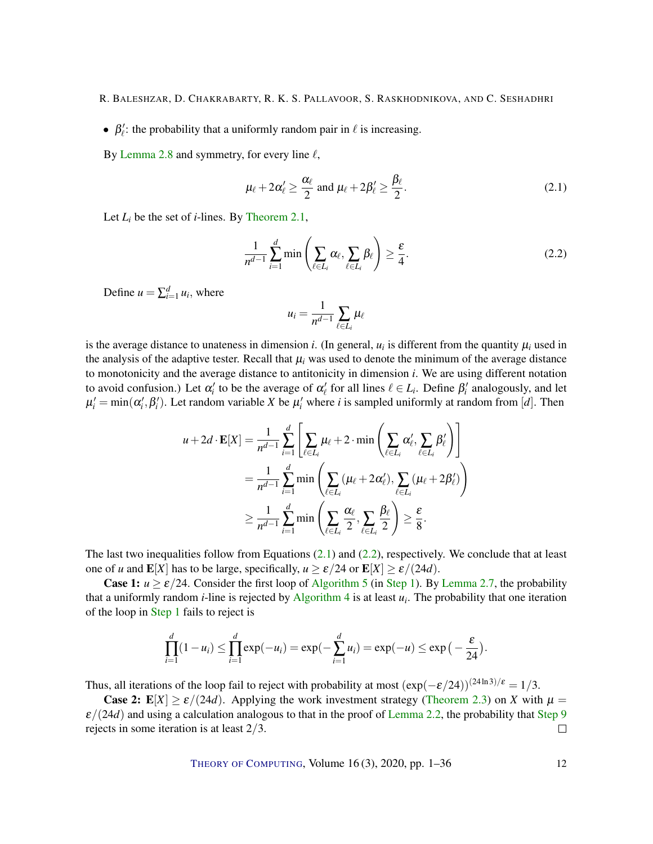- R. BALESHZAR, D. CHAKRABARTY, R. K. S. PALLAVOOR, S. RASKHODNIKOVA, AND C. SESHADHRI
- $\beta'_{\ell}$ : the probability that a uniformly random pair in  $\ell$  is increasing.

By [Lemma](#page-9-2) [2.8](#page-9-2) and symmetry, for every line  $\ell$ ,

$$
\mu_{\ell} + 2\alpha_{\ell}' \ge \frac{\alpha_{\ell}}{2} \text{ and } \mu_{\ell} + 2\beta_{\ell}' \ge \frac{\beta_{\ell}}{2}.
$$
 (2.1)

Let  $L_i$  be the set of *i*-lines. By [Theorem](#page-5-1) [2.1,](#page-5-1)

$$
\frac{1}{n^{d-1}}\sum_{i=1}^d \min\left(\sum_{\ell \in L_i} \alpha_\ell, \sum_{\ell \in L_i} \beta_\ell\right) \ge \frac{\varepsilon}{4}.\tag{2.2}
$$

Define  $u = \sum_{i=1}^{d} u_i$ , where

<span id="page-11-1"></span><span id="page-11-0"></span>
$$
u_i = \frac{1}{n^{d-1}} \sum_{\ell \in L_i} \mu_\ell
$$

is the average distance to unateness in dimension *i*. (In general,  $u_i$  is different from the quantity  $\mu_i$  used in the analysis of the adaptive tester. Recall that  $\mu_i$  was used to denote the minimum of the average distance to monotonicity and the average distance to antitonicity in dimension *i*. We are using different notation to avoid confusion.) Let  $\alpha'_i$  to be the average of  $\alpha'_\ell$  for all lines  $\ell \in L_i$ . Define  $\beta'_i$  analogously, and let  $\mu'_i = \min(\alpha'_i, \beta'_i)$ . Let random variable *X* be  $\mu'_i$  where *i* is sampled uniformly at random from [*d*]. Then

$$
u + 2d \cdot \mathbf{E}[X] = \frac{1}{n^{d-1}} \sum_{i=1}^d \left[ \sum_{\ell \in L_i} \mu_{\ell} + 2 \cdot \min \left( \sum_{\ell \in L_i} \alpha'_{\ell}, \sum_{\ell \in L_i} \beta'_{\ell} \right) \right]
$$
  
= 
$$
\frac{1}{n^{d-1}} \sum_{i=1}^d \min \left( \sum_{\ell \in L_i} (\mu_{\ell} + 2\alpha'_{\ell}), \sum_{\ell \in L_i} (\mu_{\ell} + 2\beta'_{\ell}) \right)
$$
  

$$
\geq \frac{1}{n^{d-1}} \sum_{i=1}^d \min \left( \sum_{\ell \in L_i} \frac{\alpha_{\ell}}{2}, \sum_{\ell \in L_i} \frac{\beta_{\ell}}{2} \right) \geq \frac{\varepsilon}{8}.
$$

The last two inequalities follow from Equations  $(2.1)$  and  $(2.2)$ , respectively. We conclude that at least one of *u* and  $\mathbf{E}[X]$  has to be large, specifically,  $u \ge \varepsilon/24$  or  $\mathbf{E}[X] \ge \varepsilon/(24d)$ .

**Case 1:**  $u \ge \varepsilon/24$ . Consider the first loop of [Algorithm](#page-10-0) [5](#page-10-0) (in [Step](#page-10-1) [1\)](#page-10-1). By [Lemma](#page-9-3) [2.7,](#page-9-3) the probability that a uniformly random *i*-line is rejected by [Algorithm](#page-9-0) [4](#page-9-0) is at least *u<sup>i</sup>* . The probability that one iteration of the loop in [Step](#page-10-1) [1](#page-10-1) fails to reject is

$$
\prod_{i=1}^d (1 - u_i) \leq \prod_{i=1}^d \exp(-u_i) = \exp(-\sum_{i=1}^d u_i) = \exp(-u) \leq \exp(-\frac{\varepsilon}{24}).
$$

Thus, all iterations of the loop fail to reject with probability at most  $(\exp(-\varepsilon/24))^{(24\ln 3)/\varepsilon} = 1/3$ .

**Case 2:**  $E[X] \ge \frac{\varepsilon}{24d}$ . Applying the work investment strategy [\(Theorem](#page-6-0) [2.3\)](#page-6-0) on *X* with  $\mu =$  $\varepsilon/(24d)$  and using a calculation analogous to that in the proof of [Lemma](#page-6-1) [2.2,](#page-6-1) the probability that [Step](#page-10-3) [9](#page-10-3) rejects in some iteration is at least 2/3.  $\Box$ 

THEORY OF C[OMPUTING](http://dx.doi.org/10.4086/toc), Volume 16(3), 2020, pp. 1–36 12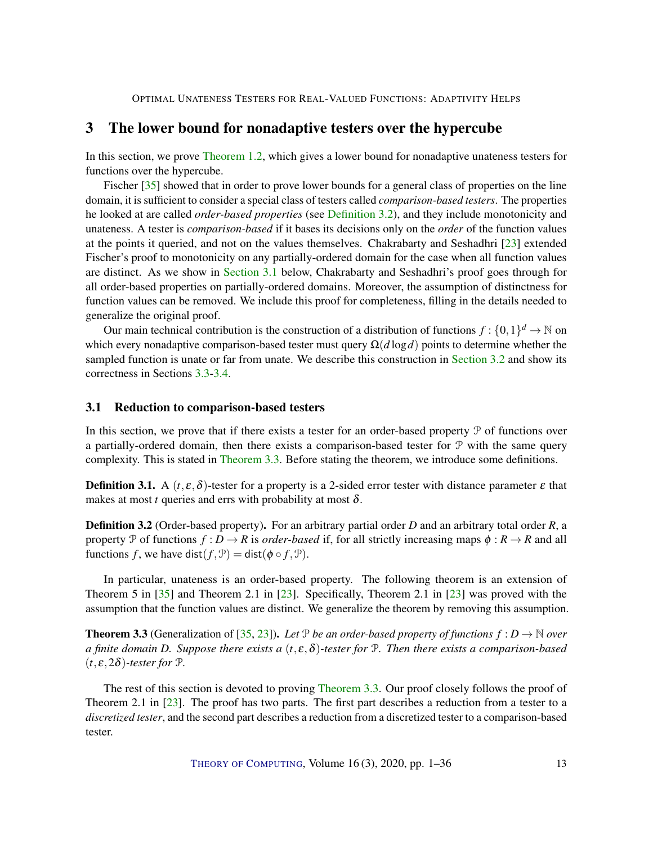# <span id="page-12-3"></span>3 The lower bound for nonadaptive testers over the hypercube

In this section, we prove [Theorem](#page-2-0) [1.2,](#page-2-0) which gives a lower bound for nonadaptive unateness testers for functions over the hypercube.

Fischer [\[35\]](#page-31-4) showed that in order to prove lower bounds for a general class of properties on the line domain, it is sufficient to consider a special class of testers called *comparison-based testers*. The properties he looked at are called *order-based properties* (see [Definition](#page-12-0) [3.2\)](#page-12-0), and they include monotonicity and unateness. A tester is *comparison-based* if it bases its decisions only on the *order* of the function values at the points it queried, and not on the values themselves. Chakrabarty and Seshadhri [\[23\]](#page-29-4) extended Fischer's proof to monotonicity on any partially-ordered domain for the case when all function values are distinct. As we show in [Section](#page-12-1) [3.1](#page-12-1) below, Chakrabarty and Seshadhri's proof goes through for all order-based properties on partially-ordered domains. Moreover, the assumption of distinctness for function values can be removed. We include this proof for completeness, filling in the details needed to generalize the original proof.

Our main technical contribution is the construction of a distribution of functions  $f: \{0,1\}^d \to \mathbb{N}$  on which every nonadaptive comparison-based tester must query  $\Omega(d \log d)$  points to determine whether the sampled function is unate or far from unate. We describe this construction in [Section](#page-15-0) [3.2](#page-15-0) and show its correctness in Sections [3.3](#page-16-0)[-3.4.](#page-19-0)

#### <span id="page-12-1"></span>3.1 Reduction to comparison-based testers

In this section, we prove that if there exists a tester for an order-based property P of functions over a partially-ordered domain, then there exists a comparison-based tester for  $P$  with the same query complexity. This is stated in [Theorem](#page-12-2) [3.3.](#page-12-2) Before stating the theorem, we introduce some definitions.

**Definition 3.1.** A  $(t, \varepsilon, \delta)$ -tester for a property is a 2-sided error tester with distance parameter  $\varepsilon$  that makes at most *t* queries and errs with probability at most  $\delta$ .

<span id="page-12-0"></span>Definition 3.2 (Order-based property). For an arbitrary partial order *D* and an arbitrary total order *R*, a property P of functions  $f: D \to R$  is *order-based* if, for all strictly increasing maps  $\phi: R \to R$  and all functions *f*, we have dist( $f, P$ ) = dist( $\phi \circ f, P$ ).

In particular, unateness is an order-based property. The following theorem is an extension of Theorem 5 in [\[35\]](#page-31-4) and Theorem 2.1 in [\[23\]](#page-29-4). Specifically, Theorem 2.1 in [\[23\]](#page-29-4) was proved with the assumption that the function values are distinct. We generalize the theorem by removing this assumption.

<span id="page-12-2"></span>**Theorem 3.3** (Generalization of [\[35,](#page-31-4) [23\]](#page-29-4)). Let P be an order-based property of functions  $f: D \to \mathbb{N}$  over *a finite domain D. Suppose there exists a* (*t*, ε,δ)*-tester for* P*. Then there exists a comparison-based*  $(t, \varepsilon, 2\delta)$ -tester for  $\mathcal{P}$ .

The rest of this section is devoted to proving [Theorem](#page-12-2) [3.3.](#page-12-2) Our proof closely follows the proof of Theorem 2.1 in [\[23\]](#page-29-4). The proof has two parts. The first part describes a reduction from a tester to a *discretized tester*, and the second part describes a reduction from a discretized tester to a comparison-based tester.

THEORY OF C[OMPUTING](http://dx.doi.org/10.4086/toc), Volume 16(3), 2020, pp. 1–36 13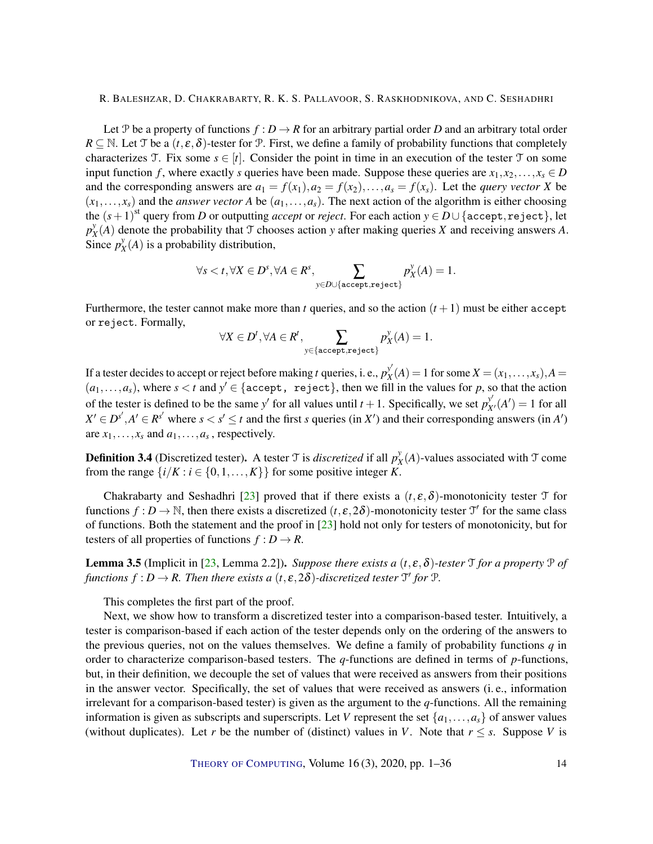<span id="page-13-1"></span>Let P be a property of functions  $f: D \to R$  for an arbitrary partial order D and an arbitrary total order  $R \subseteq \mathbb{N}$ . Let T be a  $(t, \varepsilon, \delta)$ -tester for P. First, we define a family of probability functions that completely characterizes T. Fix some  $s \in [t]$ . Consider the point in time in an execution of the tester T on some input function *f*, where exactly *s* queries have been made. Suppose these queries are  $x_1, x_2, \ldots, x_s \in D$ and the corresponding answers are  $a_1 = f(x_1), a_2 = f(x_2), \ldots, a_s = f(x_s)$ . Let the *query vector X* be  $(x_1,...,x_s)$  and the *answer vector A* be  $(a_1,...,a_s)$ . The next action of the algorithm is either choosing the  $(s+1)^{\text{st}}$  query from *D* or outputting *accept* or *reject*. For each action  $y \in D \cup \{\texttt{accept}, \texttt{reject}\},$  let *p y*  $\chi^y(A)$  denote the probability that T chooses action *y* after making queries *X* and receiving answers *A*.  $\sum_{x=1}^{N} p_x^y$  $\chi^y(X)$  is a probability distribution,

$$
\forall s < t, \forall X \in D^s, \forall A \in R^s, \sum_{y \in D \cup \{\texttt{accept}, \texttt{reject}\}} p_X^y(A) = 1.
$$

Furthermore, the tester cannot make more than *t* queries, and so the action  $(t + 1)$  must be either accept or reject. Formally,

$$
\forall X \in D^t, \forall A \in R^t, \sum_{y \in \{\texttt{accept}, \texttt{reject}\}} p_X^y(A) = 1.
$$

If a tester decides to accept or reject before making *t* queries, i. e., *p y* 0  $X^y(X) = 1$  for some  $X = (x_1, \ldots, x_s)$ ,  $A =$  $(a_1,...,a_s)$ , where  $s < t$  and  $y' \in \{\text{accept}, \text{reject}\},\$  then we fill in the values for *p*, so that the action of the tester is defined to be the same *y'* for all values until  $t + 1$ . Specifically, we set  $p_{X'}^{y'}(A') = 1$  for all  $X' \in D^{s'}$ ,  $A' \in R^{s'}$  where  $s < s' \le t$  and the first *s* queries (in *X'*) and their corresponding answers (in *A'*) are  $x_1, \ldots, x_s$  and  $a_1, \ldots, a_s$ , respectively.

**Definition 3.4** (Discretized tester). A tester  $\mathcal{T}$  is *discretized* if all  $p_{\lambda}^{\mathcal{Y}}$  $\chi^y(X)$ -values associated with  $\mathcal T$  come from the range  $\{i/K : i \in \{0, 1, \ldots, K\}\}\$  for some positive integer *K*.

Chakrabarty and Seshadhri [\[23\]](#page-29-4) proved that if there exists a  $(t, \varepsilon, \delta)$ -monotonicity tester T for functions  $f: D \to \mathbb{N}$ , then there exists a discretized  $(t, \varepsilon, 2\delta)$ -monotonicity tester  $\mathcal{T}'$  for the same class of functions. Both the statement and the proof in [\[23\]](#page-29-4) hold not only for testers of monotonicity, but for testers of all properties of functions  $f : D \to R$ .

<span id="page-13-0"></span>**Lemma 3.5** (Implicit in [\[23,](#page-29-4) Lemma 2.2]). *Suppose there exists a*  $(t, \varepsilon, \delta)$ -tester  $\mathcal T$  *for a property*  $\mathcal P$  *of* functions  $f: D \to R$ . Then there exists a  $(t, \varepsilon, 2\delta)$ -discretized tester  $\mathfrak{I}'$  for  $\mathfrak{P}$ .

This completes the first part of the proof.

Next, we show how to transform a discretized tester into a comparison-based tester. Intuitively, a tester is comparison-based if each action of the tester depends only on the ordering of the answers to the previous queries, not on the values themselves. We define a family of probability functions *q* in order to characterize comparison-based testers. The *q*-functions are defined in terms of *p*-functions, but, in their definition, we decouple the set of values that were received as answers from their positions in the answer vector. Specifically, the set of values that were received as answers (i. e., information irrelevant for a comparison-based tester) is given as the argument to the *q*-functions. All the remaining information is given as subscripts and superscripts. Let *V* represent the set  $\{a_1, \ldots, a_s\}$  of answer values (without duplicates). Let *r* be the number of (distinct) values in *V*. Note that  $r \leq s$ . Suppose *V* is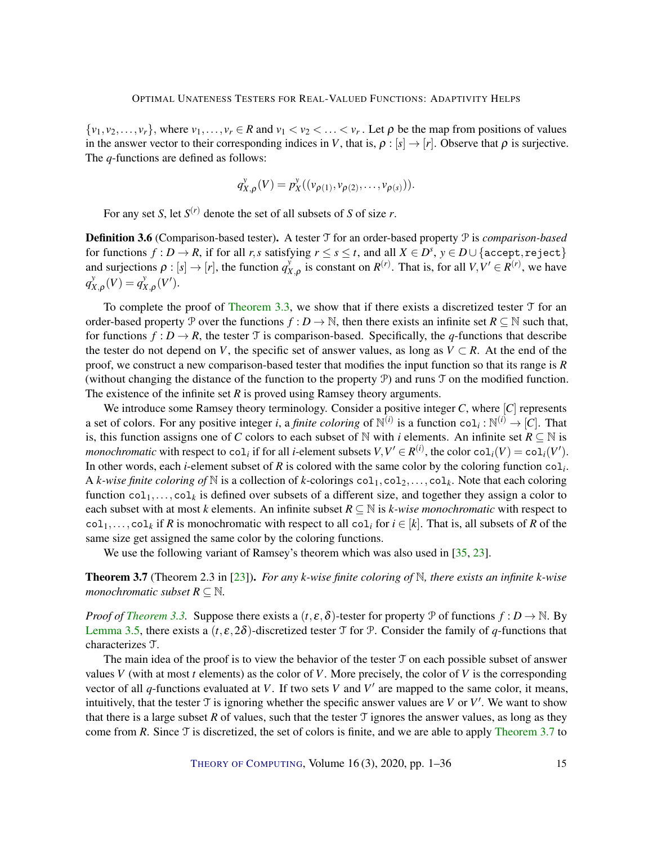<span id="page-14-1"></span> $\{v_1, v_2, \ldots, v_r\}$ , where  $v_1, \ldots, v_r \in \mathbb{R}$  and  $v_1 < v_2 < \ldots < v_r$ . Let  $\rho$  be the map from positions of values in the answer vector to their corresponding indices in *V*, that is,  $\rho : [s] \rightarrow [r]$ . Observe that  $\rho$  is surjective. The *q*-functions are defined as follows:

$$
q_{X,\rho}^{\nu}(V) = p_X^{\nu}((\nu_{\rho(1)}, \nu_{\rho(2)}, \ldots, \nu_{\rho(s)})).
$$

For any set *S*, let  $S^{(r)}$  denote the set of all subsets of *S* of size *r*.

Definition 3.6 (Comparison-based tester). A tester T for an order-based property P is *comparison-based* for functions  $f: D \to R$ , if for all *r*,*s* satisfying  $r \leq s \leq t$ , and all  $X \in D^s$ ,  $y \in D \cup \{\text{accept}, \text{reject}\}$ and surjections  $\rho : [s] \rightarrow [r]$ , the function  $q^y_\lambda$  $X_{A,\rho}$  is constant on  $R^{(r)}$ . That is, for all  $V, V' \in R^{(r)}$ , we have *q y*  $\chi_{X,\rho}(V) = q_X^y$  $X_{X,\rho}^y(V').$ 

To complete the proof of [Theorem](#page-12-2) [3.3,](#page-12-2) we show that if there exists a discretized tester  $T$  for an order-based property P over the functions  $f : D \to \mathbb{N}$ , then there exists an infinite set  $R \subseteq \mathbb{N}$  such that, for functions  $f: D \to R$ , the tester T is comparison-based. Specifically, the *q*-functions that describe the tester do not depend on *V*, the specific set of answer values, as long as  $V \subset R$ . At the end of the proof, we construct a new comparison-based tester that modifies the input function so that its range is *R* (without changing the distance of the function to the property P) and runs T on the modified function. The existence of the infinite set *R* is proved using Ramsey theory arguments.

We introduce some Ramsey theory terminology. Consider a positive integer *C*, where [*C*] represents a set of colors. For any positive integer *i*, a *finite coloring* of  $\mathbb{N}^{(i)}$  is a function co $1_i : \mathbb{N}^{(i)} \to [C]$ . That is, this function assigns one of *C* colors to each subset of N with *i* elements. An infinite set  $R \subseteq \mathbb{N}$  is *monochromatic* with respect to  $col_i$  if for all *i*-element subsets  $V, V' \in R^{(i)}$ , the color  $col_i(V) = col_i(V')$ . In other words, each *i*-element subset of *R* is colored with the same color by the coloring function col*<sup>i</sup>* . A *k*-wise finite coloring of N is a collection of *k*-colorings  $col_1, col_2, \ldots, col_k$ . Note that each coloring function  $col_1,...,col_k$  is defined over subsets of a different size, and together they assign a color to each subset with at most *k* elements. An infinite subset  $R \subseteq \mathbb{N}$  is *k-wise monochromatic* with respect to  $col_1, \ldots, col_k$  if *R* is monochromatic with respect to all col<sub>*i*</sub> for  $i \in [k]$ . That is, all subsets of *R* of the same size get assigned the same color by the coloring functions.

We use the following variant of Ramsey's theorem which was also used in [\[35,](#page-31-4) [23\]](#page-29-4).

<span id="page-14-0"></span>Theorem 3.7 (Theorem 2.3 in [\[23\]](#page-29-4)). *For any k-wise finite coloring of* N*, there exists an infinite k-wise monochromatic subset*  $R \subseteq \mathbb{N}$ *.* 

*Proof of [Theorem](#page-12-2) [3.3.](#page-12-2)* Suppose there exists a  $(t, \varepsilon, \delta)$ -tester for property P of functions  $f : D \to \mathbb{N}$ . By [Lemma](#page-13-0) [3.5,](#page-13-0) there exists a  $(t, \varepsilon, 2\delta)$ -discretized tester T for P. Consider the family of *q*-functions that characterizes T.

The main idea of the proof is to view the behavior of the tester  $\mathcal T$  on each possible subset of answer values *V* (with at most *t* elements) as the color of *V*. More precisely, the color of *V* is the corresponding vector of all  $q$ -functions evaluated at  $V$ . If two sets  $V$  and  $V'$  are mapped to the same color, it means, intuitively, that the tester  $\mathcal T$  is ignoring whether the specific answer values are  $V$  or  $V'$ . We want to show that there is a large subset R of values, such that the tester  $\mathcal T$  ignores the answer values, as long as they come from *R*. Since  $\mathcal T$  is discretized, the set of colors is finite, and we are able to apply [Theorem](#page-14-0) [3.7](#page-14-0) to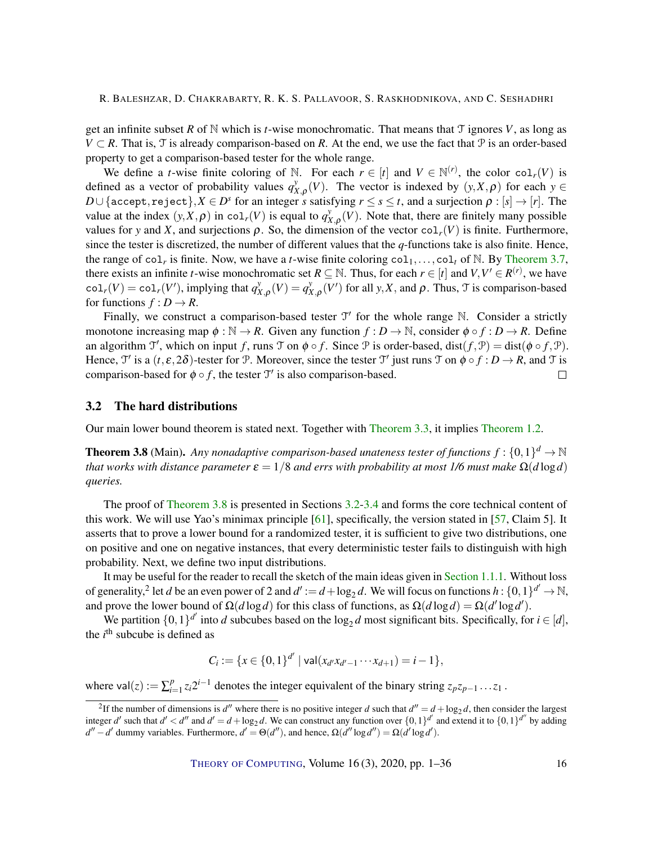<span id="page-15-2"></span>get an infinite subset *R* of  $\mathbb N$  which is *t*-wise monochromatic. That means that  $\mathcal T$  ignores *V*, as long as *V* ⊂ *R*. That is, T is already comparison-based on *R*. At the end, we use the fact that P is an order-based property to get a comparison-based tester for the whole range.

We define a *t*-wise finite coloring of N. For each  $r \in [t]$  and  $V \in \mathbb{N}^{(r)}$ , the color col<sub>*r*</sub>(*V*) is defined as a vector of probability values  $q_{\lambda}^y$  $X_{X,\rho}(V)$ . The vector is indexed by  $(y, X, \rho)$  for each  $y \in V$  $D\cup\{\texttt{accept}, \texttt{reject}\}, X\in D^s$  for an integer  $s$  satisfying  $r\leq s\leq t,$  and a surjection  $\rho:[s]\to [r].$  The value at the index  $(y, X, \rho)$  in col<sub>*r*</sub>(*V*) is equal to  $q^y$  $X_{X,\rho}(V)$ . Note that, there are finitely many possible values for *y* and *X*, and surjections  $\rho$ . So, the dimension of the vector col<sub>*r*</sub>(*V*) is finite. Furthermore, since the tester is discretized, the number of different values that the *q*-functions take is also finite. Hence, the range of col<sub>r</sub> is finite. Now, we have a *t*-wise finite coloring  $col_1, \ldots, col_t$  of N. By [Theorem](#page-14-0) [3.7,](#page-14-0) there exists an infinite *t*-wise monochromatic set  $R \subseteq \mathbb{N}$ . Thus, for each  $r \in [t]$  and  $V, V' \in R^{(r)}$ , we have  $col_r(V) = col_r(V')$ , implying that  $q_X^y$  $\chi_{X,\rho}(V) = q_X^y$  $\chi_{X,\rho}(V')$  for all *y*,*X*, and  $\rho$ . Thus,  $\mathcal{T}$  is comparison-based for functions  $f: D \to R$ .

Finally, we construct a comparison-based tester  $\mathcal{T}'$  for the whole range  $\mathbb{N}$ . Consider a strictly monotone increasing map  $\phi : \mathbb{N} \to \mathbb{R}$ . Given any function  $f : D \to \mathbb{N}$ , consider  $\phi \circ f : D \to \mathbb{R}$ . Define an algorithm  $\mathcal{T}'$ , which on input *f*, runs  $\mathcal{T}$  on  $\phi \circ f$ . Since  $\mathcal{P}$  is order-based, dist $(f, \mathcal{P}) = \text{dist}(\phi \circ f, \mathcal{P})$ . Hence,  $\mathcal{T}'$  is a  $(t, \varepsilon, 2\delta)$ -tester for P. Moreover, since the tester  $\mathcal{T}'$  just runs  $\mathcal{T}$  on  $\phi \circ f : D \to R$ , and  $\mathcal{T}$  is comparison-based for  $\phi \circ f$ , the tester  $\mathcal{T}'$  is also comparison-based.  $\Box$ 

#### <span id="page-15-0"></span>3.2 The hard distributions

Our main lower bound theorem is stated next. Together with [Theorem](#page-12-2) [3.3,](#page-12-2) it implies [Theorem](#page-2-0) [1.2.](#page-2-0)

<span id="page-15-1"></span>**Theorem 3.8** (Main). Any nonadaptive comparison-based unateness tester of functions  $f: \{0,1\}^d \to \mathbb{N}$ *that works with distance parameter*  $\epsilon = 1/8$  *and errs with probability at most 1/6 must make*  $\Omega(d \log d)$ *queries.*

The proof of [Theorem](#page-15-1) [3.8](#page-15-1) is presented in Sections [3.2-](#page-15-0)[3.4](#page-19-0) and forms the core technical content of this work. We will use Yao's minimax principle  $[61]$ , specifically, the version stated in  $[57]$ , Claim 5]. It asserts that to prove a lower bound for a randomized tester, it is sufficient to give two distributions, one on positive and one on negative instances, that every deterministic tester fails to distinguish with high probability. Next, we define two input distributions.

It may be useful for the reader to recall the sketch of the main ideas given in [Section](#page-3-0) [1.1.1.](#page-3-0) Without loss of generality,<sup>2</sup> let *d* be an even power of 2 and  $d' := d + \log_2 d$ . We will focus on functions  $h : \{0,1\}^{d'} \to \mathbb{N}$ , and prove the lower bound of  $\Omega(d \log d)$  for this class of functions, as  $\Omega(d \log d) = \Omega(d' \log d')$ .

We partition  $\{0,1\}^{d'}$  into *d* subcubes based on the  $\log_2 d$  most significant bits. Specifically, for  $i \in [d]$ , the  $i<sup>th</sup>$  subcube is defined as

$$
C_i := \{x \in \{0,1\}^{d'} \mid \text{val}(x_{d'}x_{d'-1}\cdots x_{d+1}) = i-1\},\
$$

where  $val(z) := \sum_{i=1}^{p}$ *i*<sup>*n*</sup></sup> $z_i$ 2<sup>*i*−1</sup> denotes the integer equivalent of the binary string  $z_p z_{p-1} \ldots z_1$ .

<sup>&</sup>lt;sup>2</sup>If the number of dimensions is *d''* where there is no positive integer *d* such that  $d'' = d + \log_2 d$ , then consider the largest integer *d'* such that  $d' < d''$  and  $d' = d + \log_2 d$ . We can construct any function over  $\{0,1\}^{d'}$  and extend it to  $\{0,1\}^{d''}$  by adding  $d'' - d'$  dummy variables. Furthermore,  $d' = \Theta(d'')$ , and hence,  $\Omega(d'' \log d'') = \Omega(d' \log d')$ .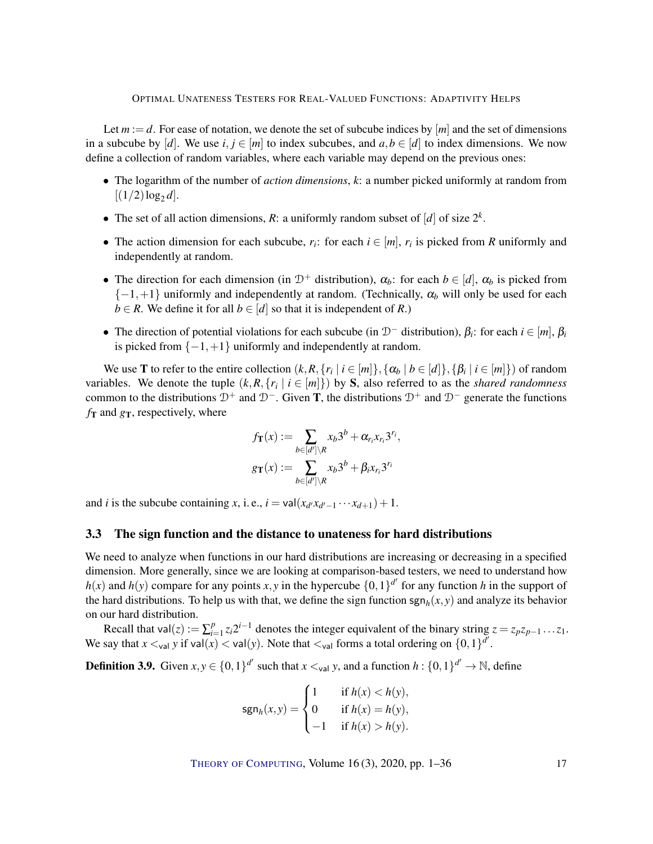Let  $m := d$ . For ease of notation, we denote the set of subcube indices by  $[m]$  and the set of dimensions in a subcube by [*d*]. We use *i*,  $j \in [m]$  to index subcubes, and  $a, b \in [d]$  to index dimensions. We now define a collection of random variables, where each variable may depend on the previous ones:

- The logarithm of the number of *action dimensions*, *k*: a number picked uniformly at random from  $[(1/2)\log_2 d]$ .
- The set of all action dimensions, *R*: a uniformly random subset of  $[d]$  of size  $2^k$ .
- The action dimension for each subcube,  $r_i$ : for each  $i \in [m]$ ,  $r_i$  is picked from *R* uniformly and independently at random.
- The direction for each dimension (in  $D^+$  distribution),  $\alpha_b$ : for each  $b \in [d]$ ,  $\alpha_b$  is picked from  ${-1,+1}$  uniformly and independently at random. (Technically,  $\alpha_b$  will only be used for each *b* ∈ *R*. We define it for all *b* ∈  $[d]$  so that it is independent of *R*.)
- The direction of potential violations for each subcube (in  $D^-$  distribution),  $β_i$ : for each  $i ∈ [m]$ ,  $β_i$ is picked from  $\{-1, +1\}$  uniformly and independently at random.

We use **T** to refer to the entire collection  $(k, R, \{r_i \mid i \in [m]\}, \{\alpha_b \mid b \in [d]\}, \{\beta_i \mid i \in [m]\})$  of random variables. We denote the tuple  $(k, R, \{r_i \mid i \in [m]\})$  by S, also referred to as the *shared randomness* common to the distributions  $\mathcal{D}^+$  and  $\mathcal{D}^-$ . Given **T**, the distributions  $\mathcal{D}^+$  and  $\mathcal{D}^-$  generate the functions  $f_T$  and  $g_T$ , respectively, where

$$
f_{\mathbf{T}}(x) := \sum_{b \in [d'] \setminus R} x_b 3^b + \alpha_{r_i} x_{r_i} 3^{r_i},
$$

$$
g_{\mathbf{T}}(x) := \sum_{b \in [d'] \setminus R} x_b 3^b + \beta_i x_{r_i} 3^{r_i}
$$

and *i* is the subcube containing *x*, i.e.,  $i = \text{val}(x_{d'}x_{d'-1} \cdots x_{d+1}) + 1$ .

## <span id="page-16-0"></span>3.3 The sign function and the distance to unateness for hard distributions

We need to analyze when functions in our hard distributions are increasing or decreasing in a specified dimension. More generally, since we are looking at comparison-based testers, we need to understand how  $h(x)$  and  $h(y)$  compare for any points *x*, *y* in the hypercube  $\{0,1\}^{d'}$  for any function *h* in the support of the hard distributions. To help us with that, we define the sign function  $\text{sgn}_h(x, y)$  and analyze its behavior on our hard distribution.

Recall that val $(z) := \sum_{i=1}^{p}$ *<sup>p</sup>*<sub>*i*</sub>=1</sub> *z*<sub>*i*</sub>2<sup>*i*−1</sup> denotes the integer equivalent of the binary string *z* = *z*<sub>*p*</sub>*z*<sub>*p*−1</sub> ...*z*<sub>1</sub>. We say that  $x <_{\text{val}} y$  if  $\text{val}(x) < \text{val}(y)$ . Note that  $\lt_{\text{val}}$  forms a total ordering on  $\{0,1\}^{\bar{d}'}$ .

**Definition 3.9.** Given  $x, y \in \{0, 1\}^{d'}$  such that  $x \lt_{val} y$ , and a function  $h: \{0, 1\}^{d'} \to \mathbb{N}$ , define

$$
\text{sgn}_h(x, y) = \begin{cases} 1 & \text{if } h(x) < h(y), \\ 0 & \text{if } h(x) = h(y), \\ -1 & \text{if } h(x) > h(y). \end{cases}
$$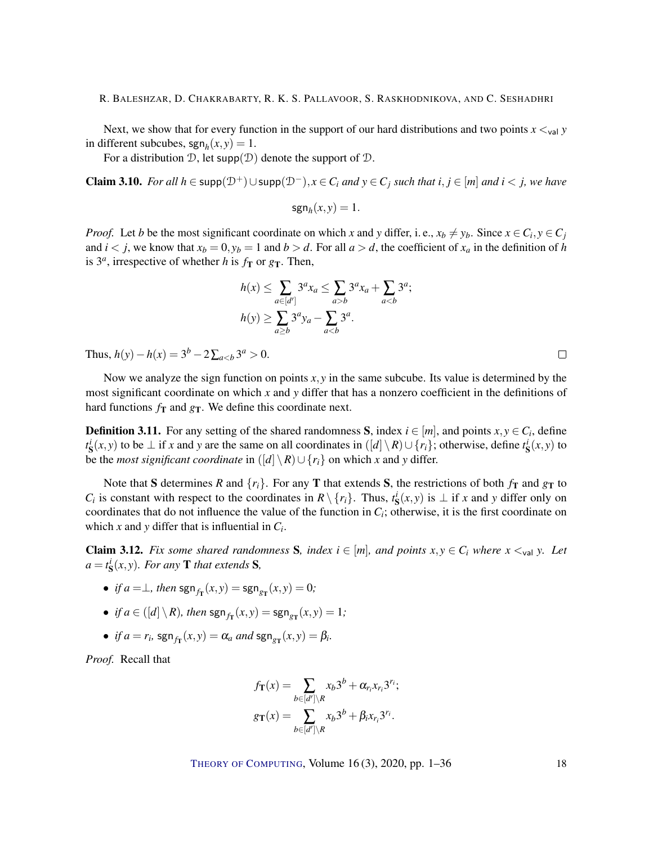Next, we show that for every function in the support of our hard distributions and two points  $x \lt_{val} y$ in different subcubes,  $\text{sgn}_h(x, y) = 1$ .

For a distribution  $\mathcal{D}$ , let supp $(\mathcal{D})$  denote the support of  $\mathcal{D}$ .

<span id="page-17-0"></span>Claim 3.10. *For all*  $h \in \text{supp}(\mathcal{D}^+) \cup \text{supp}(\mathcal{D}^-), x \in C_i$  *and*  $y \in C_j$  *such that*  $i, j \in [m]$  *and*  $i < j$ *, we have* 

$$
\operatorname{sgn}_h(x, y) = 1.
$$

*Proof.* Let *b* be the most significant coordinate on which *x* and *y* differ, i. e.,  $x_b \neq y_b$ . Since  $x \in C_i$ ,  $y \in C_j$ and  $i < j$ , we know that  $x_b = 0$ ,  $y_b = 1$  and  $b > d$ . For all  $a > d$ , the coefficient of  $x_a$  in the definition of *h* is  $3^a$ , irrespective of whether *h* is  $f_{\text{T}}$  or  $g_{\text{T}}$ . Then,

$$
h(x) \le \sum_{a \in [d']} 3^a x_a \le \sum_{a > b} 3^a x_a + \sum_{a < b} 3^a;
$$
  

$$
h(y) \ge \sum_{a \ge b} 3^a y_a - \sum_{a < b} 3^a.
$$

Thus,  $h(y) - h(x) = 3^b - 2\sum_{a 0$ .

Now we analyze the sign function on points  $x, y$  in the same subcube. Its value is determined by the most significant coordinate on which *x* and *y* differ that has a nonzero coefficient in the definitions of hard functions  $f_{\text{T}}$  and  $g_{\text{T}}$ . We define this coordinate next.

**Definition 3.11.** For any setting of the shared randomness S, index  $i \in [m]$ , and points  $x, y \in C_i$ , define  $t$ <sup>*i*</sup></sup> **s**(*x*, *y*) to be ⊥ if *x* and *y* are the same on all coordinates in  $([d] \setminus R) \cup \{r_i\}$ ; otherwise, define  $t$ <sup>*i*</sup></sup> **s**(*x*, *y*) to be the *most significant coordinate* in  $\left(\left[d\right] \setminus R\right) \cup \left\{r_i\right\}$  on which *x* and *y* differ.

Note that S determines *R* and  $\{r_i\}$ . For any **T** that extends S, the restrictions of both  $f_T$  and  $g_T$  to *C<sub>i</sub>* is constant with respect to the coordinates in  $R \setminus \{r_i\}$ . Thus,  $t^i_S(x, y)$  is  $\perp$  if *x* and *y* differ only on coordinates that do not influence the value of the function in  $C_i$ ; otherwise, it is the first coordinate on which *x* and *y* differ that is influential in  $C_i$ .

<span id="page-17-1"></span>**Claim 3.12.** Fix some shared randomness S, index  $i \in [m]$ , and points  $x, y \in C_i$  where  $x \lt_{\text{val}} y$ . Let  $a = t_{\mathbf{S}}^{i}(x, y)$ *. For any* **T** *that extends* **S***,* 

- *if*  $a = \perp$ *, then*  $\text{sgn}_{f_{\text{T}}}(x, y) = \text{sgn}_{g_{\text{T}}}(x, y) = 0$ ;
- *if*  $a \in ([d] \setminus R)$ *, then*  $\text{sgn}_{f_{\text{T}}}(x, y) = \text{sgn}_{g_{\text{T}}}(x, y) = 1$ *;*
- *if*  $a = r_i$ , sgn<sub>fT</sub> $(x, y) = \alpha_a$  *and* sgn<sub>gT</sub> $(x, y) = \beta_i$ .

*Proof.* Recall that

$$
f_{\mathbf{T}}(x) = \sum_{b \in [d'] \setminus R} x_b 3^b + \alpha_{r_i} x_{r_i} 3^{r_i};
$$
  

$$
g_{\mathbf{T}}(x) = \sum_{b \in [d'] \setminus R} x_b 3^b + \beta_i x_{r_i} 3^{r_i}.
$$

THEORY OF C[OMPUTING](http://dx.doi.org/10.4086/toc), Volume 16(3), 2020, pp. 1–36 18

 $\Box$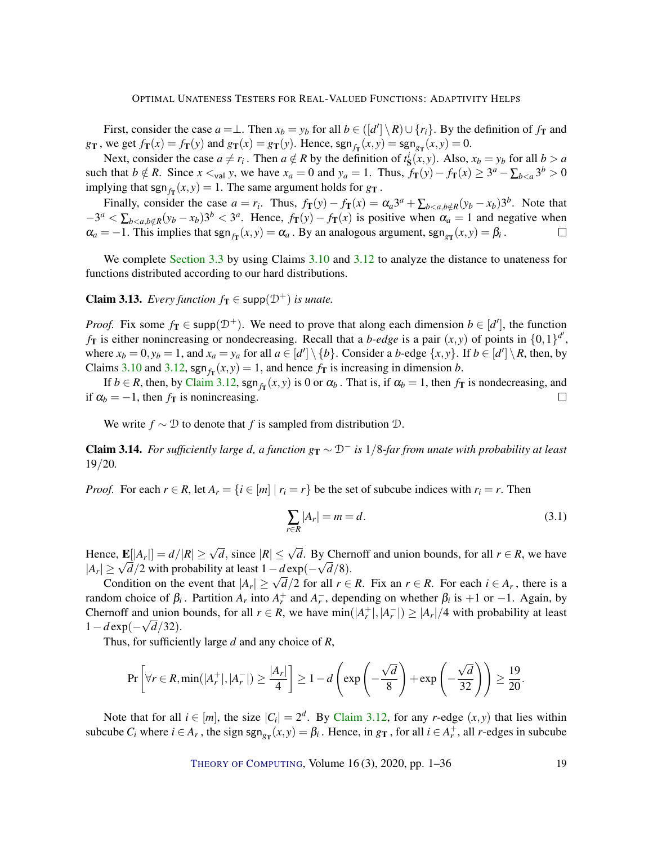First, consider the case  $a = \perp$ . Then  $x_b = y_b$  for all  $b \in (\lfloor d' \rfloor \setminus R) \cup \{r_i\}$ . By the definition of  $f_T$  and *g*<sub>T</sub>, we get  $f_{\mathbf{T}}(x) = f_{\mathbf{T}}(y)$  and  $g_{\mathbf{T}}(x) = g_{\mathbf{T}}(y)$ . Hence,  $\text{sgn}_{f_{\mathbf{T}}}(x, y) = \text{sgn}_{g_{\mathbf{T}}}(x, y) = 0$ .

Next, consider the case  $a \neq r_i$ . Then  $a \notin R$  by the definition of  $t^i_{\mathbf{S}}(x, y)$ . Also,  $x_b = y_b$  for all  $b > a$ such that  $b \notin R$ . Since  $x \leq_{\text{val}} y$ , we have  $x_a = 0$  and  $y_a = 1$ . Thus,  $f_{\text{T}}(y) - f_{\text{T}}(x) \geq 3^a - \sum_{b \leq a} 3^b > 0$ implying that  $\text{sgn}_{f_{\text{T}}}(x, y) = 1$ . The same argument holds for  $g_{\text{T}}$ .

Finally, consider the case  $a = r_i$ . Thus,  $f_{\mathbf{T}}(y) - f_{\mathbf{T}}(x) = \alpha_a 3^a + \sum_{b < a, b \notin R} (y_b - x_b) 3^b$ . Note that  $-3^a < \sum_{b < a, b \notin R} (y_b - x_b) 3^b < 3^a$ . Hence,  $f_{\text{T}}(y) - f_{\text{T}}(x)$  is positive when  $\alpha_a = 1$  and negative when  $\alpha_a = -1$ . This implies that  $\text{sgn}_{f_{\text{T}}}(x, y) = \alpha_a$ . By an analogous argument,  $\text{sgn}_{g_{\text{T}}}(x, y) = \beta_i$ .  $\Box$ 

We complete [Section](#page-16-0) [3.3](#page-16-0) by using Claims [3.10](#page-17-0) and [3.12](#page-17-1) to analyze the distance to unateness for functions distributed according to our hard distributions.

<span id="page-18-0"></span>**Claim 3.13.** *Every function*  $f_{\mathbf{T}} \in \text{supp}(\mathcal{D}^+)$  *is unate.* 

*Proof.* Fix some  $f_{\textbf{T}} \in \text{supp}(\mathcal{D}^+)$ . We need to prove that along each dimension  $b \in [d']$ , the function  $f_{\text{T}}$  is either nonincreasing or nondecreasing. Recall that a *b*-edge is a pair  $(x, y)$  of points in  $\{0, 1\}^{d'}$ , where  $x_b = 0$ ,  $y_b = 1$ , and  $x_a = y_a$  for all  $a \in [d'] \setminus \{b\}$ . Consider a b-edge  $\{x, y\}$ . If  $b \in [d'] \setminus R$ , then, by Claims [3.10](#page-17-0) and [3.12,](#page-17-1)  $\text{sgn}_{f_{\text{T}}}(x, y) = 1$ , and hence  $f_{\text{T}}$  is increasing in dimension *b*.

If  $b \in R$ , then, by [Claim](#page-17-1) [3.12,](#page-17-1) sgn<sub>fT</sub> $(x, y)$  is 0 or  $\alpha_b$ . That is, if  $\alpha_b = 1$ , then  $f_T$  is nondecreasing, and if  $\alpha_b = -1$ , then  $f_{\rm T}$  is nonincreasing.  $\Box$ 

We write  $f \sim \mathcal{D}$  to denote that *f* is sampled from distribution  $\mathcal{D}$ .

<span id="page-18-1"></span>Claim 3.14. *For sufficiently large d, a function*  $g_T ∼ D^-$  *is* 1/8-far from unate with probability at least 19/20*.*

*Proof.* For each  $r \in R$ , let  $A_r = \{i \in [m] \mid r_i = r\}$  be the set of subcube indices with  $r_i = r$ . Then

$$
\sum_{r \in R} |A_r| = m = d. \tag{3.1}
$$

Hence,  $\mathbf{E}[|A_r|] = d/|R| \ge \sqrt{d}$ , since  $|R| \le \sqrt{d}$ . By Chernoff and union bounds, for all  $r \in R$ , we have  $|A_r| \ge \sqrt{d}/2$  with probability at least  $1 - d \exp(-\sqrt{d}/8)$ .

 $\leq \sqrt{a}/2$  with probability at least  $1 - a \exp(-\sqrt{a}/\delta)$ .<br>Condition on the event that  $|A_r| \geq \sqrt{a}/2$  for all  $r \in R$ . Fix an  $r \in R$ . For each  $i \in A_r$ , there is a random choice of  $β<sub>i</sub>$ . Partition  $A<sub>r</sub>$  into  $A<sub>r</sub><sup>+</sup>$  and  $A<sub>r</sub><sup>-</sup>$ , depending on whether  $β<sub>i</sub>$  is +1 or -1. Again, by Chernoff and union bounds, for all  $r \in R$ , we have  $\min(|A_r^+|, |A_r^-|) \ge |A_r|/4$  with probability at least 1−*d* exp(− *d*/32).

Thus, for sufficiently large *d* and any choice of *R*,

$$
\Pr\left[\forall r \in R, \min(|A_r^+|, |A_r^-|) \ge \frac{|A_r|}{4}\right] \ge 1 - d\left(\exp\left(-\frac{\sqrt{d}}{8}\right) + \exp\left(-\frac{\sqrt{d}}{32}\right)\right) \ge \frac{19}{20}.
$$

Note that for all  $i \in [m]$ , the size  $|C_i| = 2^d$ . By [Claim](#page-17-1) [3.12,](#page-17-1) for any *r*-edge  $(x, y)$  that lies within subcube  $C_i$  where  $i \in A_r$ , the sign  $sgn_{g_{\text{T}}}(x, y) = \beta_i$ . Hence, in  $g_{\text{T}}$ , for all  $i \in A_r^+$ , all *r*-edges in subcube

THEORY OF C[OMPUTING](http://dx.doi.org/10.4086/toc), Volume 16(3), 2020, pp. 1–36 19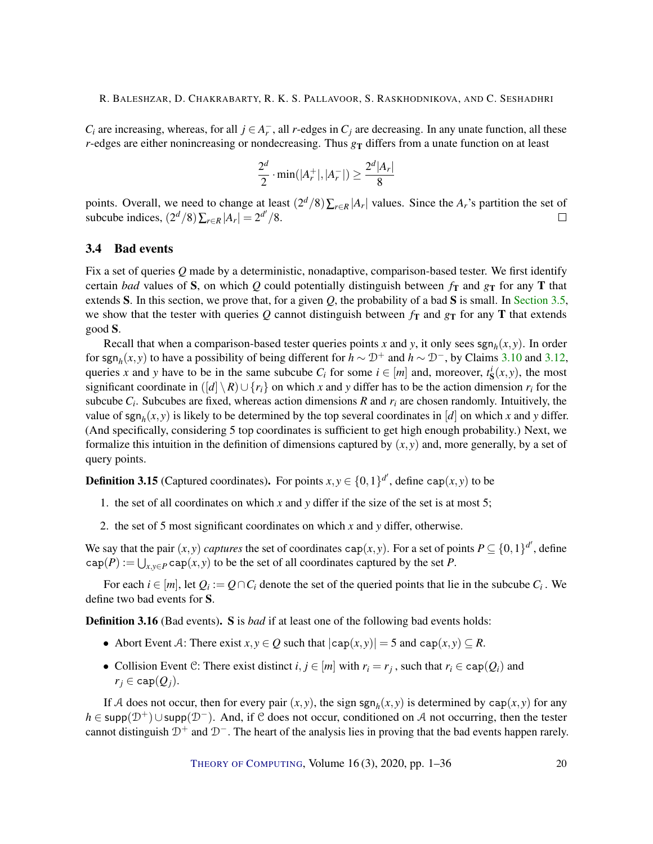*C*<sup>*i*</sup> are increasing, whereas, for all *j* ∈ *A*<sup> $-$ </sup>, all *r*-edges in *C*<sup>*j*</sup> are decreasing. In any unate function, all these *r*-edges are either nonincreasing or nondecreasing. Thus  $g_T$  differs from a unate function on at least

$$
\frac{2^d}{2} \cdot \min(|A_r^+|, |A_r^-|) \ge \frac{2^d |A_r|}{8}
$$

|

points. Overall, we need to change at least  $(2^d/8) \sum_{r \in R} |A_r|$  values. Since the  $A_r$ 's partition the set of subcube indices,  $\left(2^d/8\right)\sum_{r \in R} |A_r| = 2^{d'}/8$ .  $\Box$ 

## <span id="page-19-0"></span>3.4 Bad events

Fix a set of queries *Q* made by a deterministic, nonadaptive, comparison-based tester. We first identify certain *bad* values of S, on which *Q* could potentially distinguish between  $f_T$  and  $g_T$  for any T that extends S. In this section, we prove that, for a given *Q*, the probability of a bad S is small. In [Section](#page-22-0) [3.5,](#page-22-0) we show that the tester with queries  $Q$  cannot distinguish between  $f_{\rm T}$  and  $g_{\rm T}$  for any  $T$  that extends good S.

Recall that when a comparison-based tester queries points *x* and *y*, it only sees  $\text{sgn}_h(x, y)$ . In order for sgn<sub>h</sub>(*x*, *y*) to have a possibility of being different for  $h \sim \mathcal{D}^+$  and  $h \sim \mathcal{D}^-$ , by Claims [3.10](#page-17-0) and [3.12,](#page-17-1) queries *x* and *y* have to be in the same subcube  $C_i$  for some  $i \in [m]$  and, moreover,  $t_s^i(x, y)$ , the most significant coordinate in  $(|d| \setminus R) \cup \{r_i\}$  on which *x* and *y* differ has to be the action dimension  $r_i$  for the subcube  $C_i$ . Subcubes are fixed, whereas action dimensions  $R$  and  $r_i$  are chosen randomly. Intuitively, the value of  $\text{sgn}_h(x, y)$  is likely to be determined by the top several coordinates in [*d*] on which *x* and *y* differ. (And specifically, considering 5 top coordinates is sufficient to get high enough probability.) Next, we formalize this intuition in the definition of dimensions captured by (*x*, *y*) and, more generally, by a set of query points.

<span id="page-19-1"></span>**Definition 3.15** (Captured coordinates). For points  $x, y \in \{0, 1\}^{d'}$ , define cap $(x, y)$  to be

- 1. the set of all coordinates on which *x* and *y* differ if the size of the set is at most 5;
- 2. the set of 5 most significant coordinates on which *x* and *y* differ, otherwise.

We say that the pair  $(x, y)$  *captures* the set of coordinates cap $(x, y)$ . For a set of points  $P \subseteq \{0, 1\}^{d'}$ , define  $cap(P) := \bigcup_{x,y \in P} cap(x,y)$  to be the set of all coordinates captured by the set *P*.

For each  $i \in [m]$ , let  $Q_i := Q \cap C_i$  denote the set of the queried points that lie in the subcube  $C_i$ . We define two bad events for S.

Definition 3.16 (Bad events). S is *bad* if at least one of the following bad events holds:

- Abort Event A: There exist  $x, y \in Q$  such that  $|cap(x, y)| = 5$  and  $cap(x, y) \subseteq R$ .
- Collision Event C: There exist distinct  $i, j \in [m]$  with  $r_i = r_j$ , such that  $r_i \in \text{cap}(Q_i)$  and  $r_j \in \text{cap}(Q_j)$ .

If A does not occur, then for every pair  $(x, y)$ , the sign sgn<sub>h</sub> $(x, y)$  is determined by cap $(x, y)$  for any *h* ∈ supp( $\mathcal{D}^+$ )∪supp( $\mathcal{D}^-$ ). And, if C does not occur, conditioned on A not occurring, then the tester cannot distinguish  $D^+$  and  $D^-$ . The heart of the analysis lies in proving that the bad events happen rarely.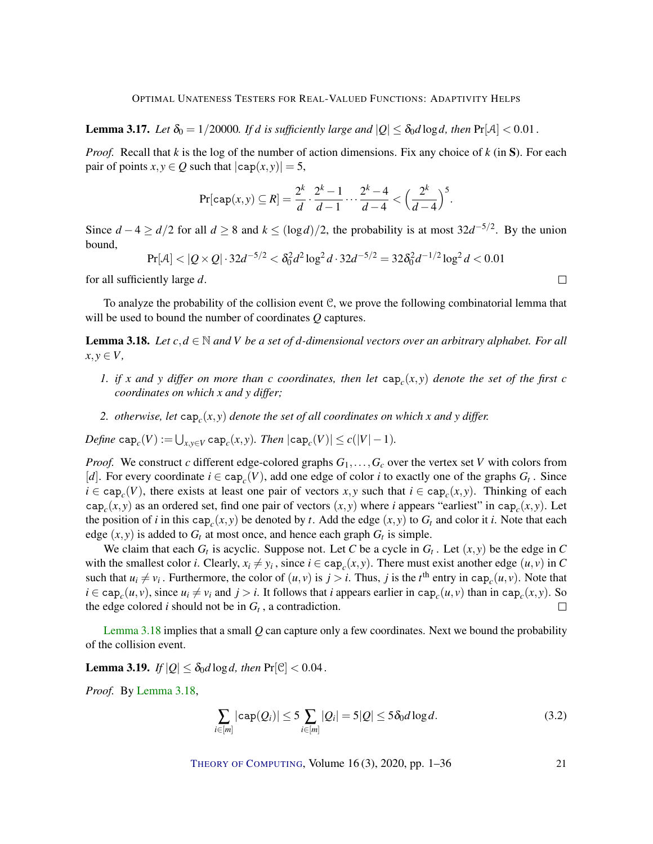<span id="page-20-2"></span>**Lemma 3.17.** *Let*  $\delta_0 = 1/20000$ *. If d is sufficiently large and*  $|Q| \leq \delta_0 d \log d$ , then  $Pr[A] < 0.01$ .

*Proof.* Recall that *k* is the log of the number of action dimensions. Fix any choice of *k* (in S). For each pair of points  $x, y \in Q$  such that  $|cap(x, y)| = 5$ ,

$$
\Pr[\text{cap}(x, y) \subseteq R] = \frac{2^k}{d} \cdot \frac{2^k - 1}{d - 1} \cdots \frac{2^k - 4}{d - 4} < \Big(\frac{2^k}{d - 4}\Big)^5.
$$

Since  $d-4 \ge d/2$  for all  $d \ge 8$  and  $k \le (\log d)/2$ , the probability is at most  $32d^{-5/2}$ . By the union bound,

$$
Pr[\mathcal{A}] < |Q \times Q| \cdot 32d^{-5/2} < \delta_0^2 d^2 \log^2 d \cdot 32d^{-5/2} = 32\delta_0^2 d^{-1/2} \log^2 d < 0.01
$$

 $\Box$ 

for all sufficiently large *d*.

To analyze the probability of the collision event C, we prove the following combinatorial lemma that will be used to bound the number of coordinates *Q* captures.

<span id="page-20-0"></span>**Lemma 3.18.** *Let*  $c, d \in \mathbb{N}$  and *V be a set of d-dimensional vectors over an arbitrary alphabet. For all*  $x, y \in V$ ,

- *1. if x and y differ on more than c coordinates, then let*  $\text{cap}_c(x, y)$  *denote the set of the first c coordinates on which x and y differ;*
- *2. otherwise, let* cap*<sup>c</sup>* (*x*, *y*) *denote the set of all coordinates on which x and y differ.*

 $\mathcal{D}efine \ \mathsf{cap}_c(V) := \bigcup_{x,y \in V} \mathsf{cap}_c(x,y)$ *. Then*  $|\mathsf{cap}_c(V)| \leq c(|V| - 1)$ *.* 

*Proof.* We construct *c* different edge-colored graphs  $G_1, \ldots, G_c$  over the vertex set *V* with colors from [*d*]. For every coordinate  $i \in \text{cap}_c(V)$ , add one edge of color *i* to exactly one of the graphs  $G_t$ . Since  $i \in \text{cap}_c(V)$ , there exists at least one pair of vectors *x*, *y* such that  $i \in \text{cap}_c(x, y)$ . Thinking of each cap<sub>c</sub> $(x, y)$  as an ordered set, find one pair of vectors  $(x, y)$  where *i* appears "earliest" in cap<sub>c</sub> $(x, y)$ . Let the position of *i* in this  $cap_c(x, y)$  be denoted by *t*. Add the edge  $(x, y)$  to  $G_t$  and color it *i*. Note that each edge  $(x, y)$  is added to  $G_t$  at most once, and hence each graph  $G_t$  is simple.

We claim that each  $G_t$  is acyclic. Suppose not. Let *C* be a cycle in  $G_t$ . Let  $(x, y)$  be the edge in *C* with the smallest color *i*. Clearly,  $x_i \neq y_i$ , since  $i \in \text{cap}_c(x, y)$ . There must exist another edge  $(u, v)$  in *C* such that  $u_i \neq v_i$ . Furthermore, the color of  $(u, v)$  is  $j > i$ . Thus, *j* is the *t*<sup>th</sup> entry in cap<sub>*c*</sub> $(u, v)$ . Note that  $i \in \text{cap}_c(u, v)$ , since  $u_i \neq v_i$  and  $j > i$ . It follows that i appears earlier in  $\text{cap}_c(u, v)$  than in  $\text{cap}_c(x, y)$ . So  $\Box$ the edge colored *i* should not be in  $G_t$ , a contradiction.

[Lemma](#page-20-0) [3.18](#page-20-0) implies that a small *Q* can capture only a few coordinates. Next we bound the probability of the collision event.

<span id="page-20-3"></span>**Lemma 3.19.** *If*  $|Q| \leq \delta_0 d \log d$ , then  $Pr[\mathcal{C}] < 0.04$ .

*Proof.* By [Lemma](#page-20-0) [3.18,](#page-20-0)

<span id="page-20-1"></span>
$$
\sum_{i \in [m]} |\text{cap}(Q_i)| \le 5 \sum_{i \in [m]} |Q_i| = 5|Q| \le 5\delta_0 d \log d. \tag{3.2}
$$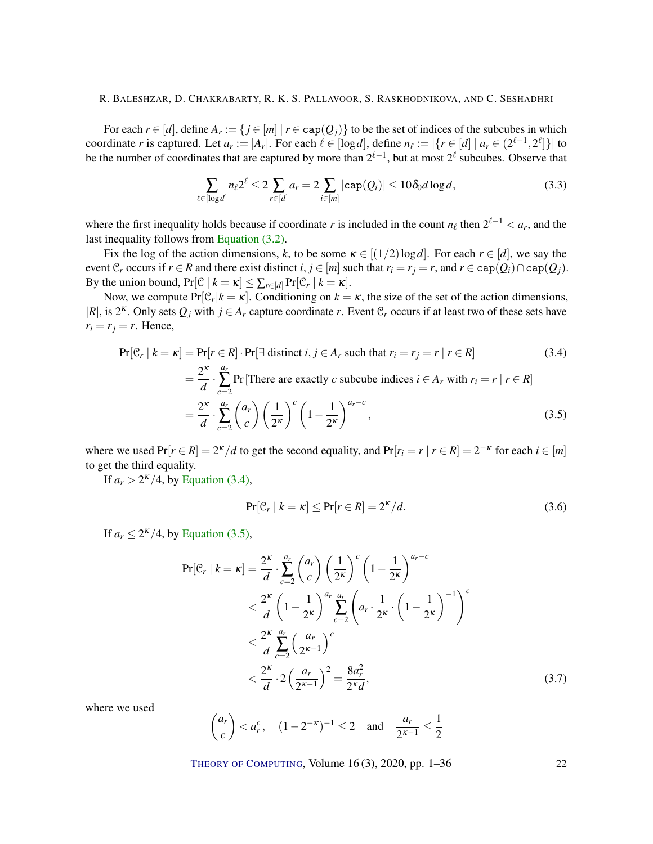For each  $r \in [d]$ , define  $A_r := \{ j \in [m] \mid r \in \text{cap}(Q_j) \}$  to be the set of indices of the subcubes in which coordinate *r* is captured. Let  $a_r := |A_r|$ . For each  $\ell \in [\log d]$ , define  $n_\ell := |\{r \in [d] \mid a_r \in (2^{\ell-1}, 2^\ell]\}|$  to be the number of coordinates that are captured by more than  $2^{\ell-1}$ , but at most  $2^{\ell}$  subcubes. Observe that

<span id="page-21-4"></span>
$$
\sum_{\ell \in [\log d]} n_{\ell} 2^{\ell} \le 2 \sum_{r \in [d]} a_r = 2 \sum_{i \in [m]} |\text{cap}(Q_i)| \le 10 \delta_0 d \log d, \tag{3.3}
$$

where the first inequality holds because if coordinate *r* is included in the count  $n_\ell$  then  $2^{\ell-1} < a_r$ , and the last inequality follows from [Equation \(3.2\).](#page-20-1)

Fix the log of the action dimensions, k, to be some  $\kappa \in [(1/2) \log d]$ . For each  $r \in [d]$ , we say the event  $\mathcal{C}_r$  occurs if  $r \in \mathbb{R}$  and there exist distinct  $i, j \in [m]$  such that  $r_i = r_j = r$ , and  $r \in \text{cap}(Q_i) \cap \text{cap}(Q_j)$ . By the union bound,  $Pr[\mathcal{C} | k = \kappa] \le \sum_{r \in [d]} Pr[\mathcal{C}_r | k = \kappa]$ .

Now, we compute  $Pr[\mathcal{C}_r | k = \kappa]$ . Conditioning on  $k = \kappa$ , the size of the set of the action dimensions,  $|R|$ , is  $2^k$ . Only sets  $Q_j$  with  $j \in A_r$  capture coordinate *r*. Event  $\mathcal{C}_r$  occurs if at least two of these sets have  $r_i = r_j = r$ . Hence,

$$
\Pr[\mathcal{C}_r | k = \kappa] = \Pr[r \in R] \cdot \Pr[\exists \text{ distinct } i, j \in A_r \text{ such that } r_i = r_j = r | r \in R]
$$
(3.4)  

$$
= \frac{2^{\kappa}}{d} \cdot \sum_{c=2}^{a_r} \Pr[\text{There are exactly } c \text{ subcube indices } i \in A_r \text{ with } r_i = r | r \in R]
$$
  

$$
= \frac{2^{\kappa}}{d} \cdot \sum_{c=2}^{a_r} {a_r \choose c} \left(\frac{1}{2^{\kappa}}\right)^c \left(1 - \frac{1}{2^{\kappa}}\right)^{a_r - c},
$$
(3.5)

where we used  $Pr[r \in R] = 2^{\kappa}/d$  to get the second equality, and  $Pr[r_i = r \mid r \in R] = 2^{-\kappa}$  for each  $i \in [m]$ to get the third equality.

If  $a_r > 2^{\kappa}/4$ , by [Equation \(3.4\),](#page-21-0)

<span id="page-21-2"></span><span id="page-21-1"></span><span id="page-21-0"></span>
$$
\Pr[\mathcal{C}_r \mid k = \kappa] \le \Pr[r \in R] = 2^{\kappa}/d. \tag{3.6}
$$

If  $a_r \leq 2^{\kappa}/4$ , by [Equation \(3.5\),](#page-21-1)

$$
\Pr[\mathcal{C}_r \mid k = \kappa] = \frac{2^{\kappa}}{d} \cdot \sum_{c=2}^{a_r} {a_r \choose c} \left(\frac{1}{2^{\kappa}}\right)^c \left(1 - \frac{1}{2^{\kappa}}\right)^{a_r - c}
$$
  

$$
< \frac{2^{\kappa}}{d} \left(1 - \frac{1}{2^{\kappa}}\right)^{a_r} \sum_{c=2}^{a_r} \left(a_r \cdot \frac{1}{2^{\kappa}} \cdot \left(1 - \frac{1}{2^{\kappa}}\right)^{-1}\right)^c
$$
  

$$
\leq \frac{2^{\kappa}}{d} \sum_{c=2}^{a_r} \left(\frac{a_r}{2^{\kappa - 1}}\right)^c
$$
  

$$
< \frac{2^{\kappa}}{d} \cdot 2\left(\frac{a_r}{2^{\kappa - 1}}\right)^2 = \frac{8a_r^2}{2^{\kappa}d},
$$
 (3.7)

where we used

<span id="page-21-3"></span>
$$
\binom{a_r}{c} < a_r^c, \quad (1-2^{-\kappa})^{-1} \leq 2 \quad \text{and} \quad \frac{a_r}{2^{\kappa-1}} \leq \frac{1}{2}
$$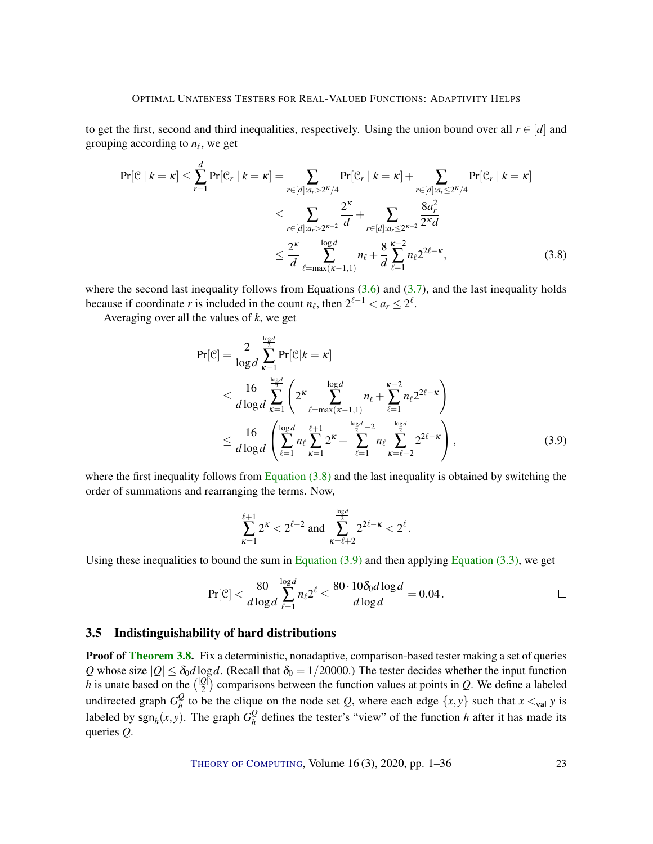to get the first, second and third inequalities, respectively. Using the union bound over all  $r \in [d]$  and grouping according to  $n_\ell$ , we get

$$
\Pr[\mathcal{C} \mid k = \kappa] \le \sum_{r=1}^{d} \Pr[\mathcal{C}_r \mid k = \kappa] = \sum_{r \in [d]: a_r > 2^{\kappa}/4} \Pr[\mathcal{C}_r \mid k = \kappa] + \sum_{r \in [d]: a_r \le 2^{\kappa}/4} \Pr[\mathcal{C}_r \mid k = \kappa]
$$

$$
\le \sum_{r \in [d]: a_r > 2^{\kappa-2}} \frac{2^{\kappa}}{d} + \sum_{r \in [d]: a_r \le 2^{\kappa-2}} \frac{8a_r^2}{2^{\kappa}d}
$$

$$
\le \frac{2^{\kappa}}{d} \sum_{\ell = \max(\kappa - 1, 1)}^{\log d} n_{\ell} + \frac{8}{d} \sum_{\ell = 1}^{\kappa - 2} n_{\ell} 2^{2\ell - \kappa}, \tag{3.8}
$$

where the second last inequality follows from Equations  $(3.6)$  and  $(3.7)$ , and the last inequality holds because if coordinate *r* is included in the count  $n_\ell$ , then  $2^{\ell-1} < a_r \leq 2^\ell$ .

Averaging over all the values of *k*, we get

<span id="page-22-1"></span>
$$
\Pr[\mathcal{C}] = \frac{2}{\log d} \sum_{\kappa=1}^{\frac{\log d}{2}} \Pr[\mathcal{C}|k = \kappa] \n\leq \frac{16}{d \log d} \sum_{\kappa=1}^{\frac{\log d}{2}} \left( 2^{\kappa} \sum_{\ell=\max(\kappa-1,1)}^{\log d} n_{\ell} + \sum_{\ell=1}^{\kappa-2} n_{\ell} 2^{2\ell-\kappa} \right) \n\leq \frac{16}{d \log d} \left( \sum_{\ell=1}^{\log d} n_{\ell} \sum_{\kappa=1}^{\ell+1} 2^{\kappa} + \sum_{\ell=1}^{\frac{\log d}{2}-2} n_{\ell} \sum_{\kappa=\ell+2}^{\frac{\log d}{2}} 2^{2\ell-\kappa} \right),
$$
\n(3.9)

where the first inequality follows from [Equation](#page-22-1)  $(3.8)$  and the last inequality is obtained by switching the order of summations and rearranging the terms. Now,

<span id="page-22-2"></span>
$$
\sum_{\kappa=1}^{\ell+1} 2^{\kappa} < 2^{\ell+2} \text{ and } \sum_{\kappa=\ell+2}^{\frac{\log d}{2}} 2^{2\ell-\kappa} < 2^{\ell}.
$$

Using these inequalities to bound the sum in Equation  $(3.9)$  and then applying Equation  $(3.3)$ , we get

$$
\Pr[\mathcal{C}] < \frac{80}{d \log d} \sum_{\ell=1}^{\log d} n_{\ell} 2^{\ell} \le \frac{80 \cdot 10 \delta_0 d \log d}{d \log d} = 0.04 \, .
$$

#### <span id="page-22-0"></span>3.5 Indistinguishability of hard distributions

**Proof of [Theorem](#page-15-1) [3.8.](#page-15-1)** Fix a deterministic, nonadaptive, comparison-based tester making a set of queries *Q* whose size  $|Q| \le \delta_0 d \log d$ . (Recall that  $\delta_0 = 1/20000$ .) The tester decides whether the input function *h* is unate based on the  $\binom{|Q|}{2}$  $2\binom{[0]}{2}$  comparisons between the function values at points in *Q*. We define a labeled undirected graph  $G_h^Q$  $\frac{Q}{h}$  to be the clique on the node set *Q*, where each edge  $\{x, y\}$  such that  $x \lt_{\text{val}} y$  is labeled by  $\text{sgn}_h(x, y)$ . The graph  $G_h^Q$  $\frac{Q}{h}$  defines the tester's "view" of the function *h* after it has made its queries *Q*.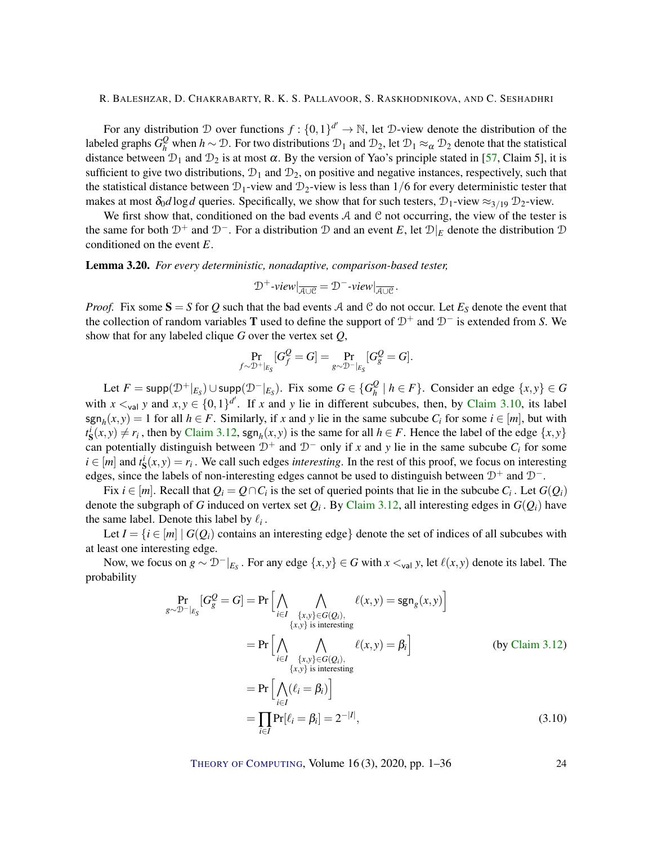<span id="page-23-2"></span>For any distribution D over functions  $f: \{0,1\}^{d'} \to \mathbb{N}$ , let D-view denote the distribution of the labeled graphs  $G_h^Q$  when  $h \sim \mathcal{D}$ . For two distributions  $\mathcal{D}_1$  and  $\mathcal{D}_2$ , let  $\mathcal{D}_1 \approx_\alpha \mathcal{D}_2$  denote that the statistical distance between  $\mathcal{D}_1$  and  $\mathcal{D}_2$  is at most  $\alpha$ . By the version of Yao's principle stated in [\[57,](#page-32-10) Claim 5], it is sufficient to give two distributions,  $\mathcal{D}_1$  and  $\mathcal{D}_2$ , on positive and negative instances, respectively, such that the statistical distance between  $\mathcal{D}_1$ -view and  $\mathcal{D}_2$ -view is less than  $1/6$  for every deterministic tester that makes at most  $\delta_0 d \log d$  queries. Specifically, we show that for such testers,  $\mathcal{D}_1$ -view  $\approx_{3/19} \mathcal{D}_2$ -view.

We first show that, conditioned on the bad events  $A$  and  $C$  not occurring, the view of the tester is the same for both  $\mathcal{D}^+$  and  $\mathcal{D}^-$ . For a distribution  $\mathcal D$  and an event *E*, let  $\mathcal D|_E$  denote the distribution  $\mathcal D$ conditioned on the event *E*.

<span id="page-23-1"></span>Lemma 3.20. *For every deterministic, nonadaptive, comparison-based tester,*

$$
\mathcal{D}^+\text{-}view|_{\overline{\mathcal{A}\cup\mathcal{C}}}=\mathcal{D}^-\text{-}view|_{\overline{\mathcal{A}\cup\mathcal{C}}}.
$$

*Proof.* Fix some  $S = S$  for Q such that the bad events A and C do not occur. Let  $E_S$  denote the event that the collection of random variables T used to define the support of D<sup>+</sup> and D<sup>−</sup> is extended from *S*. We show that for any labeled clique *G* over the vertex set *Q*,

$$
\Pr_{f \sim \mathcal{D}^+ \mid_{E_{\mathcal{S}}}}[G_f^{\mathcal{Q}} = G] = \Pr_{g \sim \mathcal{D}^- \mid_{E_{\mathcal{S}}}}[G_g^{\mathcal{Q}} = G].
$$

 $\text{Let } F = \text{supp}(\mathcal{D}^+|_{E_S}) \cup \text{supp}(\mathcal{D}^-|_{E_S})$ . Fix some  $G \in \{G_h^Q\}$  $\frac{Q}{h}$  | *h* ∈ *F* }. Consider an edge {*x*, *y*} ∈ *G* with  $x \lt_{\text{val}} y$  and  $x, y \in \{0, 1\}^{d'}$ . If *x* and *y* lie in different subcubes, then, by [Claim](#page-17-0) [3.10,](#page-17-0) its label  $\text{sgn}_h(x, y) = 1$  for all  $h \in F$ . Similarly, if *x* and *y* lie in the same subcube  $C_i$  for some  $i \in [m]$ , but with  $t_{\mathbf{S}}^{i}(x, y) \neq r_{i}$ , then by [Claim](#page-17-1) [3.12,](#page-17-1) sgn<sub>h</sub>(*x*, *y*) is the same for all  $h \in F$ . Hence the label of the edge {*x*, *y*} can potentially distinguish between  $D^+$  and  $D^-$  only if *x* and *y* lie in the same subcube  $C_i$  for some  $i \in [m]$  and  $t_s^i(x, y) = r_i$ . We call such edges *interesting*. In the rest of this proof, we focus on interesting edges, since the labels of non-interesting edges cannot be used to distinguish between  $D^+$  and  $D^-$ .

Fix  $i \in [m]$ . Recall that  $Q_i = Q \cap C_i$  is the set of queried points that lie in the subcube  $C_i$ . Let  $G(Q_i)$ denote the subgraph of *G* induced on vertex set  $Q_i$  . By [Claim](#page-17-1) [3.12,](#page-17-1) all interesting edges in  $G(Q_i)$  have the same label. Denote this label by  $\ell_i$ .

Let  $I = \{i \in [m] \mid G(Q_i)$  contains an interesting edge} denote the set of indices of all subcubes with at least one interesting edge.

Now, we focus on  $g \sim \mathcal{D}^{-}|_{E_S}$ . For any edge  $\{x, y\} \in G$  with  $x \lt_{val} y$ , let  $\ell(x, y)$  denote its label. The probability

*<sup>g</sup>*∼D−|*ES*

$$
\Pr_{\substack{y \sim \mathcal{D}^{-} \mid E_{\mathcal{S}}}}[G_{g}^{\mathcal{Q}} = G] = \Pr\Big[\bigwedge_{i \in I} \bigwedge_{\substack{\{x,y\} \in G(Q_{i}), \\ \{x,y\} \text{ is interesting} \} \neq (x,y) = \text{sgn}_{g}(x,y)\Big]}
$$
\n
$$
= \Pr\Big[\bigwedge_{i \in I} \bigwedge_{\substack{\{x,y\} \in G(Q_{i}), \\ \{x,y\} \text{ is interesting} \} \neq (x,y) = \beta_{i}\Big]} \qquad \text{(by Claim 3.12)}
$$
\n
$$
= \Pr\Big[\bigwedge_{i \in I} (\ell_{i} = \beta_{i})\Big]
$$
\n
$$
= \prod_{i \in I} \Pr[\ell_{i} = \beta_{i}] = 2^{-|I|}, \qquad (3.10)
$$

<span id="page-23-0"></span>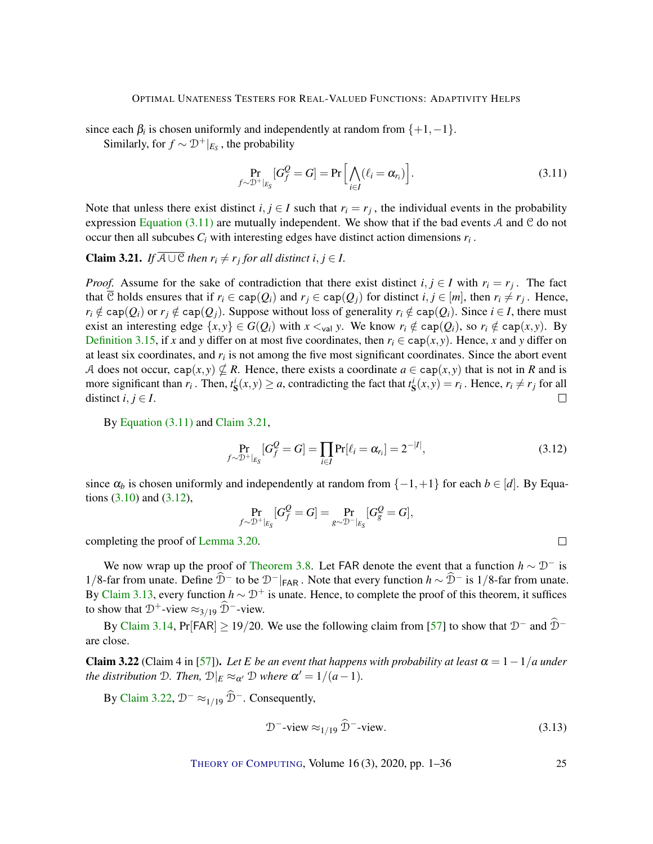<span id="page-24-5"></span>since each  $\beta_i$  is chosen uniformly and independently at random from  $\{+1, -1\}$ . Similarly, for  $f \sim \mathcal{D}^+|_{E_S}$ , the probability

<span id="page-24-0"></span>
$$
\Pr_{f \sim \mathcal{D}^+|_{E_{\mathcal{S}}}}[G_f^{\mathcal{Q}} = G] = \Pr\Big[\bigwedge_{i \in I} (\ell_i = \alpha_{r_i})\Big].\tag{3.11}
$$

Note that unless there exist distinct  $i, j \in I$  such that  $r_i = r_j$ , the individual events in the probability expression [Equation](#page-24-0) [\(3.11\)](#page-24-0) are mutually independent. We show that if the bad events  $A$  and  $C$  do not occur then all subcubes  $C_i$  with interesting edges have distinct action dimensions  $r_i$ .

<span id="page-24-1"></span>**Claim 3.21.** *If*  $A \cup C$  *then*  $r_i \neq r_j$  *for all distinct i*, *j*  $\in$  *I*.

*Proof.* Assume for the sake of contradiction that there exist distinct  $i, j \in I$  with  $r_i = r_j$ . The fact that C holds ensures that if  $r_i \in \text{cap}(Q_i)$  and  $r_j \in \text{cap}(Q_j)$  for distinct  $i, j \in [m]$ , then  $r_i \neq r_j$ . Hence,  $r_i \notin \text{cap}(Q_i)$  or  $r_j \notin \text{cap}(Q_j)$ . Suppose without loss of generality  $r_i \notin \text{cap}(Q_i)$ . Since  $i \in I$ , there must exist an interesting edge  $\{x, y\} \in G(Q_i)$  with  $x \leq_{\text{val}} y$ . We know  $r_i \notin \text{cap}(Q_i)$ , so  $r_i \notin \text{cap}(x, y)$ . By [Definition](#page-19-1) [3.15,](#page-19-1) if *x* and *y* differ on at most five coordinates, then  $r_i \in \text{cap}(x, y)$ . Hence, *x* and *y* differ on at least six coordinates, and *r<sup>i</sup>* is not among the five most significant coordinates. Since the abort event A does not occur, cap $(x, y) \nsubseteq R$ . Hence, there exists a coordinate  $a \in \text{cap}(x, y)$  that is not in R and is more significant than  $r_i$ . Then,  $t_s^i(x, y) \ge a$ , contradicting the fact that  $t_s^i(x, y) = r_i$ . Hence,  $r_i \ne r_j$  for all distinct  $i, j \in I$ .  $\Box$ 

By [Equation \(3.11\)](#page-24-0) and [Claim](#page-24-1) [3.21,](#page-24-1)

$$
\Pr_{f \sim \mathcal{D}^+|_{E_S}}[G_f^Q = G] = \prod_{i \in I} \Pr[\ell_i = \alpha_{r_i}] = 2^{-|I|},\tag{3.12}
$$

<span id="page-24-4"></span><span id="page-24-2"></span> $\Box$ 

since  $\alpha_b$  is chosen uniformly and independently at random from  $\{-1, +1\}$  for each  $b \in [d]$ . By Equations  $(3.10)$  and  $(3.12)$ ,

$$
\Pr_{f\sim \mathcal{D}^+|_{E_{\mathcal{S}}}}[G_f^{\mathcal{Q}}=G]=\Pr_{g\sim \mathcal{D}^-|_{E_{\mathcal{S}}}}[G_g^{\mathcal{Q}}=G],
$$

completing the proof of [Lemma](#page-23-1) [3.20.](#page-23-1)

We now wrap up the proof of [Theorem](#page-15-1) [3.8.](#page-15-1) Let FAR denote the event that a function  $h \sim \mathcal{D}^-$  is 1/8-far from unate. Define  $\hat{D}^-$  to be  $D^-|_{FAR}$ . Note that every function  $h \sim \hat{D}^-$  is 1/8-far from unate. By [Claim](#page-18-0) [3.13,](#page-18-0) every function  $h \sim \mathcal{D}^+$  is unate. Hence, to complete the proof of this theorem, it suffices to show that  $\mathcal{D}^+$ -view  $\approx_{3/19} \tilde{\mathcal{D}}^-$ -view.

By [Claim](#page-18-1) [3.14,](#page-18-1) Pr[FAR] ≥ 19/20. We use the following claim from [\[57\]](#page-32-10) to show that  $\mathcal{D}^-$  and  $\widehat{\mathcal{D}}^$ are close.

<span id="page-24-3"></span>Claim 3.22 (Claim 4 in [\[57\]](#page-32-10)). *Let E be an event that happens with probability at least*  $\alpha = 1 - 1/a$  *under the distribution*  $D$ *. Then,*  $D|_E \approx_{\alpha'} D$  *where*  $\alpha' = 1/(a-1)$ *.* 

By [Claim](#page-24-3) [3.22,](#page-24-3)  $\mathcal{D}^- \approx_{1/19} \widehat{\mathcal{D}}^-$ . Consequently,

$$
\mathcal{D}^-{\text{-view}} \approx_{1/19} \widehat{\mathcal{D}}^-{\text{-view}}.
$$
\n(3.13)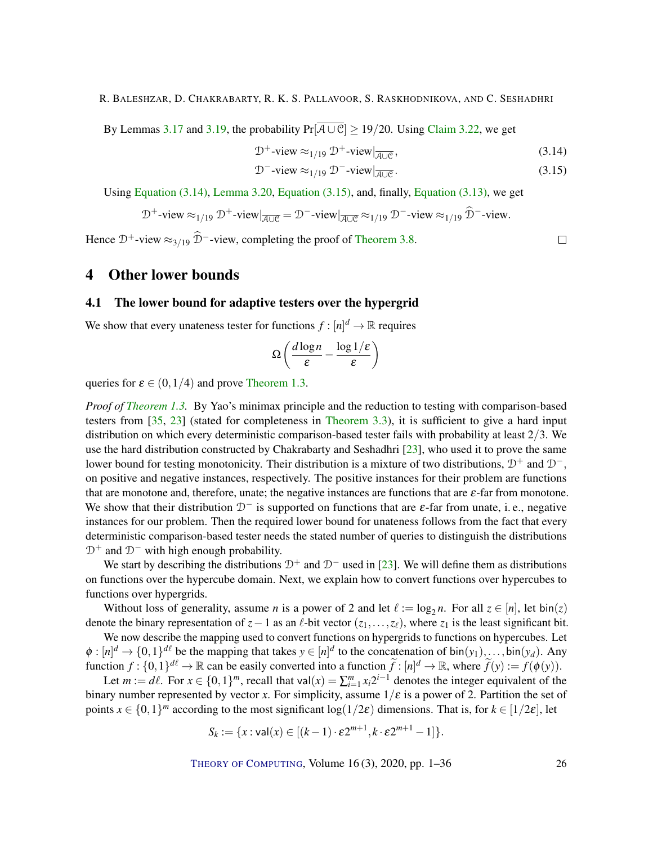<span id="page-25-3"></span>By Lemmas [3.17](#page-20-2) and [3.19,](#page-20-3) the probability  $Pr[\overline{A\cup C}] \ge 19/20$ . Using [Claim](#page-24-3) [3.22,](#page-24-3) we get

$$
\mathcal{D}^+\text{-view} \approx_{1/19} \mathcal{D}^+\text{-view}|_{\overline{\mathcal{A}\cup\mathcal{C}}},\tag{3.14}
$$

$$
\mathcal{D}^{-} \text{-view} \approx_{1/19} \mathcal{D}^{-} \text{-view} |_{\overline{\mathcal{A} \cup \mathcal{C}}}.
$$
\n(3.15)

Using [Equation \(3.14\),](#page-25-1) [Lemma](#page-23-1) [3.20,](#page-23-1) [Equation \(3.15\),](#page-25-2) and, finally, [Equation \(3.13\),](#page-24-4) we get

$$
\mathcal{D}^+\text{-view} \approx_{1/19} \mathcal{D}^+\text{-view}\vert_{\overline{\mathcal{A}\cup\mathcal{C}}} = \mathcal{D}^-\text{-view}\vert_{\overline{\mathcal{A}\cup\mathcal{C}}} \approx_{1/19} \mathcal{D}^-\text{-view} \approx_{1/19} \widehat{\mathcal{D}}^-\text{-view}.
$$

Hence  $\mathcal{D}^+$ -view  $\approx_{3/19} \widehat{\mathcal{D}}^-$ -view, completing the proof of [Theorem](#page-15-1) [3.8.](#page-15-1)

# 4 Other lower bounds

### <span id="page-25-0"></span>4.1 The lower bound for adaptive testers over the hypergrid

We show that every unateness tester for functions  $f : [n]^d \to \mathbb{R}$  requires

$$
\Omega\left(\frac{d\log n}{\varepsilon} - \frac{\log 1/\varepsilon}{\varepsilon}\right)
$$

queries for  $\varepsilon \in (0, 1/4)$  and prove [Theorem](#page-2-1) [1.3.](#page-2-1)

*Proof of [Theorem](#page-2-1) [1.3.](#page-2-1)* By Yao's minimax principle and the reduction to testing with comparison-based testers from [\[35,](#page-31-4) [23\]](#page-29-4) (stated for completeness in [Theorem](#page-12-2) [3.3\)](#page-12-2), it is sufficient to give a hard input distribution on which every deterministic comparison-based tester fails with probability at least 2/3. We use the hard distribution constructed by Chakrabarty and Seshadhri [\[23\]](#page-29-4), who used it to prove the same lower bound for testing monotonicity. Their distribution is a mixture of two distributions,  $D^+$  and  $D^-$ , on positive and negative instances, respectively. The positive instances for their problem are functions that are monotone and, therefore, unate; the negative instances are functions that are  $\varepsilon$ -far from monotone. We show that their distribution  $D^-$  is supported on functions that are  $\varepsilon$ -far from unate, i.e., negative instances for our problem. Then the required lower bound for unateness follows from the fact that every deterministic comparison-based tester needs the stated number of queries to distinguish the distributions  $D^+$  and  $D^-$  with high enough probability.

We start by describing the distributions  $\mathcal{D}^+$  and  $\mathcal{D}^-$  used in [\[23\]](#page-29-4). We will define them as distributions on functions over the hypercube domain. Next, we explain how to convert functions over hypercubes to functions over hypergrids.

Without loss of generality, assume *n* is a power of 2 and let  $\ell := \log_2 n$ . For all  $z \in [n]$ , let bin(*z*) denote the binary representation of  $z-1$  as an  $\ell$ -bit vector ( $z_1, \ldots, z_\ell$ ), where  $z_1$  is the least significant bit.

We now describe the mapping used to convert functions on hypergrids to functions on hypercubes. Let  $\phi: [n]^d \to \{0,1\}^{d\ell}$  be the mapping that takes  $y \in [n]^d$  to the concatenation of bin $(y_1), \ldots, \text{bin}(y_d)$ . Any function  $f : \{0,1\}^{d\ell} \to \mathbb{R}$  can be easily converted into a function  $\tilde{f} : [n]^d \to \mathbb{R}$ , where  $\tilde{f}(y) := f(\phi(y))$ .

Let  $m := d\ell$ . For  $x \in \{0,1\}^m$ , recall that val $(x) = \sum_{i=1}^m x_i 2^{i-1}$  denotes the integer equivalent of the binary number represented by vector *x*. For simplicity, assume  $1/\varepsilon$  is a power of 2. Partition the set of points  $x \in \{0,1\}^m$  according to the most significant log( $1/2\varepsilon$ ) dimensions. That is, for  $k \in [1/2\varepsilon]$ , let

$$
S_k := \{x : \mathsf{val}(x) \in [(k-1) \cdot \varepsilon 2^{m+1}, k \cdot \varepsilon 2^{m+1} - 1] \}.
$$

THEORY OF C[OMPUTING](http://dx.doi.org/10.4086/toc), Volume 16 (3), 2020, pp. 1–36 26

<span id="page-25-2"></span><span id="page-25-1"></span> $\Box$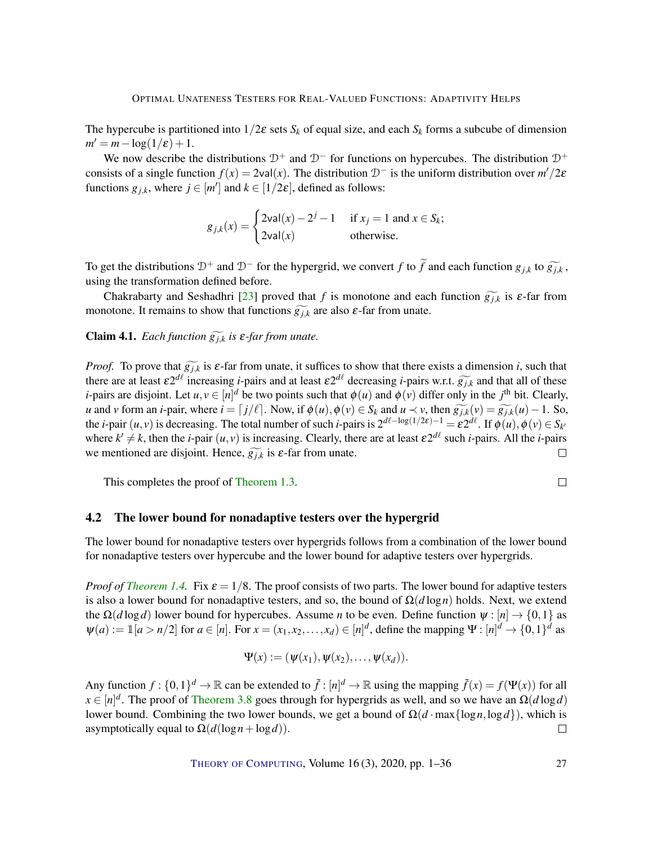<span id="page-26-1"></span>The hypercube is partitioned into  $1/2\varepsilon$  sets  $S_k$  of equal size, and each  $S_k$  forms a subcube of dimension  $m' = m - \log(1/\varepsilon) + 1.$ 

We now describe the distributions  $\mathcal{D}^+$  and  $\mathcal{D}^-$  for functions on hypercubes. The distribution  $\mathcal{D}^+$ consists of a single function  $f(x) = 2\text{val}(x)$ . The distribution  $\mathcal{D}^-$  is the uniform distribution over  $m'/2\varepsilon$ functions  $g_{j,k}$ , where  $j \in [m']$  and  $k \in [1/2\varepsilon]$ , defined as follows:

$$
g_{j,k}(x) = \begin{cases} 2\text{val}(x) - 2^{j} - 1 & \text{if } x_j = 1 \text{ and } x \in S_k; \\ 2\text{val}(x) & \text{otherwise.} \end{cases}
$$

To get the distributions  $D^+$  and  $D^-$  for the hypergrid, we convert *f* to  $\widetilde{f}$  and each function  $g_{jk}$  to  $\widetilde{g_{jk}}$ , using the transformation defined before.

Chakrabarty and Seshadhri [\[23\]](#page-29-4) proved that *f* is monotone and each function  $\widetilde{g_{j,k}}$  is  $\varepsilon$ -far from monotone. It remains to show that functions  $g_{jk}$  are also  $\varepsilon$ -far from unate.

**Claim 4.1.** *Each function*  $\widetilde{g_{j,k}}$  *is*  $\varepsilon$ *-far from unate.* 

*Proof.* To prove that  $\widetilde{g_{j,k}}$  is  $\varepsilon$ -far from unate, it suffices to show that there exists a dimension *i*, such that there are at least  $\varepsilon 2^{d\ell}$  increasing *i*-pairs and at least  $\varepsilon 2^{d\ell}$  decreasing *i*-pairs w.r.t.  $g_{j,k}^-$  and that all of these *i* noirs are disjoint. Let  $u, v \in [u]^d$  be two points such that  $\phi(u)$  and  $\phi(u)$  d *i*-pairs are disjoint. Let  $u, v \in [n]^d$  be two points such that  $\phi(u)$  and  $\phi(v)$  differ only in the *j*<sup>th</sup> bit. Clearly, u and v form an *i*-pair, where  $i = \lfloor j/\ell \rfloor$ . Now, if  $\phi(u), \phi(v) \in S_k$  and  $u \prec v$ , then  $\widetilde{g_{j,k}}(v) = \widetilde{g_{j,k}}(u) - 1$ . So, the *i*-pair  $(u, v)$  is decreasing. The total number of such *i*-pairs is  $2^{d\ell-\log(1/2\varepsilon)-1} = \varepsilon 2^{d\ell}$ . If  $\phi(u), \phi(v) \in S_{k'}$ where  $k' \neq k$ , then the *i*-pair  $(u, v)$  is increasing. Clearly, there are at least  $\epsilon 2^{d\ell}$  such *i*-pairs. All the *i*-pairs we mentioned are disjoint. Hence,  $g_{j,k}$  is  $\varepsilon$ -far from unate.  $\Box$ 

This completes the proof of [Theorem](#page-2-1) [1.3.](#page-2-1)

<span id="page-26-0"></span>4.2 The lower bound for nonadaptive testers over the hypergrid

The lower bound for nonadaptive testers over hypergrids follows from a combination of the lower bound for nonadaptive testers over hypercube and the lower bound for adaptive testers over hypergrids.

 $\Box$ 

*Proof of [Theorem](#page-3-1) [1.4.](#page-3-1)* Fix  $\varepsilon = 1/8$ . The proof consists of two parts. The lower bound for adaptive testers is also a lower bound for nonadaptive testers, and so, the bound of  $\Omega(d \log n)$  holds. Next, we extend the  $\Omega(d \log d)$  lower bound for hypercubes. Assume *n* to be even. Define function  $\psi : [n] \to \{0,1\}$  as  $\psi(a) := \mathbb{1}[a > n/2]$  for  $a \in [n]$ . For  $x = (x_1, x_2, \ldots, x_d) \in [n]^d$ , define the mapping  $\Psi : [n]^d \to \{0, 1\}^d$  as

$$
\Psi(x):=(\psi(x_1),\psi(x_2),\ldots,\psi(x_d)).
$$

Any function  $f: \{0,1\}^d \to \mathbb{R}$  can be extended to  $\tilde{f}: [n]^d \to \mathbb{R}$  using the mapping  $\tilde{f}(x) = f(\Psi(x))$  for all  $x \in [n]^d$ . The proof of [Theorem](#page-15-1) [3.8](#page-15-1) goes through for hypergrids as well, and so we have an  $\Omega(d \log d)$ lower bound. Combining the two lower bounds, we get a bound of  $\Omega(d \cdot \max\{\log n, \log d\})$ , which is asymptotically equal to  $\Omega(d(\log n + \log d))$ .  $\Box$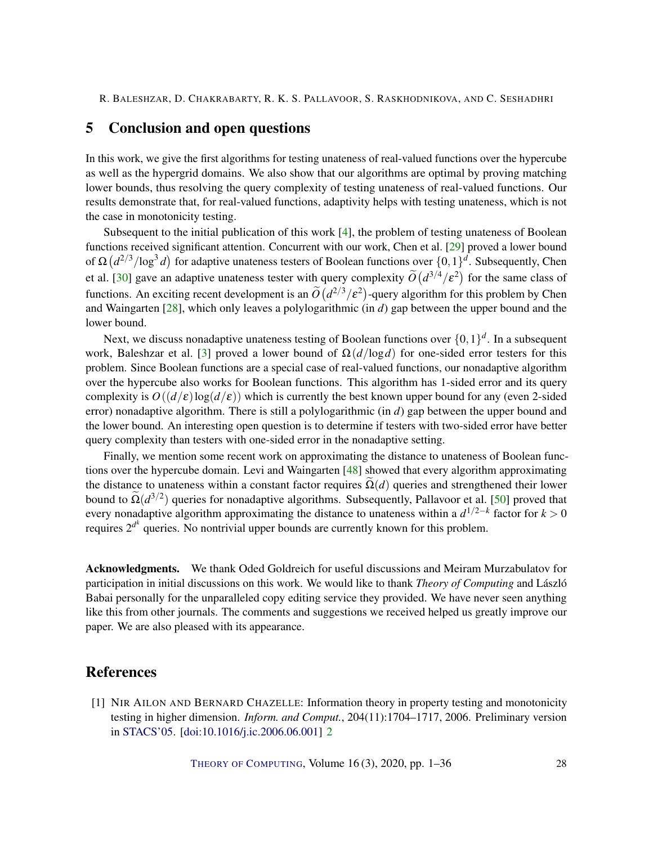# <span id="page-27-1"></span>5 Conclusion and open questions

In this work, we give the first algorithms for testing unateness of real-valued functions over the hypercube as well as the hypergrid domains. We also show that our algorithms are optimal by proving matching lower bounds, thus resolving the query complexity of testing unateness of real-valued functions. Our results demonstrate that, for real-valued functions, adaptivity helps with testing unateness, which is not the case in monotonicity testing.

Subsequent to the initial publication of this work  $[4]$ , the problem of testing unateness of Boolean functions received significant attention. Concurrent with our work, Chen et al. [\[29\]](#page-30-6) proved a lower bound of Ω  $(d^{2/3}/\log^3 d)$  for adaptive unateness testers of Boolean functions over  $\{0,1\}^d$ . Subsequently, Chen et al. [\[30\]](#page-30-9) gave an adaptive unateness tester with query complexity  $\tilde{O}(d^{3/4}/\epsilon^2)$  for the same class of functions. An exciting recent development is an  $\tilde{O}(d^{2/3}/\epsilon^2)$ -query algorithm for this problem by Chen and Waingarten [\[28\]](#page-30-10), which only leaves a polylogarithmic (in *d*) gap between the upper bound and the lower bound.

Next, we discuss nonadaptive unateness testing of Boolean functions over  $\{0,1\}^d$ . In a subsequent work, Baleshzar et al. [\[3\]](#page-28-10) proved a lower bound of  $\Omega(d/\log d)$  for one-sided error testers for this problem. Since Boolean functions are a special case of real-valued functions, our nonadaptive algorithm over the hypercube also works for Boolean functions. This algorithm has 1-sided error and its query complexity is  $O((d/\epsilon)\log(d/\epsilon))$  which is currently the best known upper bound for any (even 2-sided error) nonadaptive algorithm. There is still a polylogarithmic (in *d*) gap between the upper bound and the lower bound. An interesting open question is to determine if testers with two-sided error have better query complexity than testers with one-sided error in the nonadaptive setting.

Finally, we mention some recent work on approximating the distance to unateness of Boolean functions over the hypercube domain. Levi and Waingarten [\[48\]](#page-32-11) showed that every algorithm approximating the distance to unateness within a constant factor requires  $\Omega(d)$  queries and strengthened their lower bound to  $\tilde{\Omega}(d^{3/2})$  queries for nonadaptive algorithms. Subsequently, Pallavoor et al. [\[50\]](#page-32-4) proved that every nonadaptive algorithm approximating the distance to unateness within a *d* 1/2−*k* factor for *k* > 0 requires  $2^{d^k}$  queries. No nontrivial upper bounds are currently known for this problem.

Acknowledgments. We thank Oded Goldreich for useful discussions and Meiram Murzabulatov for participation in initial discussions on this work. We would like to thank *Theory of Computing* and László Babai personally for the unparalleled copy editing service they provided. We have never seen anything like this from other journals. The comments and suggestions we received helped us greatly improve our paper. We are also pleased with its appearance.

## References

<span id="page-27-0"></span>[1] NIR AILON AND BERNARD CHAZELLE: Information theory in property testing and monotonicity testing in higher dimension. *Inform. and Comput.*, 204(11):1704–1717, 2006. Preliminary version in [STACS'05.](https://doi.org/10.1007/978-3-540-31856-9_36) [\[doi:10.1016/j.ic.2006.06.001\]](http://dx.doi.org/10.1016/j.ic.2006.06.001) [2](#page-1-0)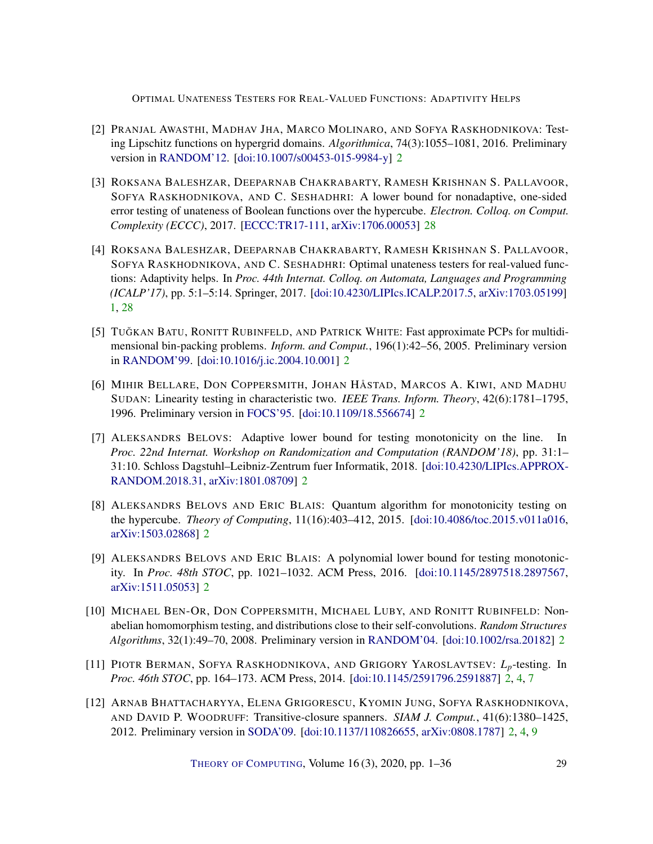- <span id="page-28-7"></span>[2] PRANJAL AWASTHI, MADHAV JHA, MARCO MOLINARO, AND SOFYA RASKHODNIKOVA: Testing Lipschitz functions on hypergrid domains. *Algorithmica*, 74(3):1055–1081, 2016. Preliminary version in [RANDOM'12.](http://doi.org/10.1007/978-3-642-32512-0_33) [\[doi:10.1007/s00453-015-9984-y\]](http://dx.doi.org/10.1007/s00453-015-9984-y) [2](#page-1-0)
- <span id="page-28-10"></span>[3] ROKSANA BALESHZAR, DEEPARNAB CHAKRABARTY, RAMESH KRISHNAN S. PALLAVOOR, SOFYA RASKHODNIKOVA, AND C. SESHADHRI: A lower bound for nonadaptive, one-sided error testing of unateness of Boolean functions over the hypercube. *Electron. Colloq. on Comput. Complexity (ECCC)*, 2017. [\[ECCC:TR17-111,](https://eccc.weizmann.ac.il/report/2017/111) [arXiv:1706.00053\]](http://arxiv.org/abs/1706.00053) [28](#page-27-1)
- <span id="page-28-0"></span>[4] ROKSANA BALESHZAR, DEEPARNAB CHAKRABARTY, RAMESH KRISHNAN S. PALLAVOOR, SOFYA RASKHODNIKOVA, AND C. SESHADHRI: Optimal unateness testers for real-valued functions: Adaptivity helps. In *Proc. 44th Internat. Colloq. on Automata, Languages and Programming (ICALP'17)*, pp. 5:1–5:14. Springer, 2017. [\[doi:10.4230/LIPIcs.ICALP.2017.5,](http://dx.doi.org/10.4230/LIPIcs.ICALP.2017.5) [arXiv:1703.05199\]](http://arxiv.org/abs/1703.05199) [1,](#page-0-0) [28](#page-27-1)
- <span id="page-28-1"></span>[5] TUĞKAN BATU, RONITT RUBINFELD, AND PATRICK WHITE: Fast approximate PCPs for multidimensional bin-packing problems. *Inform. and Comput.*, 196(1):42–56, 2005. Preliminary version in [RANDOM'99.](https://doi.org/10.1007/978-3-540-48413-4_25) [\[doi:10.1016/j.ic.2004.10.001\]](http://dx.doi.org/10.1016/j.ic.2004.10.001) [2](#page-1-0)
- <span id="page-28-8"></span>[6] MIHIR BELLARE, DON COPPERSMITH, JOHAN HÅSTAD, MARCOS A. KIWI, AND MADHU SUDAN: Linearity testing in characteristic two. *IEEE Trans. Inform. Theory*, 42(6):1781–1795, 1996. Preliminary version in [FOCS'95.](http://doi.org/10.1109/SFCS.1995.492574) [\[doi:10.1109/18.556674\]](http://dx.doi.org/10.1109/18.556674) [2](#page-1-0)
- <span id="page-28-6"></span>[7] ALEKSANDRS BELOVS: Adaptive lower bound for testing monotonicity on the line. In *Proc. 22nd Internat. Workshop on Randomization and Computation (RANDOM'18)*, pp. 31:1– 31:10. Schloss Dagstuhl–Leibniz-Zentrum fuer Informatik, 2018. [\[doi:10.4230/LIPIcs.APPROX-](http://dx.doi.org/10.4230/LIPIcs.APPROX-RANDOM.2018.31)[RANDOM.2018.31,](http://dx.doi.org/10.4230/LIPIcs.APPROX-RANDOM.2018.31) [arXiv:1801.08709\]](http://arxiv.org/abs/1801.08709) [2](#page-1-0)
- <span id="page-28-4"></span>[8] ALEKSANDRS BELOVS AND ERIC BLAIS: Quantum algorithm for monotonicity testing on the hypercube. *Theory of Computing*, 11(16):403–412, 2015. [\[doi:10.4086/toc.2015.v011a016,](http://dx.doi.org/10.4086/toc.2015.v011a016) [arXiv:1503.02868\]](http://arxiv.org/abs/1503.02868) [2](#page-1-0)
- <span id="page-28-5"></span>[9] ALEKSANDRS BELOVS AND ERIC BLAIS: A polynomial lower bound for testing monotonicity. In *Proc. 48th STOC*, pp. 1021–1032. ACM Press, 2016. [\[doi:10.1145/2897518.2897567,](http://dx.doi.org/10.1145/2897518.2897567) [arXiv:1511.05053\]](http://arxiv.org/abs/1511.05053) [2](#page-1-0)
- <span id="page-28-9"></span>[10] MICHAEL BEN-OR, DON COPPERSMITH, MICHAEL LUBY, AND RONITT RUBINFELD: Nonabelian homomorphism testing, and distributions close to their self-convolutions. *Random Structures Algorithms*, 32(1):49–70, 2008. Preliminary version in [RANDOM'04.](https://doi.org/10.1007/978-3-540-27821-4_25) [\[doi:10.1002/rsa.20182\]](http://dx.doi.org/10.1002/rsa.20182) [2](#page-1-0)
- <span id="page-28-3"></span>[11] PIOTR BERMAN, SOFYA RASKHODNIKOVA, AND GRIGORY YAROSLAVTSEV: *Lp*-testing. In *Proc. 46th STOC*, pp. 164–173. ACM Press, 2014. [\[doi:10.1145/2591796.2591887\]](http://dx.doi.org/10.1145/2591796.2591887) [2,](#page-1-0) [4,](#page-3-2) [7](#page-6-3)
- <span id="page-28-2"></span>[12] ARNAB BHATTACHARYYA, ELENA GRIGORESCU, KYOMIN JUNG, SOFYA RASKHODNIKOVA, AND DAVID P. WOODRUFF: Transitive-closure spanners. *SIAM J. Comput.*, 41(6):1380–1425, 2012. Preliminary version in [SODA'09.](https://doi.org/10.1137/1.9781611973068.101) [\[doi:10.1137/110826655,](http://dx.doi.org/10.1137/110826655) [arXiv:0808.1787\]](http://arxiv.org/abs/0808.1787) [2,](#page-1-0) [4,](#page-3-2) [9](#page-8-4)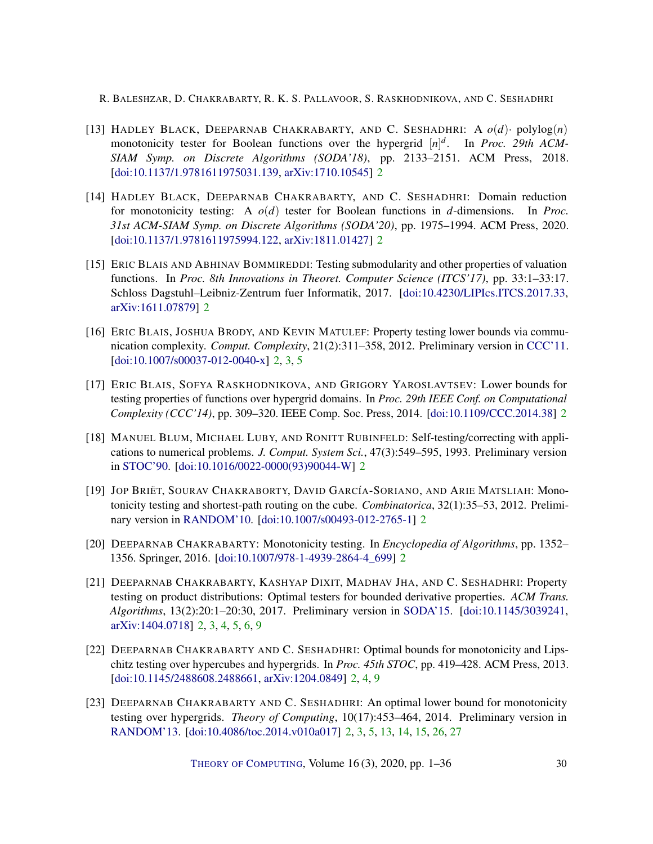- <span id="page-29-6"></span>[13] HADLEY BLACK, DEEPARNAB CHAKRABARTY, AND C. SESHADHRI: A *o*(*d*)· polylog(*n*) monotonicity tester for Boolean functions over the hypergrid [*n*] *d* . In *Proc. 29th ACM-SIAM Symp. on Discrete Algorithms (SODA'18)*, pp. 2133–2151. ACM Press, 2018. [\[doi:10.1137/1.9781611975031.139,](http://dx.doi.org/10.1137/1.9781611975031.139) [arXiv:1710.10545\]](http://arxiv.org/abs/1710.10545) [2](#page-1-0)
- <span id="page-29-7"></span>[14] HADLEY BLACK, DEEPARNAB CHAKRABARTY, AND C. SESHADHRI: Domain reduction for monotonicity testing: A *o*(*d*) tester for Boolean functions in *d*-dimensions. In *Proc. 31st ACM-SIAM Symp. on Discrete Algorithms (SODA'20)*, pp. 1975–1994. ACM Press, 2020. [\[doi:10.1137/1.9781611975994.122,](http://dx.doi.org/10.1137/1.9781611975994.122) [arXiv:1811.01427\]](http://arxiv.org/abs/1811.01427) [2](#page-1-0)
- <span id="page-29-10"></span>[15] ERIC BLAIS AND ABHINAV BOMMIREDDI: Testing submodularity and other properties of valuation functions. In *Proc. 8th Innovations in Theoret. Computer Science (ITCS'17)*, pp. 33:1–33:17. Schloss Dagstuhl–Leibniz-Zentrum fuer Informatik, 2017. [\[doi:10.4230/LIPIcs.ITCS.2017.33,](http://dx.doi.org/10.4230/LIPIcs.ITCS.2017.33) [arXiv:1611.07879\]](http://arxiv.org/abs/1611.07879) [2](#page-1-0)
- <span id="page-29-0"></span>[16] ERIC BLAIS, JOSHUA BRODY, AND KEVIN MATULEF: Property testing lower bounds via communication complexity. *Comput. Complexity*, 21(2):311–358, 2012. Preliminary version in [CCC'11.](http://doi.org/10.1109/CCC.2011.31) [\[doi:10.1007/s00037-012-0040-x\]](http://dx.doi.org/10.1007/s00037-012-0040-x) [2,](#page-1-0) [3,](#page-2-3) [5](#page-4-0)
- <span id="page-29-3"></span>[17] ERIC BLAIS, SOFYA RASKHODNIKOVA, AND GRIGORY YAROSLAVTSEV: Lower bounds for testing properties of functions over hypergrid domains. In *Proc. 29th IEEE Conf. on Computational Complexity (CCC'14)*, pp. 309–320. IEEE Comp. Soc. Press, 2014. [\[doi:10.1109/CCC.2014.38\]](http://dx.doi.org/10.1109/CCC.2014.38) [2](#page-1-0)
- <span id="page-29-9"></span>[18] MANUEL BLUM, MICHAEL LUBY, AND RONITT RUBINFELD: Self-testing/correcting with applications to numerical problems. *J. Comput. System Sci.*, 47(3):549–595, 1993. Preliminary version in [STOC'90.](https://doi.org/10.1145/100216.100225) [\[doi:10.1016/0022-0000\(93\)90044-W\]](http://dx.doi.org/10.1016/0022-0000(93)90044-W) [2](#page-1-0)
- <span id="page-29-1"></span>[19] JOP BRIËT, SOURAV CHAKRABORTY, DAVID GARCÍA-SORIANO, AND ARIE MATSLIAH: Monotonicity testing and shortest-path routing on the cube. *Combinatorica*, 32(1):35–53, 2012. Preliminary version in [RANDOM'10.](https://doi.org/10.1007/978-3-642-15369-3_35) [\[doi:10.1007/s00493-012-2765-1\]](http://dx.doi.org/10.1007/s00493-012-2765-1) [2](#page-1-0)
- <span id="page-29-8"></span>[20] DEEPARNAB CHAKRABARTY: Monotonicity testing. In *Encyclopedia of Algorithms*, pp. 1352– 1356. Springer, 2016. [\[doi:10.1007/978-1-4939-2864-4\\_699\]](http://dx.doi.org/10.1007/978-1-4939-2864-4_699) [2](#page-1-0)
- <span id="page-29-5"></span>[21] DEEPARNAB CHAKRABARTY, KASHYAP DIXIT, MADHAV JHA, AND C. SESHADHRI: Property testing on product distributions: Optimal testers for bounded derivative properties. *ACM Trans. Algorithms*, 13(2):20:1–20:30, 2017. Preliminary version in [SODA'15.](https://doi.org/10.1137/1.9781611973730.121) [\[doi:10.1145/3039241,](http://dx.doi.org/10.1145/3039241) [arXiv:1404.0718\]](http://arxiv.org/abs/1404.0718) [2,](#page-1-0) [3,](#page-2-3) [4,](#page-3-2) [5,](#page-4-0) [6,](#page-5-4) [9](#page-8-4)
- <span id="page-29-2"></span>[22] DEEPARNAB CHAKRABARTY AND C. SESHADHRI: Optimal bounds for monotonicity and Lipschitz testing over hypercubes and hypergrids. In *Proc. 45th STOC*, pp. 419–428. ACM Press, 2013. [\[doi:10.1145/2488608.2488661,](http://dx.doi.org/10.1145/2488608.2488661) [arXiv:1204.0849\]](http://arxiv.org/abs/1204.0849) [2,](#page-1-0) [4,](#page-3-2) [9](#page-8-4)
- <span id="page-29-4"></span>[23] DEEPARNAB CHAKRABARTY AND C. SESHADHRI: An optimal lower bound for monotonicity testing over hypergrids. *Theory of Computing*, 10(17):453–464, 2014. Preliminary version in [RANDOM'13.](https://doi.org/10.1007/978-3-642-40328-6_30) [\[doi:10.4086/toc.2014.v010a017\]](http://dx.doi.org/10.4086/toc.2014.v010a017) [2,](#page-1-0) [3,](#page-2-3) [5,](#page-4-0) [13,](#page-12-3) [14,](#page-13-1) [15,](#page-14-1) [26,](#page-25-3) [27](#page-26-1)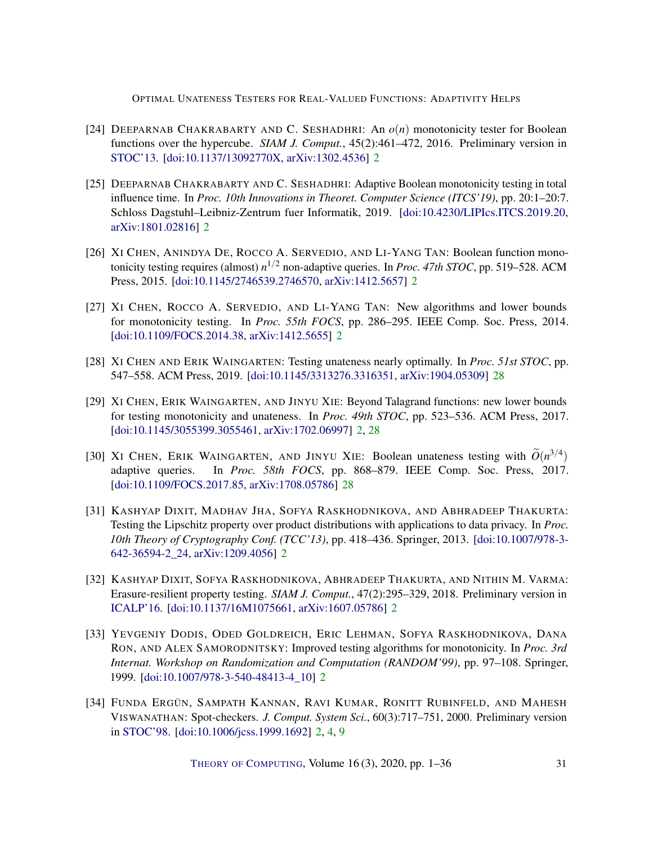- <span id="page-30-2"></span>[24] DEEPARNAB CHAKRABARTY AND C. SESHADHRI: An *o*(*n*) monotonicity tester for Boolean functions over the hypercube. *SIAM J. Comput.*, 45(2):461–472, 2016. Preliminary version in [STOC'13.](https://doi.org/10.1145/2488608.2488660) [\[doi:10.1137/13092770X,](http://dx.doi.org/10.1137/13092770X) [arXiv:1302.4536\]](http://arxiv.org/abs/1302.4536) [2](#page-1-0)
- <span id="page-30-7"></span>[25] DEEPARNAB CHAKRABARTY AND C. SESHADHRI: Adaptive Boolean monotonicity testing in total influence time. In *Proc. 10th Innovations in Theoret. Computer Science (ITCS'19)*, pp. 20:1–20:7. Schloss Dagstuhl–Leibniz-Zentrum fuer Informatik, 2019. [\[doi:10.4230/LIPIcs.ITCS.2019.20,](http://dx.doi.org/10.4230/LIPIcs.ITCS.2019.20) [arXiv:1801.02816\]](http://arxiv.org/abs/1801.02816) [2](#page-1-0)
- <span id="page-30-4"></span>[26] XI CHEN, ANINDYA DE, ROCCO A. SERVEDIO, AND LI-YANG TAN: Boolean function monotonicity testing requires (almost) *n* <sup>1</sup>/<sup>2</sup> non-adaptive queries. In *Proc. 47th STOC*, pp. 519–528. ACM Press, 2015. [\[doi:10.1145/2746539.2746570,](http://dx.doi.org/10.1145/2746539.2746570) [arXiv:1412.5657\]](http://arxiv.org/abs/1412.5657) [2](#page-1-0)
- <span id="page-30-3"></span>[27] XI CHEN, ROCCO A. SERVEDIO, AND LI-YANG TAN: New algorithms and lower bounds for monotonicity testing. In *Proc. 55th FOCS*, pp. 286–295. IEEE Comp. Soc. Press, 2014. [\[doi:10.1109/FOCS.2014.38,](http://dx.doi.org/10.1109/FOCS.2014.38) [arXiv:1412.5655\]](http://arxiv.org/abs/1412.5655) [2](#page-1-0)
- <span id="page-30-10"></span>[28] XI CHEN AND ERIK WAINGARTEN: Testing unateness nearly optimally. In *Proc. 51st STOC*, pp. 547–558. ACM Press, 2019. [\[doi:10.1145/3313276.3316351,](http://dx.doi.org/10.1145/3313276.3316351) [arXiv:1904.05309\]](http://arxiv.org/abs/1904.05309) [28](#page-27-1)
- <span id="page-30-6"></span>[29] XI CHEN, ERIK WAINGARTEN, AND JINYU XIE: Beyond Talagrand functions: new lower bounds for testing monotonicity and unateness. In *Proc. 49th STOC*, pp. 523–536. ACM Press, 2017. [\[doi:10.1145/3055399.3055461,](http://dx.doi.org/10.1145/3055399.3055461) [arXiv:1702.06997\]](http://arxiv.org/abs/1702.06997) [2,](#page-1-0) [28](#page-27-1)
- <span id="page-30-9"></span>[30] XI CHEN, ERIK WAINGARTEN, AND JINYU XIE: Boolean unateness testing with  $\widetilde{O}(n^{3/4})$ adaptive queries. In *Proc. 58th FOCS*, pp. 868–879. IEEE Comp. Soc. Press, 2017. [\[doi:10.1109/FOCS.2017.85,](http://dx.doi.org/10.1109/FOCS.2017.85) [arXiv:1708.05786\]](http://arxiv.org/abs/1708.05786) [28](#page-27-1)
- <span id="page-30-8"></span>[31] KASHYAP DIXIT, MADHAV JHA, SOFYA RASKHODNIKOVA, AND ABHRADEEP THAKURTA: Testing the Lipschitz property over product distributions with applications to data privacy. In *Proc. 10th Theory of Cryptography Conf. (TCC'13)*, pp. 418–436. Springer, 2013. [\[doi:10.1007/978-3-](http://dx.doi.org/10.1007/978-3-642-36594-2_24) [642-36594-2\\_24,](http://dx.doi.org/10.1007/978-3-642-36594-2_24) [arXiv:1209.4056\]](http://arxiv.org/abs/1209.4056) [2](#page-1-0)
- <span id="page-30-5"></span>[32] KASHYAP DIXIT, SOFYA RASKHODNIKOVA, ABHRADEEP THAKURTA, AND NITHIN M. VARMA: Erasure-resilient property testing. *SIAM J. Comput.*, 47(2):295–329, 2018. Preliminary version in [ICALP'16.](https://doi.org/10.4230/LIPIcs.ICALP.2016.91) [\[doi:10.1137/16M1075661,](http://dx.doi.org/10.1137/16M1075661) [arXiv:1607.05786\]](http://arxiv.org/abs/1607.05786) [2](#page-1-0)
- <span id="page-30-0"></span>[33] YEVGENIY DODIS, ODED GOLDREICH, ERIC LEHMAN, SOFYA RASKHODNIKOVA, DANA RON, AND ALEX SAMORODNITSKY: Improved testing algorithms for monotonicity. In *Proc. 3rd Internat. Workshop on Randomization and Computation (RANDOM'99)*, pp. 97–108. Springer, 1999. [\[doi:10.1007/978-3-540-48413-4\\_10\]](http://dx.doi.org/10.1007/978-3-540-48413-4_10) [2](#page-1-0)
- <span id="page-30-1"></span>[34] FUNDA ERGÜN, SAMPATH KANNAN, RAVI KUMAR, RONITT RUBINFELD, AND MAHESH VISWANATHAN: Spot-checkers. *J. Comput. System Sci.*, 60(3):717–751, 2000. Preliminary version in [STOC'98.](https://doi.org/10.1145/276698.276757) [\[doi:10.1006/jcss.1999.1692\]](http://dx.doi.org/10.1006/jcss.1999.1692) [2,](#page-1-0) [4,](#page-3-2) [9](#page-8-4)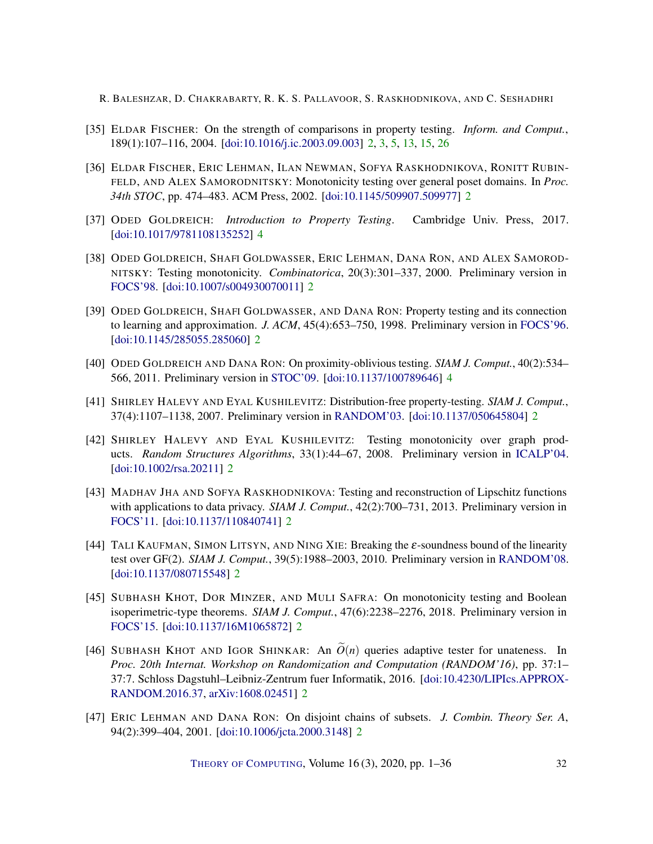- <span id="page-31-4"></span>[35] ELDAR FISCHER: On the strength of comparisons in property testing. *Inform. and Comput.*, 189(1):107–116, 2004. [\[doi:10.1016/j.ic.2003.09.003\]](http://dx.doi.org/10.1016/j.ic.2003.09.003) [2,](#page-1-0) [3,](#page-2-3) [5,](#page-4-0) [13,](#page-12-3) [15,](#page-14-1) [26](#page-25-3)
- <span id="page-31-3"></span>[36] ELDAR FISCHER, ERIC LEHMAN, ILAN NEWMAN, SOFYA RASKHODNIKOVA, RONITT RUBIN-FELD, AND ALEX SAMORODNITSKY: Monotonicity testing over general poset domains. In *Proc. 34th STOC*, pp. 474–483. ACM Press, 2002. [\[doi:10.1145/509907.509977\]](http://dx.doi.org/10.1145/509907.509977) [2](#page-1-0)
- <span id="page-31-11"></span>[37] ODED GOLDREICH: *Introduction to Property Testing*. Cambridge Univ. Press, 2017. [\[doi:10.1017/9781108135252\]](http://dx.doi.org/10.1017/9781108135252) [4](#page-3-2)
- <span id="page-31-1"></span>[38] ODED GOLDREICH, SHAFI GOLDWASSER, ERIC LEHMAN, DANA RON, AND ALEX SAMOROD-NITSKY: Testing monotonicity. *Combinatorica*, 20(3):301–337, 2000. Preliminary version in [FOCS'98.](http://doi.org/10.1109/SFCS.1998.743493) [\[doi:10.1007/s004930070011\]](http://dx.doi.org/10.1007/s004930070011) [2](#page-1-0)
- <span id="page-31-0"></span>[39] ODED GOLDREICH, SHAFI GOLDWASSER, AND DANA RON: Property testing and its connection to learning and approximation. *J. ACM*, 45(4):653–750, 1998. Preliminary version in [FOCS'96.](https://doi.org/10.1109/SFCS.1996.548493) [\[doi:10.1145/285055.285060\]](http://dx.doi.org/10.1145/285055.285060) [2](#page-1-0)
- <span id="page-31-12"></span>[40] ODED GOLDREICH AND DANA RON: On proximity-oblivious testing. *SIAM J. Comput.*, 40(2):534– 566, 2011. Preliminary version in [STOC'09.](https://doi.org/10.1145/1536414.1536436) [\[doi:10.1137/100789646\]](http://dx.doi.org/10.1137/100789646) [4](#page-3-2)
- <span id="page-31-5"></span>[41] SHIRLEY HALEVY AND EYAL KUSHILEVITZ: Distribution-free property-testing. *SIAM J. Comput.*, 37(4):1107–1138, 2007. Preliminary version in [RANDOM'03.](https://doi.org/10.1007/978-3-540-45198-3_26) [\[doi:10.1137/050645804\]](http://dx.doi.org/10.1137/050645804) [2](#page-1-0)
- <span id="page-31-6"></span>[42] SHIRLEY HALEVY AND EYAL KUSHILEVITZ: Testing monotonicity over graph products. *Random Structures Algorithms*, 33(1):44–67, 2008. Preliminary version in [ICALP'04.](https://doi.org/10.1007/978-3-540-27836-8_61) [\[doi:10.1002/rsa.20211\]](http://dx.doi.org/10.1002/rsa.20211) [2](#page-1-0)
- <span id="page-31-8"></span>[43] MADHAV JHA AND SOFYA RASKHODNIKOVA: Testing and reconstruction of Lipschitz functions with applications to data privacy. *SIAM J. Comput.*,  $42(2)$ :700–731, 2013. Preliminary version in [FOCS'11.](https://doi.org/10.1109/FOCS.2011.13) [\[doi:10.1137/110840741\]](http://dx.doi.org/10.1137/110840741) [2](#page-1-0)
- <span id="page-31-9"></span>[44] TALI KAUFMAN, SIMON LITSYN, AND NING XIE: Breaking the ε-soundness bound of the linearity test over GF(2). *SIAM J. Comput.*, 39(5):1988–2003, 2010. Preliminary version in [RANDOM'08.](https://doi.org/10.1007/978-3-540-85363-3_39) [\[doi:10.1137/080715548\]](http://dx.doi.org/10.1137/080715548) [2](#page-1-0)
- <span id="page-31-7"></span>[45] SUBHASH KHOT, DOR MINZER, AND MULI SAFRA: On monotonicity testing and Boolean isoperimetric-type theorems. *SIAM J. Comput.*, 47(6):2238–2276, 2018. Preliminary version in [FOCS'15.](https://doi.org/10.1109/FOCS.2015.13) [\[doi:10.1137/16M1065872\]](http://dx.doi.org/10.1137/16M1065872) [2](#page-1-0)
- <span id="page-31-10"></span>[46] SUBHASH KHOT AND IGOR SHINKAR: An  $\tilde{O}(n)$  queries adaptive tester for unateness. In *Proc. 20th Internat. Workshop on Randomization and Computation (RANDOM'16)*, pp. 37:1– 37:7. Schloss Dagstuhl–Leibniz-Zentrum fuer Informatik, 2016. [\[doi:10.4230/LIPIcs.APPROX-](http://dx.doi.org/10.4230/LIPIcs.APPROX-RANDOM.2016.37)[RANDOM.2016.37,](http://dx.doi.org/10.4230/LIPIcs.APPROX-RANDOM.2016.37) [arXiv:1608.02451\]](http://arxiv.org/abs/1608.02451) [2](#page-1-0)
- <span id="page-31-2"></span>[47] ERIC LEHMAN AND DANA RON: On disjoint chains of subsets. *J. Combin. Theory Ser. A*, 94(2):399–404, 2001. [\[doi:10.1006/jcta.2000.3148\]](http://dx.doi.org/10.1006/jcta.2000.3148) [2](#page-1-0)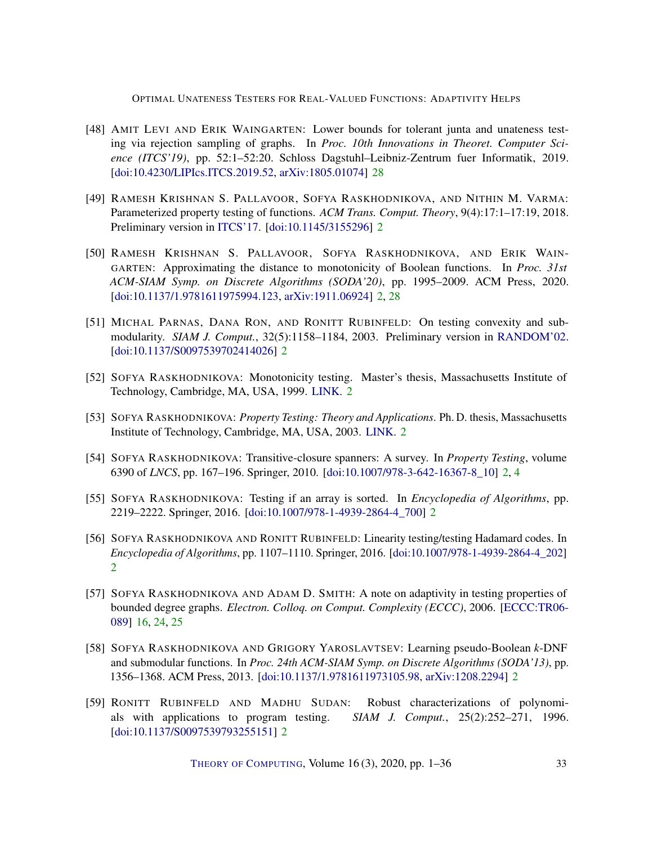- <span id="page-32-11"></span>[48] AMIT LEVI AND ERIK WAINGARTEN: Lower bounds for tolerant junta and unateness testing via rejection sampling of graphs. In *Proc. 10th Innovations in Theoret. Computer Science (ITCS'19)*, pp. 52:1–52:20. Schloss Dagstuhl–Leibniz-Zentrum fuer Informatik, 2019. [\[doi:10.4230/LIPIcs.ITCS.2019.52,](http://dx.doi.org/10.4230/LIPIcs.ITCS.2019.52) [arXiv:1805.01074\]](http://arxiv.org/abs/1805.01074) [28](#page-27-1)
- <span id="page-32-3"></span>[49] RAMESH KRISHNAN S. PALLAVOOR, SOFYA RASKHODNIKOVA, AND NITHIN M. VARMA: Parameterized property testing of functions. *ACM Trans. Comput. Theory*, 9(4):17:1–17:19, 2018. Preliminary version in [ITCS'17.](https://doi.org/10.4230/LIPIcs.ITCS.2017.12) [\[doi:10.1145/3155296\]](http://dx.doi.org/10.1145/3155296) [2](#page-1-0)
- <span id="page-32-4"></span>[50] RAMESH KRISHNAN S. PALLAVOOR, SOFYA RASKHODNIKOVA, AND ERIK WAIN-GARTEN: Approximating the distance to monotonicity of Boolean functions. In *Proc. 31st ACM-SIAM Symp. on Discrete Algorithms (SODA'20)*, pp. 1995–2009. ACM Press, 2020. [\[doi:10.1137/1.9781611975994.123,](http://dx.doi.org/10.1137/1.9781611975994.123) [arXiv:1911.06924\]](http://arxiv.org/abs/1911.06924) [2,](#page-1-0) [28](#page-27-1)
- <span id="page-32-8"></span>[51] MICHAL PARNAS, DANA RON, AND RONITT RUBINFELD: On testing convexity and submodularity. *SIAM J. Comput.*, 32(5):1158–1184, 2003. Preliminary version in [RANDOM'02.](https://doi.org/10.1007/3-540-45726-7_2) [\[doi:10.1137/S0097539702414026\]](http://dx.doi.org/10.1137/S0097539702414026) [2](#page-1-0)
- <span id="page-32-1"></span>[52] SOFYA RASKHODNIKOVA: Monotonicity testing. Master's thesis, Massachusetts Institute of Technology, Cambridge, MA, USA, 1999. [LINK.](https://dspace.mit.edu/handle/1721.1/80562) [2](#page-1-0)
- <span id="page-32-2"></span>[53] SOFYA RASKHODNIKOVA: *Property Testing: Theory and Applications*. Ph. D. thesis, Massachusetts Institute of Technology, Cambridge, MA, USA, 2003. [LINK.](http://hdl.handle.net/1721.1/28274) [2](#page-1-0)
- <span id="page-32-5"></span>[54] SOFYA RASKHODNIKOVA: Transitive-closure spanners: A survey. In *Property Testing*, volume 6390 of *LNCS*, pp. 167–196. Springer, 2010. [\[doi:10.1007/978-3-642-16367-8\\_10\]](http://dx.doi.org/10.1007/978-3-642-16367-8_10) [2,](#page-1-0) [4](#page-3-2)
- <span id="page-32-6"></span>[55] SOFYA RASKHODNIKOVA: Testing if an array is sorted. In *Encyclopedia of Algorithms*, pp. 2219–2222. Springer, 2016. [\[doi:10.1007/978-1-4939-2864-4\\_700\]](http://dx.doi.org/10.1007/978-1-4939-2864-4_700) [2](#page-1-0)
- <span id="page-32-7"></span>[56] SOFYA RASKHODNIKOVA AND RONITT RUBINFELD: Linearity testing/testing Hadamard codes. In *Encyclopedia of Algorithms*, pp. 1107–1110. Springer, 2016. [\[doi:10.1007/978-1-4939-2864-4\\_202\]](http://dx.doi.org/10.1007/978-1-4939-2864-4_202) [2](#page-1-0)
- <span id="page-32-10"></span>[57] SOFYA RASKHODNIKOVA AND ADAM D. SMITH: A note on adaptivity in testing properties of bounded degree graphs. *Electron. Colloq. on Comput. Complexity (ECCC)*, 2006. [\[ECCC:TR06-](https://eccc.weizmann.ac.il/report/2006/089) [089\]](https://eccc.weizmann.ac.il/report/2006/089) [16,](#page-15-2) [24,](#page-23-2) [25](#page-24-5)
- <span id="page-32-9"></span>[58] SOFYA RASKHODNIKOVA AND GRIGORY YAROSLAVTSEV: Learning pseudo-Boolean *k*-DNF and submodular functions. In *Proc. 24th ACM-SIAM Symp. on Discrete Algorithms (SODA'13)*, pp. 1356–1368. ACM Press, 2013. [\[doi:10.1137/1.9781611973105.98,](http://dx.doi.org/10.1137/1.9781611973105.98) [arXiv:1208.2294\]](http://arxiv.org/abs/1208.2294) [2](#page-1-0)
- <span id="page-32-0"></span>[59] RONITT RUBINFELD AND MADHU SUDAN: Robust characterizations of polynomials with applications to program testing. *SIAM J. Comput.*, 25(2):252–271, 1996. [\[doi:10.1137/S0097539793255151\]](http://dx.doi.org/10.1137/S0097539793255151) [2](#page-1-0)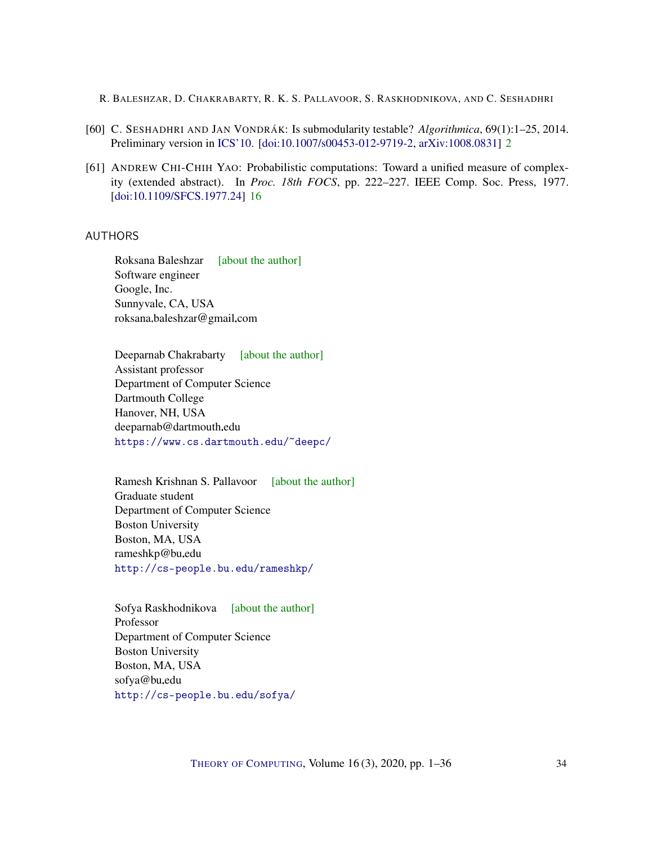- <span id="page-33-4"></span>[60] C. SESHADHRI AND JAN VONDRÁK: Is submodularity testable? *Algorithmica*, 69(1):1–25, 2014. Preliminary version in [ICS'10.](https://conference.iiis.tsinghua.edu.cn/ICS2011/content/papers/21.html) [\[doi:10.1007/s00453-012-9719-2,](http://dx.doi.org/10.1007/s00453-012-9719-2) [arXiv:1008.0831\]](http://arxiv.org/abs/1008.0831) [2](#page-1-0)
- <span id="page-33-5"></span>[61] ANDREW CHI-CHIH YAO: Probabilistic computations: Toward a unified measure of complexity (extended abstract). In *Proc. 18th FOCS*, pp. 222–227. IEEE Comp. Soc. Press, 1977. [\[doi:10.1109/SFCS.1977.24\]](http://dx.doi.org/10.1109/SFCS.1977.24) [16](#page-15-2)

## <span id="page-33-0"></span>AUTHORS

Roksana Baleshzar [\[about the author\]](#page-34-1) Software engineer Google, Inc. Sunnyvale, CA, USA roksana.baleshzar@gmail.com

<span id="page-33-1"></span>Deeparnab Chakrabarty [\[about the author\]](#page-34-2) Assistant professor Department of Computer Science Dartmouth College Hanover, NH, USA deeparnab@dartmouth.edu <https://www.cs.dartmouth.edu/~deepc/>

<span id="page-33-2"></span>Ramesh Krishnan S. Pallavoor [\[about the author\]](#page-34-3) Graduate student Department of Computer Science Boston University Boston, MA, USA rameshkp@bu.edu <http://cs-people.bu.edu/rameshkp/>

<span id="page-33-3"></span>Sofya Raskhodnikova [\[about the author\]](#page-35-0) Professor Department of Computer Science Boston University Boston, MA, USA sofya@bu.edu <http://cs-people.bu.edu/sofya/>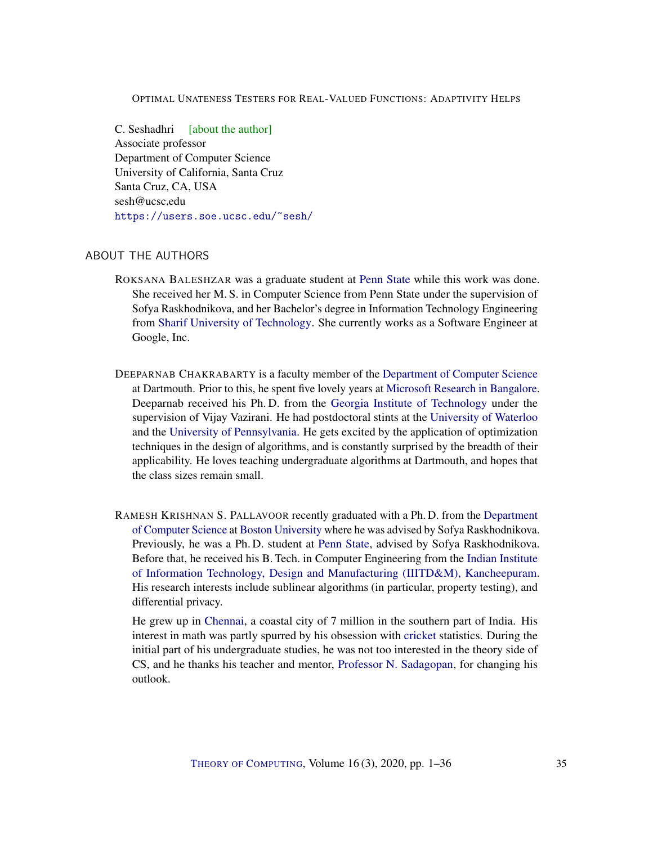<span id="page-34-0"></span>C. Seshadhri [\[about the author\]](#page-35-1) Associate professor Department of Computer Science University of California, Santa Cruz Santa Cruz, CA, USA  $sesh@$ ucsc.edu <https://users.soe.ucsc.edu/~sesh/>

## <span id="page-34-1"></span>ABOUT THE AUTHORS

- ROKSANA BALESHZAR was a graduate student at [Penn State](https://www.eecs.psu.edu/) while this work was done. She received her M. S. in Computer Science from Penn State under the supervision of Sofya Raskhodnikova, and her Bachelor's degree in Information Technology Engineering from [Sharif University of Technology.](http://www.en.sharif.edu/) She currently works as a Software Engineer at Google, Inc.
- <span id="page-34-2"></span>DEEPARNAB CHAKRABARTY is a faculty member of the [Department of Computer Science](https://web.cs.dartmouth.edu/) at Dartmouth. Prior to this, he spent five lovely years at [Microsoft Research in Bangalore.](https://www.microsoft.com/en-us/research/lab/microsoft-research-india/) Deeparnab received his Ph. D. from the [Georgia Institute of Technology](https://www.cc.gatech.edu/) under the supervision of Vijay Vazirani. He had postdoctoral stints at the [University of Waterloo](https://uwaterloo.ca/combinatorics-and-optimization/) and the [University of Pennsylvania.](https://www.cis.upenn.edu/) He gets excited by the application of optimization techniques in the design of algorithms, and is constantly surprised by the breadth of their applicability. He loves teaching undergraduate algorithms at Dartmouth, and hopes that the class sizes remain small.
- <span id="page-34-3"></span>RAMESH KRISHNAN S. PALLAVOOR recently graduated with a Ph. D. from the [Department](http://www.bu.edu/cs/) [of Computer Science](http://www.bu.edu/cs/) at [Boston University](http://www.bu.edu/) where he was advised by Sofya Raskhodnikova. Previously, he was a Ph. D. student at [Penn State,](https://www.eecs.psu.edu/) advised by Sofya Raskhodnikova. Before that, he received his B. Tech. in Computer Engineering from the [Indian Institute](http://www.iiitdm.ac.in/) [of Information Technology, Design and Manufacturing \(IIITD&M\), Kancheepuram.](http://www.iiitdm.ac.in/) His research interests include sublinear algorithms (in particular, property testing), and differential privacy.

He grew up in [Chennai,](https://en.wikipedia.org/wiki/Chennai) a coastal city of 7 million in the southern part of India. His interest in math was partly spurred by his obsession with [cricket](https://en.wikipedia.org/wiki/Cricket) statistics. During the initial part of his undergraduate studies, he was not too interested in the theory side of CS, and he thanks his teacher and mentor, [Professor N. Sadagopan,](http://www.iiitdm.ac.in/People/displayProfileFaculty.php?sadagopan@iiitdm.ac.in) for changing his outlook.